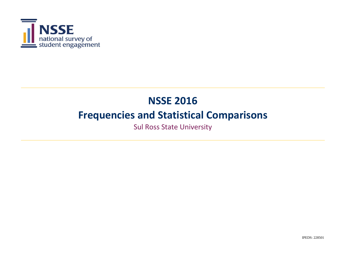

Sul Ross State University

IPEDS: 228501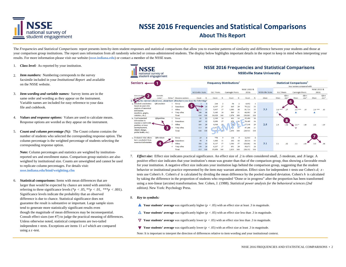

## **NSSE 2016 Frequencies and Statistical Comparisons About This Report**

The *Frequencies and Statistical Comparisons* report presents item-by-item student responses and statistical comparisons that allow you to examine patterns of similarity and difference between your students and those at your comparison group institutions. The report uses information from all randomly selected or census-administered students. The display below highlights important details in the report to keep in mind when interpreting you results. For more information please visit our website (**nsse.indiana.edu**) or contact a member of the NSSE team.

- 1. *Class level:* As reported by your institution.
- 2.*Item numbers:* Numbering corresponds to the survey facsimile included in your *Institutional Report* and available on the NSSE website.
- 3. *Item wording and variable names:* Survey items are in the same order and wording as they appear on the instrument. Variable names are included for easy reference to your data file and codebook.
- 4. *Values and response options:* Values are used to calculate means. Response options are worded as they appear on the instrument.
- 5. *Count and column percentage (%):* The Count column contains the number of students who selected the corresponding response option. The column percentage is the weighted percentage of students selecting the corresponding response option.

**Note:** Column percentages and statistics are weighted by institutionreported sex and enrollment status. Comparison group statistics are also weighted by institutional size. Counts are unweighted and cannot be used to replicate column percentages. For details visit: **nsse.indiana.edu/html/weighting.cfm**

6. **Statistical comparisons:** Items with mean differences that are larger than would be expected by chance are noted with asterisks referring to three significance levels (\* $p < .05$ , \*\* $p < .01$ , \*\*\* $p < .001$ ). Significance levels indicate the probability that an observed difference is due to chance. Statistical significance does not guarantee the result is substantive or important. Large sample sizes tend to generate more statistically significant results even though the magnitude of mean differences may be inconsequential. Consult effect sizes (see #7) to judge the practical meaning of differences. Unless otherwise noted, statistical comparisons are two-tailed independent *<sup>t</sup>* -tests. Exceptions are items 11 a-f which are compared using a *z*-test.



- 7. *Effect size:* Effect size indicates practical significance. An effect size of .2 is often considered small, .5 moderate, and .8 large. A positive effect size indicates that your institution's mean was greater than that of the comparison group, thus showing a favorable result for your institution. A negative effect size indicates your institution lags behind the comparison group, suggesting that the student behavior or institutional practice represented by the item may warrant attention. Effect sizes for independent *<sup>t</sup>* -tests use Cohen's *d; <sup>z</sup>*tests use Cohen's *h* . Cohen's *d* is calculated by dividing the mean difference by the pooled standard deviation. Cohen's *h* is calculated by taking the difference in the proportion of students who responded "Done or in progress" after the proportion has been transformed using a non-linear (arcsine) transformation. See: Cohen, J. (1988). *Statistical power analysis for the behavioral sciences (2nd edition).* New York: Psychology Press.
- 8. *Key to symbols:* 
	- ▲ **Your students' average** was significantly higher (*p* < .05) with an effect size at least .3 in magnitude.
	- $\Delta$  **Your students' average** was significantly higher ( $p < .05$ ) with an effect size less than .3 in magnitude.
	- **V** Your students' average was significantly lower ( $p < .05$ ) with an effect size less than .3 in magnitude.
	- ▼ **Your students' average** was significantly lower (*p* < .05) with an effect size at least .3 in magnitude.
	- Note: It is important to interpret the direction of differences relative to item wording and your institutional context.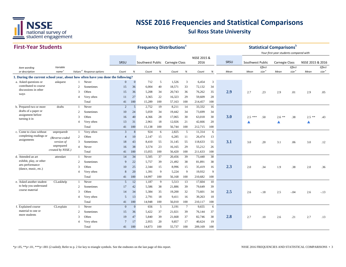

#### **First-Year Students**

**SRSU** *Item wording or description Variable name Values <sup>d</sup> Response options Count % Count % Count % Count % Mean Effect size <sup>e</sup> Effect size <sup>e</sup> Effect size <sup>e</sup>* **1. During the current school year, about how often have you done the following?** a. Asked questions or askquest 1 Never 0 0 712 5 1,526 3 6,454 3 2 Sometimes 15 36 6,004 40 18,571 33 72,132 34 3 Often <sup>15</sup> <sup>36</sup> 5,208 <sup>34</sup> 20,743 <sup>36</sup> 76,262 <sup>35</sup> **2.99** 2.7 .23 2.9 .01 2.9 .05 4 Very often 11 27 3,365 22 16,323 29 59,609 28 Total 41 100 15,289 100 57,163 100 214,457 100 b. Prepared two or more drafts 1 Never r 2 5 2,752 19 8,211 14 33,332 16 2 Sometimes 10 24 5,059 34 19,442 34 73,699 34 3 Often <sup>16</sup> <sup>40</sup> 4,366 <sup>28</sup> 17,065 <sup>30</sup> 63,018 <sup>30</sup> **3.0**3.0 2.5 \*\*\*  $.50$  2.6 \*\*  $.38$  2.5 \*\*  $.43$ 4 Very often 13 31 2,961 18 12,026 21 42,666 20 Total 41 100 15,138 100 56,744 100 212,715 100 c. Come to class without unprepared  $\tau$  1 Very often  $\tau$  3 8 924 6 2,825 5 11,314 6 2 Often 4 10 2,147 15 6,285 11 26,474 13 3 Sometimes <sup>18</sup> <sup>43</sup> 8,410 <sup>55</sup> 31,145 <sup>55</sup> 118,633 <sup>55</sup> **3.1** 3.0 .20 3.1 .06 3.0 .12 4 Never 16 38 3,574 23 16,165 29 55,212 26 Total 41 100 15,055 100 56,420 100 211,633 100 d. 1 NeverAttended an art 14 34 5,505 37 20,456 39 73,440 38 2 Sometimes 9 22 5,757 39 21,492 38 81,891 38 3 Often <sup>10</sup> <sup>25</sup> 2,344 <sup>15</sup> 8,996 <sup>15</sup> 35,419 <sup>16</sup> **2.33** 2.0 .34 1.9 .38 2.0 .36 4 Very often 8 20 1,391 9 5,224 9 19,932 9 Total 41 100 14,997 100 56,168 100 210,682 100 e. Asked another student CLaskhelp 1 Never 5 12 1,187 9 5,513 13 17,604 10 2 Sometimes 17 42 5,586 38 21,886 39 79,649 39 3 Often <sup>14</sup> <sup>34</sup> 5,384 <sup>35</sup> 19,200 <sup>32</sup> 73,601 <sup>34</sup> **2.5** $2.6$   $-18$   $2.5$   $-04$   $2.6$   $-13$ 4 Very often 5 13 2,791 18 9,411 16 39,263 18 Total 41 100 14,948 100 56,010 100 210,117 100 f. 1 NeverExplained course 0 0 656 5 3,191 7 9,655 6 2 Sometimes 15 36 5,422 37 21,021 39 76,144 37 3 Often <sup>19</sup> <sup>47</sup> 5,840 <sup>39</sup> 21,668 <sup>37</sup> 82,746 <sup>38</sup> **2.88** 2.7 .10 2.6 .21 2.7 .13 SRSU Southwest Public Carnegie Class NSSE 2015 & 2016 Southwest Public Carnegie Class NSSE 2015 & 2016 **Frequency Distributions**<sup>a</sup> **Statistical Comparisons** *Your first-year students compared with Mean Mean* exhibit, play, or other arts performance (dance, music, etc.) attendartcontributed to course discussions in other ways askquest drafts of a paper or assignment before turning it in draftscompleting readings or assignments unpreparedr *(Reverse-coded version of*  unprepared *created by NSSE.)* to help you understand course materialCLaskhelp material to one or more studentsCLexplain *Mean*

> 4 Very often 7 17 2,955 20 9,857 17 40,624 19 Total 41 100 14,873 100 55,737 100 209,169 100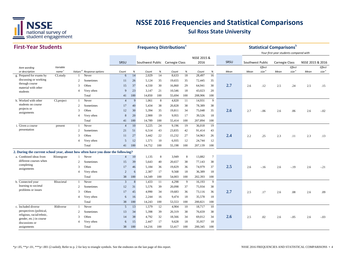

#### **First-Year StudentsSRSU** *Item wording or description Variable name Values <sup>d</sup> Response options Count % Count % Count % Count % Mean Effect size <sup>e</sup> Mean Mean Effect size <sup>e</sup> Effect size <sup>e</sup>* SRSU Southwest Public Carnegie Class NSSE 2015 & 2016 Southwest Public Carnegie Class NSSE 2015 & 2016 **Frequency Distributions**<sup>a</sup> **Statistical Comparisons** *Your first-year students compared with Mean*g. Prepared for exams by CLstudy 1 Never 6 14 2,029 14 8,633 18 28,497 16 2 Sometimes 11 26 5,124 35 19,655 35 72,445 35 3 Often <sup>15</sup> <sup>37</sup> 4,550 <sup>30</sup> 16,860 <sup>29</sup> 64,941 <sup>30</sup> **2.7** 2.6 .12 2.5 .24 2.5 .15 4 Very often 9 23 3,147 21 10,546 18 43,023 20 Total 41 100 14,850 100 55,694 100 208,906 100 h. Worked with other CL project 1 Never 4 9 1,061 8 4,820 11 14,931 9 2 Sometimes 17 40 5,434 38 20,828 38 78,389 38 3 Often <sup>12</sup> <sup>30</sup> 5,394 <sup>35</sup> 19,811 <sup>34</sup> 75,048 <sup>35</sup> **2.6b** 2.7  $-.06$  2.6  $.06$  2.6  $-.02$ 4 Very often 8 20 2,900 19 9,955 17 39,526 18 Total 41 100 14,789 100 55,414 100 207,894 100 i. Given a course **the course** bresent the 1 Never 4 10 3,225 24 9,196 19 36,018 19 2 Sometimes 21 51 6,514 43 23,835 42 91,414 43 3 Often <sup>11</sup> <sup>27</sup> 3,442 <sup>22</sup> 15,232 <sup>27</sup> 54,963 <sup>26</sup> **2.4** 2.2 .25 2.3 .11 2.3 .13 4 Very often 5 12 1,571 10 6,935 12 24,744 12 Total 41 100 14,752 100 55,198 100 207,139 100 **2. During the current school year, about how often have you done the following?** a. Combined ideas from RIintegrate 1 Never 4 10 1,135 8 3,949 8 13,882 7 2 Sometimes 15 39 5,643 40 20,657 38 77,143 38 3 Often <sup>17</sup> <sup>46</sup> 5,184 <sup>36</sup> 19,829 <sup>36</sup> 74,979 <sup>37</sup> **2.53** 2.6 -.16 2.6 -.19 2.6 -.21 4 Very often 2 6 2,387 17 9,568 18 36,389 18 Total 38 100 14,349 100 54,003 100 202,393 100 b. Connected your **RIsocietal** 1 Never 3 8 1,433 11 4,298 9 16,193 9 2 Sometimes 12 31 5,576 39 20,098 37 75,934 38 3 Often <sup>17</sup> <sup>45</sup> 4,990 <sup>34</sup> 19,683 <sup>36</sup> 73,116 <sup>36</sup> **2.7** 2.5 .17 2.6 .08 2.6 .09 4 Very often 6 16 2,244 16 9,474 18 35,578 18 Total 38 100 14,243 100 53,553 100 200,821 100 c. Included diverse and RIdiverse and The Never 5 13 1,579 12 4,904 10 18,717 10 2 Sometimes 13 34 5,398 39 20,319 38 76,659 38 3 Often <sup>14</sup> <sup>38</sup> 4,792 <sup>32</sup> 18,566 <sup>34</sup> 69,012 <sup>34</sup> **2.6b** 2.5 .02 2.6  $-0.05$  2.6  $-0.03$ 4 Very often 6 15 2,447 17 9,628 18 35,957 18 Total 38 100 14,216 100 53,417 100 200,345 100 students on course projects or assignments CLproject discussing or working through course material with other studentsCL<sub>study</sub> presentation present different courses when completing assignments RIintegrate learning to societal problems or issues RIsocietalperspectives (political, religious, racial/ethnic, gender, etc.) in course discussions or assignments RIdiverse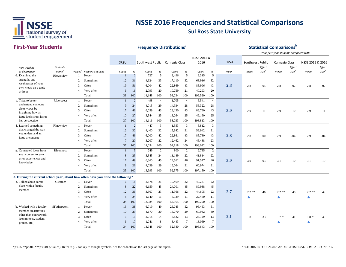

#### **First-Year StudentsSRSU** *Item wording or description Variable name Values <sup>d</sup> Response options Count % Count % Count % Count % Mean Effect size <sup>e</sup> Mean Mean Effect size <sup>e</sup> Effect size <sup>e</sup>* SRSU Southwest Public Carnegie Class NSSE 2015 & 2016 Southwest Public Carnegie Class NSSE 2015 & 2016 **Frequency Distributions**<sup>a</sup> **Statistical Comparisons** *Your first-year students compared with Mean*d. Examined the **RIOW** RIownview 1 Never 1 2 727 5 2,496 5 9,315 5 2 Sometimes 12 31 4,624 33 17,110 32 63,916 32 3 Often <sup>19</sup> <sup>51</sup> 6,004 <sup>42</sup> 22,869 <sup>43</sup> 85,996 <sup>43</sup> **2.88** 2.8 .05 2.8 .02 2.8 .02 4 Very often 6 16 2,793 20 10,759 21 40,293 20 Total 38 100 14,148 100 53,234 100 199,520 100 e. 1 NeverTried to better 1 2 498 4 1,705 4 6,541 4 2 Sometimes 9 24 4,015 29 14,934 28 56,322 28 3 Often <sup>17</sup> <sup>46</sup> 6,059 <sup>43</sup> 23,130 <sup>43</sup> 86,790 <sup>43</sup> **3.0** 2.9 .11 2.9 .10 2.9 .11 4 Very often 10 27 3,544 25 13,264 25 49,160 25 Total 37 100 14,116 100 53,033 100 198,813 100 f. Learned something RInewview 1 Never 1 2 447 3 1,553 3 5,812 3 2 Sometimes 12 32 4,400 32 15,942 31 59,942 31 3 Often <sup>17</sup> <sup>46</sup> 6,000 <sup>42</sup> 22,861 <sup>43</sup> 85,780 <sup>43</sup> **2.88** 2.8 .00 2.9  $-0.04$  2.9  $-0.04$ 4 Very often 7 20 3,207 22 12,462 24 46,488 23 Total 37 100 14,054 100 52,818 100 198,022 100 g. Connected ideas from RIconnect 1 Never 1 3 249 2 800 2 2,785 2 2 Sometimes 8 23 3,345 24 11,149 22 41,814 22 3 Often <sup>17</sup> <sup>49</sup> 6,360 <sup>45</sup> 24,562 <sup>46</sup> 91,577 <sup>46</sup> **3.00**  $3.0$   $-0.03$   $3.1$   $-10$   $3.1$   $-10$ 4 Very often 9 26 4,039 29 16,064 31 60,974 31 Total 35 100 13,993 100 52,575 100 197,150 100 **3. During the current school year, about how often have you done the following?** a. Talked about career 5F SF Career 1 Never 6 18 2,878 21 10,469 22 40,287 22 2 Sometimes 8 22 6,159 45 24,001 45 89,938 45 3 Often <sup>12</sup> <sup>36</sup> 3,307 <sup>23</sup> 11,966 <sup>22</sup> 44,605 <sup>22</sup> **2.7** $\frac{1}{2}$  2.2 \*\* .46 2.2 \*\* .48 2.2 \*\* .49 4 Very often 8 24 1,640 11 6,129 11 22,460 11 Total 34 100 13,984 100 52,565 100 197,290 100 b. Worked with a faculty SFotherwork 1 Never 13 38 6,719 49 26,045 52 96,463 51 2 Sometimes 10 29 4,170 30 16,070 29 60,982 30 3 Often <sup>5</sup> <sup>15</sup> 2,018 <sup>14</sup> 6,822 <sup>13</sup> 26,129 <sup>13</sup> **2.1** 1.8 .33 1.7 \* .41 1.8 \* .40 4 Very often 6 17 1,041 8 3,443 7 13,069 7 **A**  ▲ Total 34 100 13,948 100 52,380 100 196,643 100 your courses to your prior experiences and knowledge RIconnectplans with a faculty memberSFcareerstrengths and weaknesses of your own views on a topic or issueRIownviewunderstand someone else's views by imagining how an issue looks from his or her perspective RIperspect that changed the way you understand an issue or concept RInewviewmember on activities other than coursework (committees, student groups, etc.) SFotherwork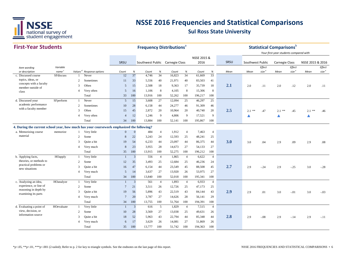

| <b>First-Year Students</b>                                                                |                   |                |                                      |                |              |                                 |                | <b>Frequency Distributions</b> <sup>a</sup> |                |             |                |      |                  |                   | <b>Statistical Comparisons</b> <sup>b</sup><br>Your first-year students compared with |                   |                  |                   |
|-------------------------------------------------------------------------------------------|-------------------|----------------|--------------------------------------|----------------|--------------|---------------------------------|----------------|---------------------------------------------|----------------|-------------|----------------|------|------------------|-------------------|---------------------------------------------------------------------------------------|-------------------|------------------|-------------------|
|                                                                                           |                   |                |                                      |                |              |                                 |                |                                             |                | NSSE 2015 & |                |      |                  |                   |                                                                                       |                   |                  |                   |
|                                                                                           |                   |                |                                      | SRSU           |              | Southwest Public Carnegie Class |                |                                             |                | 2016        |                | SRSU | Southwest Public |                   | <b>Carnegie Class</b>                                                                 |                   | NSSE 2015 & 2016 |                   |
| Item wording                                                                              | Variable          |                |                                      |                |              |                                 |                |                                             |                |             |                |      |                  | Effect            |                                                                                       | Effect            |                  | Effect            |
| or description                                                                            | name <sup>c</sup> |                | Values <sup>d</sup> Response options | Count          | $\%$         | Count                           | $\%$           | Count                                       | $\%$           | Count       | $\%$           | Mean | Mean             | size <sup>e</sup> | Mean                                                                                  | size <sup>e</sup> | Mean             | size <sup>e</sup> |
| c. Discussed course                                                                       | SFdiscuss         |                | Never                                | 12             | 37           | 4,746                           | 34             | 16,823                                      | 34             | 61,669      | 33             |      |                  |                   |                                                                                       |                   |                  |                   |
| topics, ideas, or<br>concepts with a faculty                                              |                   | 2              | Sometimes                            | 11             | 33           | 5,556                           | 40             | 21,971                                      | 40             | 83,503      | 41             |      |                  |                   |                                                                                       |                   |                  |                   |
| member outside of                                                                         |                   | 3              | Often                                | 5              | 15           | 2,508                           | 18             | 9,363                                       | 17             | 35,739      | 18             | 2.1  | 2.0              | .11               | 2.0                                                                                   | .12               | 2.0              | .11               |
| class                                                                                     |                   | $\overline{4}$ | Very often                           | 5              | 16           | 1,106                           | 8              | 4,105                                       | 8              | 15,306      | 8              |      |                  |                   |                                                                                       |                   |                  |                   |
|                                                                                           |                   |                | Total                                | 33             | 100          | 13,916                          | 100            | 52,262                                      | 100            | 196,217     | 100            |      |                  |                   |                                                                                       |                   |                  |                   |
| d. Discussed your                                                                         | SFperform         | $\overline{1}$ | Never                                | 5              | 15           | 3,608                           | 27             | 12,094                                      | 25             | 46,297      | 25             |      |                  |                   |                                                                                       |                   |                  |                   |
| academic performance                                                                      |                   | 2              | Sometimes                            | 10             | 28           | 6,158                           | 44             | 24,277                                      | 46             | 91,309      | 46             |      |                  |                   |                                                                                       |                   |                  |                   |
| with a faculty member                                                                     |                   | 3              | Often                                | 15             | 45           | 2,872                           | 20             | 10,964                                      | 20             | 40,740      | 20             | 2.5  | $2.1$ **         | .47               | $2.1$ **                                                                              | .45               | $2.1$ **         | .46               |
|                                                                                           |                   | $\overline{4}$ | Very often                           | $\overline{4}$ | 12           | 1,246                           | 9              | 4,806                                       | 9              | 17,521      | 9              |      |                  |                   | ▲                                                                                     |                   | Δ                |                   |
|                                                                                           |                   |                | Total                                | 34             | 100          | 13,884                          | 100            | 52,141                                      | 100            | 195,867     | 100            |      |                  |                   |                                                                                       |                   |                  |                   |
| 4. During the current school year, how much has your coursework emphasized the following? |                   |                |                                      |                |              |                                 |                |                                             |                |             |                |      |                  |                   |                                                                                       |                   |                  |                   |
| a. Memorizing course                                                                      | memorize          | -1             | Very little                          | $\mathbf{0}$   | $\mathbf{0}$ | 484                             | $\overline{4}$ | 1,912                                       | $\overline{4}$ | 7,463       | $\overline{4}$ |      |                  |                   |                                                                                       |                   |                  |                   |
| material                                                                                  |                   | 2              | Some                                 | 8              | 22           | 3,243                           | 24             | 12,593                                      | 25             | 48,241      | 25             |      |                  |                   |                                                                                       |                   |                  |                   |
|                                                                                           |                   | 3              | Quite a bit                          | 19             | 54           | 6,233                           | 44             | 23,097                                      | 44             | 86,375      | 44             | 3.0  | 3.0              | .04               | 2.9                                                                                   | .09               | 2.9              | .08               |
|                                                                                           |                   | $\overline{4}$ | Very much                            | 8              | 23           | 3,955                           | 28             | 14,673                                      | 27             | 54,133      | 27             |      |                  |                   |                                                                                       |                   |                  |                   |
|                                                                                           |                   |                | Total                                | 35             | 100          | 13,915                          | 100            | 52,275                                      | 100            | 196,212     | 100            |      |                  |                   |                                                                                       |                   |                  |                   |
| b. Applying facts,                                                                        | HOapply           | $\overline{1}$ | Very little                          | $\overline{1}$ | 3            | 556                             | $\overline{4}$ | 1,865                                       | $\overline{4}$ | 6,622       | $\overline{4}$ |      |                  |                   |                                                                                       |                   |                  |                   |
| theories, or methods to                                                                   |                   | 2              | Some                                 | 12             | 35           | 3,493                           | 25             | 12,684                                      | 25             | 46,236      | 24             |      |                  |                   |                                                                                       |                   |                  |                   |
| practical problems or                                                                     |                   | 3              | Quite a bit                          | 16             | 47           | 6,154                           | 44             | 23,549                                      | 45             | 88,508      | 45             | 2.7  | 2.9              | $-.24$            | 2.9                                                                                   | $-.25$            | 3.0              | $-.28$            |
| new situations                                                                            |                   | $\overline{4}$ | Very much                            | 5              | 14           | 3,637                           | 27             | 13,920                                      | 26             | 53,975      | 27             |      |                  |                   |                                                                                       |                   |                  |                   |
|                                                                                           |                   |                | Total                                | 34             | 100          | 13,840                          | 100            | 52,018                                      | 100            | 195,341     | 100            |      |                  |                   |                                                                                       |                   |                  |                   |
| c. Analyzing an idea,                                                                     | HOanalyze         |                | Very little                          | $\mathbf{1}$   | 3            | 561                             | $\overline{4}$ | 1,893                                       | $\overline{4}$ | 6,933       | $\overline{4}$ |      |                  |                   |                                                                                       |                   |                  |                   |
| experience, or line of                                                                    |                   | 2              | Some                                 | $\overline{7}$ | 21           | 3,511                           | 26             | 12,726                                      | 25             | 47,173      | 25             |      |                  |                   |                                                                                       |                   |                  |                   |
| reasoning in depth by                                                                     |                   | 3              | Quite a bit                          | 19             | 56           | 5,896                           | 43             | 22,519                                      | 43             | 84,144      | 43             | 2.9  | 2.9              | .01               | 3.0                                                                                   | $-.01$            | 3.0              | $-.03$            |
| examining its parts                                                                       |                   | $\overline{4}$ | Very much                            | $\overline{7}$ | 20           | 3,787                           | 27             | 14,626                                      | 28             | 56,141      | 29             |      |                  |                   |                                                                                       |                   |                  |                   |
|                                                                                           |                   |                | Total                                | 34             | 100          | 13,755                          | 100            | 51,764                                      | 100            | 194,391     | 100            |      |                  |                   |                                                                                       |                   |                  |                   |
| d. Evaluating a point of                                                                  | HOevaluate        | -1             | Very little                          | $\overline{1}$ | 3            | 616                             | 5              | 1,829                                       | $\overline{4}$ | 7,515       | $\overline{4}$ |      |                  |                   |                                                                                       |                   |                  |                   |
| view, decision, or                                                                        |                   | 2              | Some                                 | 10             | 28           | 3,569                           | 27             | 13,038                                      | 25             | 49,631      | 26             |      |                  |                   |                                                                                       |                   |                  |                   |
| information source                                                                        |                   | 3              | Quite a bit                          | 18             | 52           | 5,963                           | 43             | 22,794                                      | 44             | 85,348      | 44             | 2.8  | 2.9              | $-.08$            |                                                                                       |                   | 2.9              |                   |
|                                                                                           |                   |                |                                      |                | 17           |                                 | 26             |                                             | 27             |             |                |      |                  |                   | 2.9                                                                                   | $-.14$            |                  | $-.11$            |
|                                                                                           |                   | $\overline{4}$ | Very much                            | 6              |              | 3,629                           |                | 14,081                                      |                | 51,869      | 26             |      |                  |                   |                                                                                       |                   |                  |                   |
|                                                                                           |                   |                | Total                                | 35             | 100          | 13,777                          | 100            | 51,742                                      | 100            | 194,363     | 100            |      |                  |                   |                                                                                       |                   |                  |                   |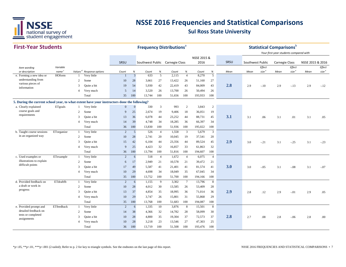

| <b>First-Year Students</b>                                                                  |                   |                |                                      |                |                | <b>Frequency Distributions<sup>®</sup></b> |                |        |                 |             |                |      |                  |                   | <b>Statistical Comparisons</b> b<br>Your first-year students compared with |                   |                  |                   |
|---------------------------------------------------------------------------------------------|-------------------|----------------|--------------------------------------|----------------|----------------|--------------------------------------------|----------------|--------|-----------------|-------------|----------------|------|------------------|-------------------|----------------------------------------------------------------------------|-------------------|------------------|-------------------|
|                                                                                             |                   |                |                                      |                |                |                                            |                |        |                 | NSSE 2015 & |                |      |                  |                   |                                                                            |                   |                  |                   |
|                                                                                             |                   |                |                                      | SRSU           |                | Southwest Public Carnegie Class            |                |        |                 | 2016        |                | SRSU | Southwest Public |                   | <b>Carnegie Class</b>                                                      |                   | NSSE 2015 & 2016 |                   |
| Item wording                                                                                | Variable          |                |                                      |                |                |                                            |                |        |                 |             |                |      |                  | Effect            |                                                                            | Effect            |                  | Effect            |
| or description                                                                              | name <sup>c</sup> |                | Values <sup>d</sup> Response options | Count          | $\%$           | Count                                      | $\%$           | Count  | $\%$            | Count       | $\%$           | Mean | Mean             | size <sup>e</sup> | Mean                                                                       | size <sup>e</sup> | Mean             | size <sup>e</sup> |
| e. Forming a new idea or                                                                    | <b>HOform</b>     |                | Very little                          |                | $\mathfrak{Z}$ | 633                                        | 5              | 2,115  | $\overline{4}$  | 8,270       | 5              |      |                  |                   |                                                                            |                   |                  |                   |
| understanding from<br>various pieces of                                                     |                   | 2              | Some                                 | 10             | 28             | 3,661                                      | 27             | 13,422 | 26              | 51,160      | 27             |      |                  |                   |                                                                            |                   |                  |                   |
| information                                                                                 |                   | 3              | Quite a bit                          | 19             | 54             | 5,930                                      | 42             | 22,419 | 43              | 84,009      | 43             | 2.8  | 2.9              | $-.10$            | 2.9                                                                        | $-13$             | 2.9              | $-.12$            |
|                                                                                             |                   | $\overline{4}$ | Very much                            | 5              | 14             | 3,520                                      | 26             | 13,700 | 26              | 50,494      | 26             |      |                  |                   |                                                                            |                   |                  |                   |
|                                                                                             |                   |                | Total                                | 35             | 100            | 13,744                                     | 100            | 51,656 | 100             | 193,933     | 100            |      |                  |                   |                                                                            |                   |                  |                   |
| 5. During the current school year, to what extent have your instructors done the following? |                   |                |                                      |                |                |                                            |                |        |                 |             |                |      |                  |                   |                                                                            |                   |                  |                   |
| a. Clearly explained                                                                        | ETgoals           | $\mathbf{1}$   | Very little                          | $\mathbf{0}$   | $\overline{0}$ | 330                                        | 3              | 993    | 2               | 3,843       | $\overline{2}$ |      |                  |                   |                                                                            |                   |                  |                   |
| course goals and                                                                            |                   | 2              | Some                                 | 9              | 25             | 2,674                                      | 19             | 9,406  | 18              | 36,051      | 19             |      |                  |                   |                                                                            |                   |                  |                   |
| requirements                                                                                |                   | 3              | Quite a bit                          | 13             | 36             | 6,078                                      | 44             | 23,252 | 44              | 88,731      | 45             | 3.1  | 3.1              | .06               | 3.1                                                                        | .01               | 3.1              | .05               |
|                                                                                             |                   | $\overline{4}$ | Very much                            | 14             | 39             | 4,748                                      | 34             | 18,285 | 36              | 66,397      | 34             |      |                  |                   |                                                                            |                   |                  |                   |
|                                                                                             |                   |                | Total                                | 36             | 100            | 13,830                                     | 100            | 51,936 | 100             | 195,022     | 100            |      |                  |                   |                                                                            |                   |                  |                   |
| b. Taught course sessions                                                                   | ETorganize        | 1              | Very little                          | 2              | 5              | 526                                        | $\overline{4}$ | 1,558  | $\overline{3}$  | 5,679       | $\overline{3}$ |      |                  |                   |                                                                            |                   |                  |                   |
| in an organized way                                                                         |                   | 2              | Some                                 | 10             | 28             | 2,741                                      | 20             | 10,045 | 19              | 37,541      | 20             |      |                  |                   |                                                                            |                   |                  |                   |
|                                                                                             |                   | 3              | Quite a bit                          | 15             | 42             | 6,104                                      | 44             | 23,356 | 44              | 89,524      | 45             | 2.9  | 3.0              | $-.21$            | 3.1                                                                        | $-.25$            | 3.1              | $-23$             |
|                                                                                             |                   | $\overline{4}$ | Very much                            | 9              | 25             | 4,423                                      | 32             | 16,857 | 33              | 61,863      | 32             |      |                  |                   |                                                                            |                   |                  |                   |
|                                                                                             |                   |                | Total                                | 36             | 100            | 13,794                                     | 100            | 51,816 | 100             | 194,607     | 100            |      |                  |                   |                                                                            |                   |                  |                   |
| c. Used examples or                                                                         | ETexample         | -1             | Very little                          | 2              | 6              | 518                                        | $\overline{4}$ | 1,672  | $\overline{4}$  | 6,075       | $\overline{4}$ |      |                  |                   |                                                                            |                   |                  |                   |
| illustrations to explain                                                                    |                   | 2              | Some                                 | 6              | 17             | 2,949                                      | 21             | 10,578 | 21              | 39,472      | 21             |      |                  |                   |                                                                            |                   |                  |                   |
| difficult points                                                                            |                   | 3              | Quite a bit                          | 17             | 49             | 5,587                                      | 41             | 21,401 | 41              | 81,574      | 41             | 3.0  | 3.0              | $-.05$            | 3.1                                                                        | $-0.08$           | 3.1              | $-.07$            |
|                                                                                             |                   | $\overline{4}$ | Very much                            | 10             | 29             | 4,698                                      | 34             | 18,049 | 35              | 67,045      | 34             |      |                  |                   |                                                                            |                   |                  |                   |
|                                                                                             |                   |                | Total                                | 35             | 100            | 13,752                                     | 100            | 51,700 | 100             | 194,166     | 100            |      |                  |                   |                                                                            |                   |                  |                   |
| d. Provided feedback on                                                                     | ETdraftfb         | -1             | Very little                          | 2              | 6              | 1,155                                      | 9              | 3,302  | $7\phantom{.0}$ | 13,796      | 8              |      |                  |                   |                                                                            |                   |                  |                   |
| a draft or work in                                                                          |                   | 2              | Some                                 | 10             | 28             | 4,012                                      | 30             | 13,585 | 26              | 53,409      | 28             |      |                  |                   |                                                                            |                   |                  |                   |
| progress                                                                                    |                   | 3              | Quite a bit                          | 13             | 37             | 4,854                                      | 35             | 18,995 | 36              | 71,014      | 36             | 2.9  | 2.8              | .12               | 2.9                                                                        | $-.01$            | 2.9              | .05               |
|                                                                                             |                   | $\overline{4}$ | Very much                            | 10             | 29             | 3,747                                      | 26             | 15,801 | 31              | 55,868      | 29             |      |                  |                   |                                                                            |                   |                  |                   |
|                                                                                             |                   |                | Total                                | 35             | 100            | 13,768                                     | 100            | 51,683 | 100             | 194,087     | 100            |      |                  |                   |                                                                            |                   |                  |                   |
| e. Provided prompt and                                                                      | ETfeedback        | -1             | Very little                          | $\overline{2}$ | 6              | 1,335                                      | 10             | 3,876  | 8               | 15,501      | 8              |      |                  |                   |                                                                            |                   |                  |                   |
| detailed feedback on                                                                        |                   | 2              | Some                                 | 14             | 38             | 4,366                                      | 32             | 14,782 | 28              | 58,099      | 30             |      |                  |                   |                                                                            |                   |                  |                   |
| tests or completed                                                                          |                   | 3              | Quite a bit                          | 10             | 28             | 4,800                                      | 35             | 19,304 | 37              | 72,573      | 37             | 2.8  | 2.7              | .08               | 2.8                                                                        | $-.06$            | 2.8              | .00               |
| assignments                                                                                 |                   | $\overline{4}$ | Very much                            | 10             | 28             | 3,218                                      | 23             | 13,546 | 27              | 47,303      | 25             |      |                  |                   |                                                                            |                   |                  |                   |
|                                                                                             |                   |                | Total                                | 36             | 100            | 13,719                                     | 100            | 51,508 | 100             | 193,476     | 100            |      |                  |                   |                                                                            |                   |                  |                   |
|                                                                                             |                   |                |                                      |                |                |                                            |                |        |                 |             |                |      |                  |                   |                                                                            |                   |                  |                   |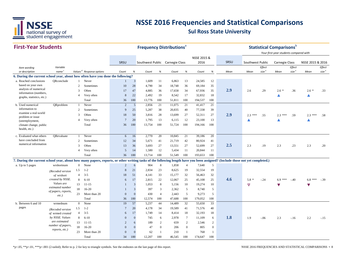

#### **First-Year Students**

|                                                                                                                                                                              | <b>First-Year Students</b>      |                          |                                      |                 |                | <b>Frequency Distributions</b> <sup>®</sup> |                |        |                 |             |              |      |                  |                   | <b>Statistical Comparisons</b>         |                   |                  |                   |
|------------------------------------------------------------------------------------------------------------------------------------------------------------------------------|---------------------------------|--------------------------|--------------------------------------|-----------------|----------------|---------------------------------------------|----------------|--------|-----------------|-------------|--------------|------|------------------|-------------------|----------------------------------------|-------------------|------------------|-------------------|
|                                                                                                                                                                              |                                 |                          |                                      |                 |                |                                             |                |        |                 |             |              |      |                  |                   | Your first-year students compared with |                   |                  |                   |
|                                                                                                                                                                              |                                 |                          |                                      |                 |                |                                             |                |        |                 | NSSE 2015 & |              |      |                  |                   |                                        |                   |                  |                   |
|                                                                                                                                                                              |                                 |                          |                                      | SRSU            |                | Southwest Public Carnegie Class             |                |        |                 | 2016        |              | SRSU | Southwest Public |                   | <b>Carnegie Class</b>                  |                   | NSSE 2015 & 2016 |                   |
| Item wording                                                                                                                                                                 | Variable                        |                          |                                      |                 |                |                                             |                |        |                 |             |              |      |                  | Effect            |                                        | <b>Effect</b>     |                  | Effect            |
| or description                                                                                                                                                               | name <sup>c</sup>               |                          | Values <sup>d</sup> Response options | Count           | $\%$           | Count                                       | $\%$           | Count  | $\%$            | Count       | $\%$         | Mean | Mean             | size <sup>e</sup> | Mean                                   | size <sup>e</sup> | Mean             | size <sup>e</sup> |
| 6. During the current school year, about how often have you done the following?                                                                                              |                                 |                          |                                      |                 |                |                                             |                |        |                 |             |              |      |                  |                   |                                        |                   |                  |                   |
| a. Reached conclusions<br>based on your own                                                                                                                                  | ORconclude                      | $\mathbf{1}$             | Never                                | -1              | $\overline{3}$ | 1,609                                       | 11             | 6,863  | 13              | 24,585      | 12           |      |                  |                   |                                        |                   |                  |                   |
| analysis of numerical                                                                                                                                                        |                                 | $\overline{2}$           | Sometimes                            | 10              | 28             | 4,790                                       | 34             | 18,748 | 36              | 69,184      | 35           |      |                  |                   |                                        |                   |                  |                   |
| information (numbers,                                                                                                                                                        |                                 | 3                        | Often                                | 17              | 47             | 4,885                                       | 36             | 17,658 | 34              | 67,936      | 35           | 2.9  | 2.6              | .29               | $2.6*$                                 | .36               | $2.6*$           | .33               |
| graphs, statistics, etc.)                                                                                                                                                    |                                 | $\overline{4}$           | Very often                           | 8               | 22             | 2,492                                       | 19             | 8,542  | 17              | 32,832      | 18           |      |                  |                   | Δ                                      |                   | ▲                |                   |
|                                                                                                                                                                              |                                 |                          | Total                                | 36              | 100            | 13,776                                      | 100            | 51,811 | 100             | 194,537     | 100          |      |                  |                   |                                        |                   |                  |                   |
| b. Used numerical                                                                                                                                                            | QRproblem                       | -1                       | Never                                | 2               | 5              | 2,856                                       | 21             | 11,075 | 21              | 41,417      | 21           |      |                  |                   |                                        |                   |                  |                   |
| information to<br>examine a real-world                                                                                                                                       |                                 | 2                        | Sometimes                            | 9               | 25             | 5,287                                       | 38             | 20,835 | 40              | 77,338      | 39           |      |                  |                   |                                        |                   |                  |                   |
| problem or issue                                                                                                                                                             |                                 | $\mathcal{R}$            | Often                                | 18              | 50             | 3,816                                       | 28             | 13,699 | 27              | 52,311      | 27           | 2.9  | $2.3***$         | .55               | $2.3***$                               | .59               | $2.3***$         | .58               |
| (unemployment,                                                                                                                                                               |                                 | $\overline{A}$           | Very often                           | $7\phantom{.0}$ | 20             | 1,795                                       | 13             | 6,115  | 12              | 23,100      | 13           |      |                  |                   |                                        |                   |                  |                   |
| climate change, public                                                                                                                                                       |                                 |                          | Total                                | 36              | 100            | 13,754                                      | 100            | 51,724 | 100             | 194,166     | 100          |      |                  |                   |                                        |                   |                  |                   |
| health, etc.)                                                                                                                                                                |                                 |                          |                                      |                 |                |                                             |                |        |                 |             |              |      |                  |                   |                                        |                   |                  |                   |
| c. Evaluated what others                                                                                                                                                     | ORevaluate                      | -1                       | Never                                | 6               | 16             | 2,770                                       | 20             | 10,845 | 21              | 39,186      | 20           |      |                  |                   |                                        |                   |                  |                   |
| have concluded from                                                                                                                                                          |                                 |                          |                                      |                 |                |                                             |                |        |                 |             |              |      |                  |                   |                                        |                   |                  |                   |
| numerical information                                                                                                                                                        |                                 | 2                        | Sometimes                            | 12              | 34             | 5,671                                       | 41             | 21,719 | 42              | 80,924      | 41           |      |                  |                   |                                        |                   |                  |                   |
|                                                                                                                                                                              |                                 | 3                        | Often                                | 13              | 36             | 3,693                                       | 27             | 13,551 | 27              | 52,699      | 27           | 2.5  | 2.3              | .19               | 2.3                                    | .23               | 2.3              | .20               |
|                                                                                                                                                                              |                                 | $\overline{\mathcal{A}}$ | Very often                           | $\overline{5}$  | 14             | 1,580                                       | 12             | 5,434  | 11              | 20,844      | 11           |      |                  |                   |                                        |                   |                  |                   |
|                                                                                                                                                                              |                                 |                          | Total                                | 36              | 100            | 13,714                                      | 100            | 51,549 | 100             | 193,653     | 100          |      |                  |                   |                                        |                   |                  |                   |
| 7. During the current school year, about how many papers, reports, or other writing tasks of the following length have you been assigned? (Include those not yet completed.) |                                 |                          |                                      |                 |                |                                             |                |        |                 |             |              |      |                  |                   |                                        |                   |                  |                   |
| a. Up to 5 pages                                                                                                                                                             | wrshortnum                      | $\overline{0}$           | None                                 | 2               | 6              | 904                                         | 8              | 1,858  | $\overline{4}$  | 7,640       | 5            |      |                  |                   |                                        |                   |                  |                   |
|                                                                                                                                                                              | (Recoded version                | 1.5                      | $1 - 2$                              | 8               | 21             | 2,834                                       | 23             | 8,625  | 19              | 32,554      | 19           |      |                  |                   |                                        |                   |                  |                   |
|                                                                                                                                                                              | of wrshort                      | 4                        | $3 - 5$                              | 18              | 51             | 4,141                                       | 33             | 15,177 | 32              | 56,463      | 32           |      |                  |                   |                                        |                   |                  |                   |
|                                                                                                                                                                              | created by NSSE.                | 8                        | $6 - 10$                             | 6               | 17             | 2,815                                       | 22             | 12,067 | 25              | 45,108      | 25           | 4.6  | $5.8*$           | $-.24$            | $6.9***$                               | $-.40$            | $6.8***$         | $-.39$            |
|                                                                                                                                                                              | Values are                      | 13                       | $11 - 15$                            |                 | $\overline{3}$ | 1,053                                       | 8              | 5,156  | 10              | 19,274      | 10           |      | $\triangledown$  |                   | ▼                                      |                   |                  |                   |
|                                                                                                                                                                              | estimated number                | 18                       | $16 - 20$                            |                 | $\overline{3}$ | 397                                         | 3              | 2,362  | 5               | 8,740       | 5            |      |                  |                   |                                        |                   |                  |                   |
|                                                                                                                                                                              | of papers, reports,<br>$etc.$ ) | 23                       | More than 20                         | $\Omega$        | $\mathbf{0}$   | 430                                         | $\overline{4}$ | 2,443  | 5               | 9,273       | 5            |      |                  |                   |                                        |                   |                  |                   |
|                                                                                                                                                                              |                                 |                          | Total                                | 36              | 100            | 12,574                                      | 100            | 47,688 | 100             | 179,052     | 100          |      |                  |                   |                                        |                   |                  |                   |
| b. Between 6 and 10                                                                                                                                                          | wrmednum                        | $\overline{0}$           | None                                 | 19              | 57             | 5,237                                       | 44             | 14,489 | 32              | 55,650      | 33           |      |                  |                   |                                        |                   |                  |                   |
| pages                                                                                                                                                                        | (Recoded version                | 1.5                      | $1 - 2$                              | $7\phantom{.0}$ | 20             | 4,178                                       | 34             | 19,589 | 41              | 71,576      | 40           |      |                  |                   |                                        |                   |                  |                   |
|                                                                                                                                                                              | of wrmed created                | $\overline{4}$           | $3 - 5$                              | 6               | 17             | 1,749                                       | 14             | 8,414  | 18              | 32,193      | 18           |      |                  |                   |                                        |                   |                  |                   |
|                                                                                                                                                                              | by NSSE. Values                 | 8                        | $6 - 10$                             | $\Omega$        | $\mathbf{0}$   | 745                                         | 6              | 2,978  | $7\phantom{.0}$ | 11,109      | 6            | 1.8  | 1.9              | $-.06$            | 2.3                                    | $-.16$            | 2.2              | $-.15$            |
|                                                                                                                                                                              | are estimated                   | 13                       | $11 - 15$                            | $\overline{c}$  | 6              | 189                                         | 2              | 659    | $\overline{2}$  | 2,546       | 2            |      |                  |                   |                                        |                   |                  |                   |
|                                                                                                                                                                              | number of papers,               | 18                       | $16 - 20$                            | $\Omega$        | $\overline{0}$ | 47                                          | $\mathbf{0}$   | 206    | $\overline{0}$  | 805         | $\mathbf{0}$ |      |                  |                   |                                        |                   |                  |                   |
|                                                                                                                                                                              | reports, etc.)                  | 23                       | More than 20                         | $\Omega$        | $\overline{0}$ | 62                                          | $\mathbf{1}$   | 210    | $\mathbf{1}$    | 768         | $\mathbf{1}$ |      |                  |                   |                                        |                   |                  |                   |
|                                                                                                                                                                              |                                 |                          | Total                                | 34              | 100            | 12,207                                      | 100            | 46,545 | 100             | 174,647     | 100          |      |                  |                   |                                        |                   |                  |                   |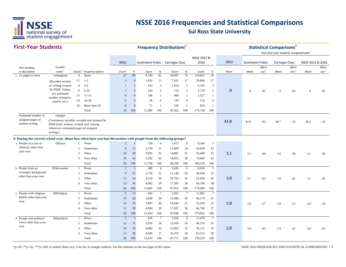

#### **First-Year StudentsSRSU** *Item wording or description Variable name Values <sup>d</sup> Response options Count % Count % Count % Count % Mean Effect size <sup>e</sup> Mean Mean Effect size <sup>e</sup> Effect size <sup>e</sup>* SRSU Southwest Public Carnegie Class NSSE 2015 & 2016 Southwest Public Carnegie Class NSSE 2015 & 2016 **Frequency Distributions**<sup>a</sup> **Statistical Comparisons** *Your first-year students compared with Mean*c. 11 pages or more wrlongnum 0 None 27 80 9,740 81 34,697 76 129,831 76 1.5 1-2 3 9 1,430 12 7,931 17 29,896 17 4 3-5 1 3 333 3 1,416 3 5,335 3 8 6-10 <sup>3</sup> <sup>9</sup> <sup>224</sup> <sup>2</sup> <sup>732</sup> <sup>2</sup> 2,770 <sup>2</sup> **.99** .8 .03 .9 .02 .9 .02 13 11-15 0 0 146 1 408 1 1,527 1 18 16-20 0 0 40 0 139 0 574 023 More than 20 0 0 71 1 239 1 825 1 Total 34 100 11,984 100 45,562 100 170,758 100 wrpages **41.88** 43.6  $-0.03$  49.7  $-12$  49.2  $-12$ **8. During the current school year, about how often have you had discussions with people from the following groups?** a. People of a race or DDrace 1 Never 2 5 728 6 2,473 6 8,344 5 2 Sometimes 8 22 2,739 21 11,800 24 42,650 23 3 Often <sup>10</sup> <sup>28</sup> 3,935 <sup>31</sup> 14,881 <sup>31</sup> 55,469 <sup>31</sup> **3.1** 3.1 .04 3.0 .09 3.1 .05 4 Very often 16 44 5,302 42 18,955 39 74,065 41 Total 36 100 12,704 100 48,109 100 180,528 100 b. People from an DDeconomic 1 Never r 2 5 688 6 2,426 6 8,056 5 2 Sometimes 9 25 2,756 22 11,146 24 40,450 23 3 Often <sup>12</sup> <sup>34</sup> 4,319 <sup>34</sup> 16,793 <sup>35</sup> 62,694 <sup>34</sup> **3.00**  $3.1$   $-0.05$   $3.0$   $-0.01$   $3.1$   $-0.05$ 4 Very often 13 36 4,902 39 17,587 36 68,784 38 Total 36 100 12,665 100 47,952 100 179,984 100 c. People with religious DD religion 1 Never 5 13 845 7 3,205 7 11,862 7 2 Sometimes 10 28 3,038 24 12,490 26 46,174 25 3 Often <sup>10</sup> <sup>29</sup> 3,867 <sup>30</sup> 14,946 <sup>31</sup> 55,059 <sup>31</sup> **2.8** $\bullet$  3.0 -.27 3.0 -.21 3.0 -.24 4 Very often 11 30 4,904 39 17,307 36 66,760 37 Total 36 100 12,654 100 47,948 100 179,855 100 d. People with political DD political 1 Never 2 5 836 7 3,320 8 11,479 7 2 Sometimes 11 31 3,018 24 12,416 26 46,153 25 3 Often <sup>10</sup> <sup>28</sup> 4,060 <sup>32</sup> 15,662 <sup>32</sup> 58,111 <sup>32</sup> **2.93.** 3.0 -.05 2.9 .01 3.0 -.03 4 Very often 13 36 4,696 37 16,373 34 63,512 36 Total 36 100 12,610 100 47,771 100 179,255 100 *(Recoded version of* wrlong *created by NSSE. Values are estimated number of papers, reports, etc.)* beliefs other than your ownDDreligion views other than your ownDDpolitical Estimated number of assigned pages of student writing. ethnicity other than your own DDraceeconomic background other than your own DDeconomic*(Continuous variable, recoded and summed by NSSE from* wrshort, wrmed, *and* wrlong. *Values are estimated pages of assigned writing.)*

\*p<.05, \*\*p<.01, \*\*\*p<.001 (2-tailed); Refer to p. 2 for key to triangle symbols. See the endnotes on the last page of this report.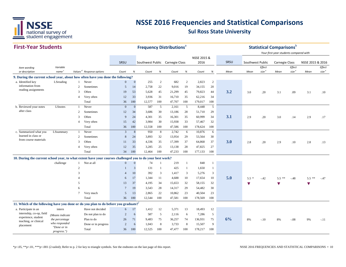

#### **First-Year Students**

after class

**SRSU** *Item wording or description Variable name Values <sup>d</sup> Response options Count % Count % Count % Count % Mean Effect size <sup>e</sup> Mean Mean Effect size <sup>e</sup> Effect size <sup>e</sup>* SRSU Southwest Public Carnegie Class NSSE 2015 & 2016 SRSU Southwest Public Carnegie Class NSSE 2015 & 2016 **Frequency Distributions**<sup>a</sup> **Statistical Comparisons** *Your first-year students compared with Mean***9. During the current school year, about how often have you done the following?** a. Identified key  $L$ Sreading 1 Never 0 0 255 2 682 2 2,823 2 2 Sometimes 5 14 2,758 22 9,016 19 34,155 20 3 Often <sup>19</sup> <sup>53</sup> 5,628 <sup>45</sup> 21,299 <sup>45</sup> 79,823 <sup>44</sup> **3.2** 3.0 .20 3.1 .09 3.1 .10 4 Very often 12 33 3,936 31 16,710 35 62,216 34 Total 36 100 12,577 100 47,707 100 179,017 100 b. Reviewed your notes LS notes 1 Never 0 0 587 5 2,161 5 8,448 5 2 Sometimes 12 34 3,686 30 13,186 28 51,710 29 3 Often <sup>9</sup> <sup>24</sup> 4,301 <sup>35</sup> 16,301 <sup>35</sup> 60,999 <sup>34</sup> **3.1** 2.9 .20 3.0 .14 2.9 .17 4 Very often 15 42 3,984 30 15,938 33 57,467 32 Total 36 100 12,558 100 47,586 100 178,624 100 c. Summarized what you LSsummary 1 Never 3 8 950 8 2,742 6 10,876 6 2 Sometimes 8 24 3,893 32 13,954 29 53,564 30 3 Often <sup>11</sup> <sup>33</sup> 4,336 <sup>35</sup> 17,399 <sup>37</sup> 64,868 <sup>37</sup> **3.0** 2.8 .20 2.9 .10 2.8 .13 4 Very often 12 35 3,285 25 13,138 28 47,825 27 Total 34 100 12,464 100 47,233 100 177,133 100 **10. During the current school year, to what extent have your courses challenged you to do your best work?** 1 Not at all 0 0 74 1 219 1 848 12 1 3 131 1 425 1 1,650 1 3 4 10 392 3 1,417 3 5,276 3 4 <sup>6</sup> <sup>17</sup> 1,344 <sup>11</sup> 4,688 <sup>10</sup> 17,654 <sup>10</sup> **5.0** 5.5 \* -.42 5.5 \*\* -.48 5.5 \*\* -.47 5 13 37 4,195 34 15,653 32 58,155 32 ▼ ▼ ▼ ▼ information from reading assignments LSreading **LSnotes** learned in class or from course materialsLSsummary challenge

|                                                                                    | O                          |                     |    | 19       | 3,543  | 28  | 14,317 | 29  | 54,482  | 30  |    |    |        |    |        |    |      |
|------------------------------------------------------------------------------------|----------------------------|---------------------|----|----------|--------|-----|--------|-----|---------|-----|----|----|--------|----|--------|----|------|
|                                                                                    |                            | Very much           |    | 13       | 2,865  | 22  | 10,862 | 23  | 40,504  | 23  |    |    |        |    |        |    |      |
|                                                                                    |                            | Total               | 36 | 100      | 12.544 | 100 | 47,581 | 100 | 178,569 | 100 |    |    |        |    |        |    |      |
| 11. Which of the following have you done or do you plan to do before you graduate? |                            |                     |    |          |        |     |        |     |         |     |    |    |        |    |        |    |      |
| a. Participate in an                                                               | intern                     | Have not decided    | 6  | 17       | 1,412  | 12  | 5,371  | 13  | 18,493  | 12  |    |    |        |    |        |    |      |
| internship, co-op, field                                                           | (Means indicate            | Do not plan to do   |    | 6        | 587    |     | 2,116  | 6   | 7,286   | 5   |    |    |        |    |        |    |      |
| experience, student<br>teaching, or clinical                                       | the percentage             | Plan to do          | 26 | 71       | 9,483  | 75  | 36,257 | 74  | 136,931 | 75  | 6% | 8% | $-.10$ | 8% | $-.08$ | 9% | -.11 |
| placement                                                                          | who responded              | Done or in progress |    | $\sigma$ | 1,043  | 8   | 3,733  | 8   | 15,507  | 9   |    |    |        |    |        |    |      |
|                                                                                    | "Done or in<br>progress.") | Total               | 36 | 100      | 12,525 | 100 | 47,477 | 100 | 178,217 | 100 |    |    |        |    |        |    |      |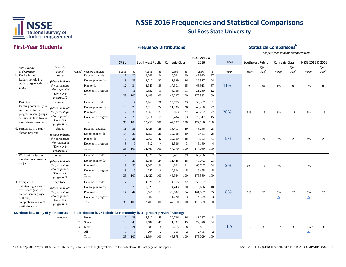

#### **First-Year Students**

**Frequency Distributions**<sup>a</sup> **Statistical Comparisons** 

|                                            |                               |                                                                                                                    |                 |              |                                 |                |        |      |             |                 |             |                  |                             | Your first-year students compared with |                             |                  |                             |
|--------------------------------------------|-------------------------------|--------------------------------------------------------------------------------------------------------------------|-----------------|--------------|---------------------------------|----------------|--------|------|-------------|-----------------|-------------|------------------|-----------------------------|----------------------------------------|-----------------------------|------------------|-----------------------------|
|                                            |                               |                                                                                                                    |                 |              |                                 |                |        |      | NSSE 2015 & |                 |             |                  |                             |                                        |                             |                  |                             |
|                                            |                               |                                                                                                                    | SRSU            |              | Southwest Public Carnegie Class |                |        |      | 2016        |                 | <b>SRSU</b> | Southwest Public |                             | <b>Carnegie Class</b>                  |                             | NSSE 2015 & 2016 |                             |
| Item wording<br>or description             | Variable<br>name <sup>c</sup> | Values <sup>d</sup><br>Response options                                                                            | Count           | %            | Count                           | $\%$           | Count  | $\%$ | Count       | $\%$            | Mean        | Mean             | Effect<br>size <sup>e</sup> | Mean                                   | Effect<br>size <sup>e</sup> | Mean             | Effect<br>size <sup>e</sup> |
| b. Hold a formal                           | leader                        | Have not decided                                                                                                   | $7\phantom{.0}$ | 20           | 3,288                           | 26             | 13,531 | 29   | 47,923      | 27              |             |                  |                             |                                        |                             |                  |                             |
| leadership role in a                       | (Means indicate               | Do not plan to do                                                                                                  | 13              | 36           | 2,710                           | 22             | 11,329 | 26   | 39,517      | 24              |             |                  |                             |                                        |                             |                  |                             |
| student organization or                    | the percentage                | Plan to do                                                                                                         | 12              | 34           | 4,943                           | 39             | 17,301 | 35   | 68,913      | 37              | 11%         | 13%              | $-.06$                      | 11%                                    | .01                         | 12%              | $-.03$                      |
| group                                      | who responded                 | Done or in progress                                                                                                | $\overline{4}$  | 11           | 1,552                           | 13             | 5,136  | 11   | 21,230      | 12              |             |                  |                             |                                        |                             |                  |                             |
|                                            | "Done or in<br>progress.")    | Total                                                                                                              | 36              | 100          | 12,493                          | 100            | 47,297 | 100  | 177,583     | 100             |             |                  |                             |                                        |                             |                  |                             |
| c. Participate in a                        | learncom                      | Have not decided                                                                                                   | 6               | 17           | 3,763                           | 30             | 15,755 | 33   | 56,337      | 31              |             |                  |                             |                                        |                             |                  |                             |
| learning community or<br>some other formal | (Means indicate               | Do not plan to do                                                                                                  | 10              | 28           | 3,013                           | 24             | 11,935 | 26   | 46,260      | 27              |             |                  |                             |                                        |                             |                  |                             |
| program where groups                       | the percentage                | Plan to do                                                                                                         | 12              | 35           | 3,963                           | 31             | 13,063 | 27   | 48,252      | 27              | 20%         | 15%              | .15                         | 13%                                    | .18                         | 15%              | .13                         |
| of students take two or                    | who responded                 | Done or in progress                                                                                                | $7\phantom{.0}$ | 20           | 1,716                           | 15             | 6,434  | 13   | 26,317      | 15              |             |                  |                             |                                        |                             |                  |                             |
| more classes together                      | "Done or in<br>progress.")    | Total                                                                                                              | 35              | 100          | 12,455                          | 100            | 47,187 | 100  | 177,166     | 100             |             |                  |                             |                                        |                             |                  |                             |
| d. Participate in a study                  | abroad                        | Have not decided                                                                                                   | 11              | 31           | 3,429                           | 28             | 13,417 | 29   | 48,256      | 28              |             |                  |                             |                                        |                             |                  |                             |
| abroad program                             | (Means indicate               | Do not plan to do                                                                                                  | 14              | 39           | 3,155                           | 26             | 13,108 | 30   | 45,461      | 28              |             |                  |                             |                                        |                             |                  |                             |
|                                            | the percentage                | Plan to do                                                                                                         | 8               | 21           | 5,365                           | 42             | 19,109 | 38   | 77,183      | 41              | 9%          | 4%               | .20                         | 3%                                     | .25                         | 4%               | .23                         |
|                                            | who responded<br>"Done or in  | Done or in progress                                                                                                | 3               | 9            | 512                             | $\overline{4}$ | 1,536  | 3    | 6,180       | $\overline{4}$  |             |                  |                             |                                        |                             |                  |                             |
|                                            | progress.")                   | Total                                                                                                              | 36              | 100          | 12,461                          | 100            | 47,170 | 100  | 177,080     | 100             |             |                  |                             |                                        |                             |                  |                             |
| e. Work with a faculty                     | research                      | Have not decided                                                                                                   | $7\phantom{.0}$ | 19           | 4,329                           | 34             | 18,411 | 39   | 66,236      | 37              |             |                  |                             |                                        |                             |                  |                             |
| member on a research<br>project            | (Means indicate               | Do not plan to do                                                                                                  | $7\phantom{.0}$ | 20           | 3.049                           | 24             | 11.445 | 25   | 40,072      | 23              |             |                  |                             |                                        |                             |                  |                             |
|                                            | the percentage                | Plan to do                                                                                                         | 19              | 53           | 4,302                           | 36             | 14,824 | 31   | 60,747      | 34              | 9%          | 6%               | .10                         | 5%                                     | .15                         | 5%               | .13                         |
|                                            | who responded<br>"Done or in  | Done or in progress                                                                                                | 3               | 9            | 747                             | 6              | 2,304  | 5    | 9,475       | 5               |             |                  |                             |                                        |                             |                  |                             |
|                                            | progress.")                   | Total                                                                                                              | 36              | 100          | 12,427                          | 100            | 46,984 | 100  | 176,530     | 100             |             |                  |                             |                                        |                             |                  |                             |
| f. Complete a                              | capstone                      | Have not decided                                                                                                   | $7\phantom{.0}$ | 19           | 4,029                           | 33             | 14,755 | 32   | 53,757      | 31              |             |                  |                             |                                        |                             |                  |                             |
| culminating senior<br>experience (capstone | (Means indicate               | Do not plan to do                                                                                                  | 9               | 25           | 1,329                           | 11             | 4,443  | 10   | 16,666      | 10              |             |                  |                             |                                        |                             |                  |                             |
| course, senior project                     | the percentage                | Plan to do                                                                                                         | 17              | 47           | 6,665                           | 53             | 26,592 | 54   | 101,587     | 55              | 8%          | 3%               | .22                         | $3\% *$                                | .25                         | $3\%$ *          | .25                         |
| or thesis.                                 | who responded                 | Done or in progress                                                                                                | 3               | 8            | 382                             | $\overline{3}$ | 1,220  | 3    | 4,579       | 3               |             |                  |                             | Δ                                      |                             | Δ                |                             |
| comprehensive exam,<br>portfolio, etc.)    | "Done or in<br>progress.")    | Total                                                                                                              | 36              | 100          | 12,405                          | 100            | 47,010 | 100  | 176,589     | 100             |             |                  |                             |                                        |                             |                  |                             |
|                                            |                               | 12. About how many of your courses at this institution have included a community-based project (service-learning)? |                 |              |                                 |                |        |      |             |                 |             |                  |                             |                                        |                             |                  |                             |
|                                            | servcourse                    | None                                                                                                               | 12              | 33           | 5,512                           | 45             | 20,796 | 46   | 81,287      | 48              |             |                  |                             |                                        |                             |                  |                             |
|                                            |                               | $\overline{2}$<br>Some                                                                                             | 16              | 46           | 5,689                           | 45             | 21,802 | 45   | 79,376      | 44              |             |                  |                             |                                        |                             |                  |                             |
|                                            |                               | 3<br>Most                                                                                                          | 7               | 21           | 989                             | 8              | 3,615  | 8    | 12,881      | $7\overline{ }$ | 1.9         | 1.7              | .31                         | 1.7                                    | .33                         | $1.6*$           | .36                         |
|                                            |                               | All<br>$\overline{4}$                                                                                              | $\Omega$        | $\mathbf{0}$ | 204                             | 2              | 665    | 2    | 2,485       | $\overline{c}$  |             |                  |                             |                                        |                             | ▲                |                             |
|                                            |                               | Total                                                                                                              | 35              | 100          | 12,394                          | 100            | 46,878 | 100  | 176,029     | 100             |             |                  |                             |                                        |                             |                  |                             |
|                                            |                               |                                                                                                                    |                 |              |                                 |                |        |      |             |                 |             |                  |                             |                                        |                             |                  |                             |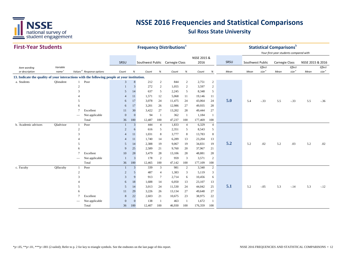

#### **First-Year Students**

| <b>First-Year Students</b>                                                                   |                               |                 |                                      |                    |                         | <b>Frequency Distributions<sup>a</sup></b> |                |               |                |                     |                     |      |      |                  |                             | <b>Statistical Comparisons</b> <sup>b</sup><br>Your first-year students compared with |                             |                  |                             |
|----------------------------------------------------------------------------------------------|-------------------------------|-----------------|--------------------------------------|--------------------|-------------------------|--------------------------------------------|----------------|---------------|----------------|---------------------|---------------------|------|------|------------------|-----------------------------|---------------------------------------------------------------------------------------|-----------------------------|------------------|-----------------------------|
|                                                                                              |                               |                 |                                      | SRSU               |                         | Southwest Public Carnegie Class            |                |               |                | NSSE 2015 &<br>2016 |                     | SRSU |      | Southwest Public |                             | <b>Carnegie Class</b>                                                                 |                             | NSSE 2015 & 2016 |                             |
| Item wording<br>or description                                                               | Variable<br>name <sup>c</sup> |                 | Values <sup>d</sup> Response options | Count              | $\%$                    | Count                                      | $\%$           | Count         | $\%$           | Count               | $\%$                | Mean | Mean |                  | Effect<br>size <sup>e</sup> | Mean                                                                                  | Effect<br>size <sup>e</sup> | Mean             | Effect<br>size <sup>e</sup> |
| 13. Indicate the quality of your interactions with the following people at your institution. |                               |                 |                                      |                    |                         |                                            |                |               |                |                     |                     |      |      |                  |                             |                                                                                       |                             |                  |                             |
| a. Students                                                                                  | QIstudent                     | $\mathbf{1}$    | Poor                                 | 3                  | 8                       | 212                                        | $\overline{2}$ | 844           | $\sqrt{2}$     | 2,751               | $\sqrt{2}$          |      |      |                  |                             |                                                                                       |                             |                  |                             |
|                                                                                              |                               | 2               |                                      | $\mathbf{1}$       | 3                       | 272                                        | 2              | 1,055         | 2              | 3,597               | $\sqrt{2}$          |      |      |                  |                             |                                                                                       |                             |                  |                             |
|                                                                                              |                               | $\mathcal{R}$   |                                      | 5                  | 14                      | 637                                        | 5              | 2,245         | 5              | 8,348               | 5                   |      |      |                  |                             |                                                                                       |                             |                  |                             |
|                                                                                              |                               |                 |                                      | $\overline{4}$     | 11                      | 1,571                                      | 12             | 5,068         | 11             | 19,146              | 11                  |      |      |                  |                             |                                                                                       |                             |                  |                             |
|                                                                                              |                               |                 |                                      | 6                  | 17                      | 3,078                                      | 24             | 11,475        | 24             | 43,064              | 24                  | 5.0  | 5.4  |                  | $-.33$                      | 5.5                                                                                   | $-.33$                      | 5.5              | $-36$                       |
|                                                                                              |                               |                 |                                      | 6                  | 17                      | 3,201                                      | 26             | 12,986        | 27             | 49,935              | 28                  |      |      |                  |                             |                                                                                       |                             |                  |                             |
|                                                                                              |                               |                 | Excellent                            | 11                 | 30                      | 3,422                                      | 27             | 13,202        | 28             | 49,444              | 27                  |      |      |                  |                             |                                                                                       |                             |                  |                             |
|                                                                                              |                               |                 | Not applicable<br>Total              | $\mathbf{0}$       | $\boldsymbol{0}$<br>100 | 94                                         | 100            | 362<br>47,237 | -1<br>100      | 1,184               | -1<br>100           |      |      |                  |                             |                                                                                       |                             |                  |                             |
| b. Academic advisors                                                                         | QIadvisor                     | 1               | Poor                                 | 36<br>-1           | $\mathbf{3}$            | 12,487<br>444                              | $\overline{4}$ | 1,833         | $\overline{4}$ | 177,469<br>6,329    | $\overline{4}$      |      |      |                  |                             |                                                                                       |                             |                  |                             |
|                                                                                              |                               | $\overline{2}$  |                                      | $\overline{2}$     | 6                       | 616                                        | 5              | 2,351         | 5              | 8,543               | 5                   |      |      |                  |                             |                                                                                       |                             |                  |                             |
|                                                                                              |                               | 3               |                                      | 4                  | 11                      | 1,031                                      | 8              | 3,777         | $\,8\,$        | 13,783              | $\,8\,$             |      |      |                  |                             |                                                                                       |                             |                  |                             |
|                                                                                              |                               |                 |                                      | $\overline{4}$     | 11                      | 1,740                                      | 14             | 6,289         | 13             | 23,204              | 13                  |      |      |                  |                             |                                                                                       |                             |                  |                             |
|                                                                                              |                               | 5               |                                      | 5                  | 14                      | 2,388                                      | 19             | 9,067         | 19             | 34,831              | 19                  | 5.2  | 5.2  |                  | .02                         | 5.2                                                                                   | .03                         | 5.2              | .02                         |
|                                                                                              |                               | 6               |                                      | 9                  | 25                      | 2,589                                      | 21             | 9,760         | 20             | 37,967              | 21                  |      |      |                  |                             |                                                                                       |                             |                  |                             |
|                                                                                              |                               | $7\phantom{.0}$ | Excellent                            | 10                 | 28                      | 3,479                                      | 28             | 13,106        | 28             | 48,881              | 28                  |      |      |                  |                             |                                                                                       |                             |                  |                             |
|                                                                                              |                               |                 | Not applicable                       | $\mathbf{1}$       | $\overline{3}$          | 178                                        | $\overline{c}$ | 959           | 3              | 3,571               | $\sqrt{2}$          |      |      |                  |                             |                                                                                       |                             |                  |                             |
|                                                                                              |                               |                 | Total                                | 36                 | 100                     | 12,465                                     | 100            | 47,142        | 100            | 177,109             | 100                 |      |      |                  |                             |                                                                                       |                             |                  |                             |
| c. Faculty                                                                                   | QIfaculty                     | -1              | Poor                                 | -1                 | 3                       | 339                                        | $\mathfrak{Z}$ | 981           | $\overline{2}$ | 3,340               | $\overline{2}$      |      |      |                  |                             |                                                                                       |                             |                  |                             |
|                                                                                              |                               | $\overline{c}$  |                                      | $\overline{c}$     | 5                       | 487                                        | $\overline{4}$ | 1,383         | 3              | 5,119               | 3                   |      |      |                  |                             |                                                                                       |                             |                  |                             |
|                                                                                              |                               | 3               |                                      | 3                  | 9                       | 913                                        | 7              | 2,714         | 6              | 10,456              | 6                   |      |      |                  |                             |                                                                                       |                             |                  |                             |
|                                                                                              |                               |                 |                                      | 6                  | 18                      | 1,688                                      | 14             | 6,050         | 13             | 23,107              | 13                  |      |      |                  |                             |                                                                                       |                             |                  |                             |
|                                                                                              |                               | 5               |                                      | 5                  | 14                      | 3,013                                      | 24             | 11,530        | 24             | 44,042              | 25                  | 5.1  | 5.2  |                  | $-.05$                      | 5.3                                                                                   | $-.14$                      | 5.3              | $-12$                       |
|                                                                                              |                               | 6               |                                      | 11                 | 29                      | 3,226                                      | 26             | 13,134        | 27             | 49,648              | 27                  |      |      |                  |                             |                                                                                       |                             |                  |                             |
|                                                                                              |                               |                 | Excellent                            | 8                  | 22                      | 2,603<br>138                               | 21             | 10,675        | 23             | 38,975              | 22                  |      |      |                  |                             |                                                                                       |                             |                  |                             |
|                                                                                              |                               |                 | Not applicable<br>Total              | $\mathbf{0}$<br>36 | $\mathbf{0}$<br>100     | 12,407                                     | 100            | 463<br>46,930 | -1<br>100      | 1,672<br>176,359    | $\mathbf{1}$<br>100 |      |      |                  |                             |                                                                                       |                             |                  |                             |
|                                                                                              |                               |                 |                                      |                    |                         |                                            |                |               |                |                     |                     |      |      |                  |                             |                                                                                       |                             |                  |                             |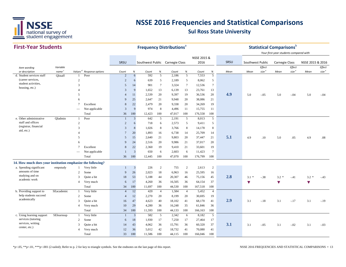

#### **First-Year Students**

| <b>First-Year Students</b>                                  |                   |                     |                  |                 | <b>Frequency Distributions<sup>ª</sup></b> |                                 |                 |        |                |                     |                 |      |                      | <b>Statistical Comparisons</b> <sup>b</sup> |                                                                 |                   |                  |                   |
|-------------------------------------------------------------|-------------------|---------------------|------------------|-----------------|--------------------------------------------|---------------------------------|-----------------|--------|----------------|---------------------|-----------------|------|----------------------|---------------------------------------------|-----------------------------------------------------------------|-------------------|------------------|-------------------|
|                                                             |                   |                     |                  | SRSU            |                                            | Southwest Public Carnegie Class |                 |        |                | NSSE 2015 &<br>2016 |                 | SRSU | Southwest Public     |                                             | Your first-year students compared with<br><b>Carnegie Class</b> |                   | NSSE 2015 & 2016 |                   |
| Item wording                                                | Variable          |                     |                  |                 |                                            |                                 |                 |        |                |                     |                 |      |                      | Effect                                      |                                                                 | Effect            |                  | Effect            |
| or description                                              | name <sup>c</sup> | Values <sup>d</sup> | Response options | Count           | $\%$                                       | Count                           | $\%$            | Count  | $\%$           | Count               | $\%$            | Mean | Mean                 | size <sup>e</sup>                           | Mean                                                            | size <sup>e</sup> | Mean             | size <sup>e</sup> |
| d. Student services staff                                   | QIstaff           | 1                   | Poor             | $\overline{2}$  | 6                                          | 592                             | 5               | 2,186  | 5              | 7,553               | 5               |      |                      |                                             |                                                                 |                   |                  |                   |
| (career services,                                           |                   | $\overline{c}$      |                  | $\overline{2}$  | 6                                          | 639                             | 5               | 2,189  | 5              | 8,062               | 5               |      |                      |                                             |                                                                 |                   |                  |                   |
| student activities,                                         |                   | 3                   |                  | 5               | 14                                         | 901                             | $7\phantom{.0}$ | 3,324  | $\tau$         | 12,536              | $\tau$          |      |                      |                                             |                                                                 |                   |                  |                   |
| housing, etc.)                                              |                   |                     |                  | 3               | 9                                          | 1,652                           | 13              | 6,139  | 13             | 23,761              | 13              |      |                      |                                             |                                                                 |                   |                  |                   |
|                                                             |                   | 5                   |                  | $\overline{4}$  | 11                                         | 2,539                           | 20              | 9,397  | 19             | 36,536              | 20              | 4.9  | 5.0                  | $-.05$                                      | 5.0                                                             | $-.04$            | 5.0              | $-.04$            |
|                                                             |                   | 6                   |                  | $\mathbf{Q}$    | 25                                         | 2.647                           | 21              | 9,948  | 20             | 38,086              | 21              |      |                      |                                             |                                                                 |                   |                  |                   |
|                                                             |                   | $\overline{7}$      | Excellent        | 8               | 22                                         | 2,479                           | 20              | 9,338  | 20             | 34,269              | 19              |      |                      |                                             |                                                                 |                   |                  |                   |
|                                                             |                   |                     | Not applicable   | 3               | 9                                          | 974                             | 8               | 4,496  | 11             | 15,755              | 11              |      |                      |                                             |                                                                 |                   |                  |                   |
|                                                             |                   |                     | Total            | 36              | 100                                        | 12,423                          | 100             | 47,017 | 100            | 176,558             | 100             |      |                      |                                             |                                                                 |                   |                  |                   |
| e. Other administrative                                     | OIadmin           | -1                  | Poor             | $\overline{1}$  | $\overline{3}$                             | 642                             | 5               | 2,191  | 5              | 8,013               | 5               |      |                      |                                             |                                                                 |                   |                  |                   |
| staff and offices                                           |                   | 2                   |                  | $\overline{2}$  | 6                                          | 718                             | 6               | 2,573  | 5              | 9,411               | 5               |      |                      |                                             |                                                                 |                   |                  |                   |
| (registrar, financial                                       |                   | 3                   |                  | 3               | 8                                          | 1,026                           | 8               | 3,766  | 8              | 14,178              | 8               |      |                      |                                             |                                                                 |                   |                  |                   |
| aid, etc.)                                                  |                   |                     |                  | $7\phantom{.0}$ | 20                                         | 1,893                           | 16              | 6,738  | 14             | 25,709              | 14              |      |                      |                                             |                                                                 |                   |                  |                   |
|                                                             |                   | 5                   |                  | 5               | 15                                         | 2,640                           | 21              | 9,803  | 20             | 37,447              | 21              | 5.1  | 4.9                  | .10                                         | 5.0                                                             | .05               | 4.9              | .08               |
|                                                             |                   | 6                   |                  | 9               | 24                                         | 2,516                           | 20              | 9,986  | 21             | 37,017              | 20              |      |                      |                                             |                                                                 |                   |                  |                   |
|                                                             |                   | $\tau$              | Excellent        | 8               | 22                                         | 2,360                           | 19              | 9,410  | 21             | 33,601              | 19              |      |                      |                                             |                                                                 |                   |                  |                   |
|                                                             |                   |                     | Not applicable   | $\mathbf{1}$    | $\overline{3}$                             | 650                             | 6               | 2,603  | 6              | 11,423              | $7\phantom{.0}$ |      |                      |                                             |                                                                 |                   |                  |                   |
|                                                             |                   |                     | Total            | 36              | 100                                        | 12,445                          | 100             | 47,070 | 100            | 176,799             | 100             |      |                      |                                             |                                                                 |                   |                  |                   |
| 14. How much does your institution emphasize the following? |                   |                     |                  |                 |                                            |                                 |                 |        |                |                     |                 |      |                      |                                             |                                                                 |                   |                  |                   |
| a. Spending significant                                     | empstudy          | 1                   | Very little      | $\mathbf{1}$    | $\mathbf{3}$                               | 226                             | $\overline{c}$  | 755    | 2              | 2,613               | $\overline{2}$  |      |                      |                                             |                                                                 |                   |                  |                   |
| amounts of time                                             |                   | 2                   | Some             | 9               | 26                                         | 2,023                           | 18              | 6,963  | 16             | 25,595              | 16              |      |                      |                                             |                                                                 |                   |                  |                   |
| studying and on                                             |                   | 3                   | Quite a bit      | 18              | 53                                         | 5,188                           | 44              | 20,307 | 46             | 75,156              | 45              | 2.8  | $3.1 *$              | $-.38$                                      | $3.2 *$                                                         | $-.41$            | $3.2 *$          | $-43$             |
| academic work                                               |                   | $\overline{4}$      | Very much        | 6               | 17                                         | 4,260                           | 36              | 16,505 | 36             | 64,154              | 37              |      | $\blacktriangledown$ |                                             | $\blacktriangledown$                                            |                   | v                |                   |
|                                                             |                   |                     | Total            | 34              | 100                                        | 11,697                          | 100             | 44,530 | 100            | 167,518             | 100             |      |                      |                                             |                                                                 |                   |                  |                   |
| b. Providing support to                                     | SEacademic        | 1                   | Very little      | $\overline{4}$  | 12                                         | 420                             | $\overline{4}$  | 1,584  | $\overline{4}$ | 5,452               | $\overline{4}$  |      |                      |                                             |                                                                 |                   |                  |                   |
| help students succeed                                       |                   | 2                   | Some             | $\overline{4}$  | 12                                         | 2,270                           | 20              | 8,199  | 20             | 30,695              | 19              |      |                      |                                             |                                                                 |                   |                  |                   |
| academically                                                |                   | 3                   | Quite a bit      | 16              | 47                                         | 4,623                           | 40              | 18,102 | 41             | 68,170              | 41              | 2.9  | 3.1                  | $-.18$                                      | 3.1                                                             | $-.17$            | 3.1              | $-.19$            |
|                                                             |                   | 4                   | Very much        | 10              | 29                                         | 4,280                           | 36              | 16,248 | 35             | 61,846              | 36              |      |                      |                                             |                                                                 |                   |                  |                   |
|                                                             |                   |                     | Total            | 34              | 100                                        | 11,593                          | 100             | 44,133 | 100            | 166,163             | 100             |      |                      |                                             |                                                                 |                   |                  |                   |
| c. Using learning support                                   | SElearnsup        | $\mathbf{1}$        | Very little      | $\mathbf{1}$    | $\overline{3}$                             | 582                             | 5               | 2,342  | 6              | 8,182               | 5               |      |                      |                                             |                                                                 |                   |                  |                   |
| services (tutoring                                          |                   | $\overline{2}$      | Some             | 6               | 18                                         | 1,930                           | 17              | 7,250  | 17             | 27,464              | 17              |      |                      |                                             |                                                                 |                   |                  |                   |
| services, writing                                           |                   | 3                   | Quite a bit      | 14              | 43                                         | 4,062                           | 36              | 15,791 | 36             | 60,320              | 37              | 3.1  | 3.1                  | $-.05$                                      | 3.1                                                             | $-.02$            | 3.1              | $-.03$            |
| center, etc.)                                               |                   | $\overline{4}$      | Very much        | 12              | 36                                         | 5,012                           | 42              | 18,732 | 41             | 70,080              | 41              |      |                      |                                             |                                                                 |                   |                  |                   |
|                                                             |                   |                     | Total            | 33              | 100                                        |                                 | 100             | 44,115 | 100            |                     | 100             |      |                      |                                             |                                                                 |                   |                  |                   |
|                                                             |                   |                     |                  |                 |                                            | 11,586                          |                 |        |                | 166,046             |                 |      |                      |                                             |                                                                 |                   |                  |                   |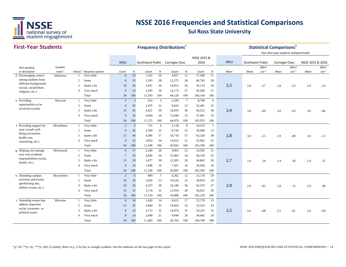

#### **First-Year StudentsSRSU** *Item wording or description Variable name Values <sup>d</sup> Response options Count % Count % Count % Count % Mean Effect size <sup>e</sup> Mean Mean Effect size <sup>e</sup> Effect size <sup>e</sup>* SRSU Southwest Public Carnegie Class NSSE 2015 & 2016 SRSU Southwest Public Carnegie Class NSSE 2015 & 2016 **Frequency Distributions**<sup>a</sup> **Statistical Comparisons** *Your first-year students compared with Mean*d. Encouraging contact SEdiverse 1 Very little  $\begin{array}{cccccc} 8 & 23 & 1,162 & 10 & 4,857 & 12 & 17,946 & 11 \end{array}$ 2 Some 8 23 3,205 28 12,275 28 46,783 28 <sup>3</sup> Quite a bit <sup>10</sup> <sup>30</sup> 3,931 <sup>34</sup> 14,815 <sup>34</sup> 56,119 <sup>34</sup> **2.53** 2.8 -.27 2.8 -.23 2.8 -.23 4 Very much 8 23 3,295 28 12,173 27 45,296 27 Total 34 100 11,593 100 44,120 100 166,144 100 e. Providing 1 Very little 1 3 614 5 2,550 7 8,788 6 . Providing 2 Some 9 26 2,476 22 9,643 23 35,491 22 <sup>3</sup> Quite a bit <sup>15</sup> <sup>45</sup> 4,421 <sup>39</sup> 16,833 <sup>38</sup> 64,255 <sup>38</sup> **2.93.** 3.0 -.09 3.0 -.03 3.0 -.06 4 Very much 9 26 4,064 34 15,044 33 57,401 33 Total 34 100 11,575 100 44,070 100 165,935 100 f. Providing support for SEwellness 1 Very little 2 6 721 6 3,118 8 10,519 7 2 Some 9 26 2,569 22 9,744 23 36,468 23 <sup>3</sup> Quite a bit <sup>15</sup> <sup>44</sup> 4,306 <sup>37</sup> 16,718 <sup>37</sup> 63,520 <sup>38</sup> **2.8** $\delta$  3.0 -.15 2.9 -.08 3.0 -.11 4 Very much 8 23 3,952 34 14,413 31 55,092 32 Total 34 100 11,548 100 43,993 100 165,599 100 g. Helping you manage SEnonacad 1 Very little 6 17 2,240 20 9,063 22 33,582 21 2 Some 7 20 3,836 34 15,002 34 58,139 35 <sup>3</sup> Quite a bit <sup>13</sup> <sup>39</sup> 3,477 <sup>30</sup> 12,505 <sup>28</sup> 46,862 <sup>28</sup> **2.7** 2.4 .26 2.4 .30 2.4 .31 4 Very much 8 24 1,996 16 7,427 16 26,926 16 Total 34 100 11,549 100 43,997 100 165,509 100 h. Attending campus SE activities 1 Very little 2 6 809 7 4,262 12 13,118 10 2 Some 10 29 2,650 23 10,526 25 38,819 24 <sup>3</sup> Quite a bit <sup>10</sup> <sup>30</sup> 4,337 <sup>38</sup> 16,186 <sup>36</sup> 62,370 <sup>37</sup> **2.99** 2.9 -.01 2.8 .15 2.9 .08 4 Very much 12 35 3,718 32 12,914 28 50,822 29 Total 34 100 11,514 100 43,888 100 165,129 100 i. Attending events that SE events 1 Very little 6 18 1,620 14 6,612 17 22,770 15 2 Somee 12 35 3,684 33 14,053 32 53,323 33 <sup>3</sup> Quite a bit <sup>8</sup> <sup>23</sup> 3,713 <sup>32</sup> 14,074 <sup>31</sup> 54,225 <sup>32</sup> **2.53** 2.6  $-0.08$  2.5  $-0.01$  2.6  $-0.04$ 4 Very much 8 24 2,448 21 9,044 20 34,442 20 Total 34 100 11,465 100 43,783 100 164,760 100 activities and events (performing arts, athletic events, etc.) **SEactivities** address important social, economic, or political issues **SEevents** among students from different backgrounds (social, racial/ethnic, religious, etc.) SEdiverseopportunities to be involved socially SEsocialyour overall wellbeing (recreation, health care, counseling, etc.) SEwellnessyour non-academic responsibilities (work, family, etc.) SEnonacad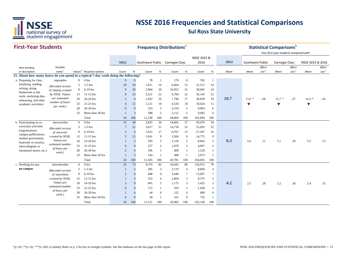

#### **First-Year Students**

|                                                                                    | <b>First-Year Students</b>       |                |                                      |                |              |        |                | <b>Frequency Distributions<sup>ª</sup></b> |                |                     |                  |      |                      |                             | <b>Statistical Comparisons</b> b<br>Your first-year students compared with |                             |                  |                             |
|------------------------------------------------------------------------------------|----------------------------------|----------------|--------------------------------------|----------------|--------------|--------|----------------|--------------------------------------------|----------------|---------------------|------------------|------|----------------------|-----------------------------|----------------------------------------------------------------------------|-----------------------------|------------------|-----------------------------|
|                                                                                    |                                  |                |                                      | SRSU           |              |        |                |                                            |                | NSSE 2015 &<br>2016 |                  | SRSU | Southwest Public     |                             |                                                                            |                             | NSSE 2015 & 2016 |                             |
|                                                                                    |                                  |                |                                      |                |              |        |                | Southwest Public Carnegie Class            |                |                     |                  |      |                      |                             | Carnegie Class                                                             |                             |                  |                             |
| Item wording<br>or description                                                     | Variable<br>name <sup>c</sup>    |                | Values <sup>d</sup> Response options | Count          | $\%$         | Count  | %              |                                            | $\%$           |                     | $\%$             | Mean | Mean                 | Effect<br>size <sup>e</sup> | Mean                                                                       | Effect<br>size <sup>e</sup> | Mean             | Effect<br>size <sup>e</sup> |
| 15. About how many hours do you spend in a typical 7-day week doing the following? |                                  |                |                                      |                |              |        |                | Count                                      |                | Count               |                  |      |                      |                             |                                                                            |                             |                  |                             |
| a. Preparing for class                                                             | tmprephrs                        | $\overline{0}$ | 0 hrs                                | $\mathbf{0}$   | $\mathbf{0}$ | 78     | $\mathbf{1}$   | 179                                        | $\overline{0}$ | 782                 | -1               |      |                      |                             |                                                                            |                             |                  |                             |
| (studying, reading,                                                                | (Recoded version                 | 3              | $1-5$ hrs                            | 10             | 29           | 1,811  | 16             | 6,464                                      | 15             | 21,515              | 14               |      |                      |                             |                                                                            |                             |                  |                             |
| writing, doing                                                                     | of tmprep created                | 8              | 6-10 hrs                             | -9             | 28           | 2,964  | 26             | 10,952                                     | 25             | 38,402              | 24               |      |                      |                             |                                                                            |                             |                  |                             |
| homework or lab                                                                    | by NSSE. Values                  | 13             | $11-15$ hrs                          | 8              | 23           | 2,521  | 22             | 9,704                                      | 22             | 36,145              | 22               |      |                      |                             |                                                                            |                             |                  |                             |
| work, analyzing data,<br>rehearsing, and other                                     | are estimated                    | 18             | 16-20 hrs                            | $\overline{2}$ | 6            | 1,922  | 16             | 7,796                                      | 17             | 30,830              | 18               | 10.7 | $13.6*$              | $-.36$                      | $13.7*$                                                                    | $-.37$                      | $14.3*$          | $-.43$                      |
| academic activities)                                                               | number of hours                  | 23             | 21-25 hrs                            | $\overline{4}$ | 12           | 1,121  | 10             | 4,534                                      | 10             | 18,624              | 11               |      | $\blacktriangledown$ |                             | ▼                                                                          |                             | v                |                             |
|                                                                                    | per week.)                       | 28             | 26-30 hrs                            | $\mathbf{0}$   | $\Omega$     | 553    | 5              | 2,319                                      | 5              | 9,903               | 6                |      |                      |                             |                                                                            |                             |                  |                             |
|                                                                                    |                                  | 33             | More than 30 hrs                     |                | 3            | 588    | 5              | 2,112                                      | 5              | 9,493               | 6                |      |                      |                             |                                                                            |                             |                  |                             |
|                                                                                    |                                  |                | Total                                | 34             | 100          | 11,558 | 100            | 44,060                                     | 100            | 165,694             | 100              |      |                      |                             |                                                                            |                             |                  |                             |
| b. Participating in co-                                                            | tmcocurrhrs                      | $\Omega$       | 0 <sub>hrs</sub>                     | 15             | 44           | 3,835  | 34             | 14,665                                     | 37             | 50,470              | 34               |      |                      |                             |                                                                            |                             |                  |                             |
| curricular activities                                                              | (Recoded version                 | 3              | $1-5$ hrs                            |                | 21           | 3,617  | 31             | 14,718                                     | 32             | 55,692              | 32               |      |                      |                             |                                                                            |                             |                  |                             |
| (organizations,                                                                    | of tmcocurr                      | 8              | $6-10$ hrs                           | 3              | 8            | 1,912  | 17             | 6,767                                      | 15             | 27,307              | 16               |      |                      |                             |                                                                            |                             |                  |                             |
| campus publications,<br>student government,                                        | created by NSSE.                 | 13             | $11-15$ hrs                          | 5              | 15           | 1,041  | 9              | 3,504                                      | 8              | 14,775              | 9                |      |                      |                             |                                                                            |                             |                  |                             |
| fraternity or sorority,                                                            | Values are                       | 18             | 16-20 hrs                            |                | 3            | 593    | 5              | 2,150                                      | 5              | 8,842               | 5                | 6.3  | 5.6                  | .11                         | 5.1                                                                        | .18                         | 5.5              | .13                         |
| intercollegiate or                                                                 | estimated number<br>of hours per | 23             | 21-25 hrs                            | $\mathbf{0}$   | $\Omega$     | 257    | 2              | 1,070                                      | 2              | 4,007               | 2                |      |                      |                             |                                                                            |                             |                  |                             |
| intramural sports, etc.)                                                           | week.)                           | 28             | 26-30 hrs                            | $\overline{2}$ | 6            | 106    | 1              | 409                                        | $\mathbf{1}$   | 1,529               | $\mathbf{1}$     |      |                      |                             |                                                                            |                             |                  |                             |
|                                                                                    |                                  | 33             | More than 30 hrs                     |                | 3            | 144    | -1             | 498                                        | -1             | 2,073               | -1               |      |                      |                             |                                                                            |                             |                  |                             |
|                                                                                    |                                  |                | Total                                | 34             | 100          | 11,505 | 100            | 43,781                                     | 100            | 164,695             | 100              |      |                      |                             |                                                                            |                             |                  |                             |
| c. Working for pay                                                                 | tmworkonhrs                      | $\overline{0}$ | 0 <sub>hrs</sub>                     | 25             | 73           | 9,374  | 82             | 34,442                                     | 80             | 126,912             | 79               |      |                      |                             |                                                                            |                             |                  |                             |
| on campus                                                                          | (Recoded version                 | 3              | $1-5$ hrs                            |                | 3            | 285    | 3              | 2,119                                      | 4              | 8,060               | 4                |      |                      |                             |                                                                            |                             |                  |                             |
|                                                                                    | of tmworkon                      | 8              | $6-10$ hrs                           | $\overline{2}$ | 6            | 448    | $\overline{4}$ | 3,440                                      | $\tau$         | 13,697              | $\tau$           |      |                      |                             |                                                                            |                             |                  |                             |
|                                                                                    | created by NSSE.                 | 13             | $11-15$ hrs                          |                | 3            | 525    | $\overline{4}$ | 2,064                                      | 5              | 8,375               | 5                |      |                      |                             |                                                                            |                             |                  |                             |
|                                                                                    | Values are                       | 18             | 16-20 hrs                            | 3              | $\mathbf{Q}$ | 605    | 5              | 1,175                                      | 3              | 5,425               | 3                | 4.2  | 2.5                  | .28                         | 2.2                                                                        | .38                         | 2.4              | .33                         |
|                                                                                    | estimated number<br>of hours per | 23             | 21-25 hrs                            | $\overline{0}$ | $\Omega$     | 172    | 1              | 359                                        | -1             | 1,458               | -1               |      |                      |                             |                                                                            |                             |                  |                             |
|                                                                                    | week.)                           | 28             | 26-30 hrs                            | $\overline{2}$ | 6            | 44     | $\Omega$       | 122                                        | $\mathbf{0}$   | 490                 | $\boldsymbol{0}$ |      |                      |                             |                                                                            |                             |                  |                             |
|                                                                                    |                                  | 33             | More than 30 hrs                     | $\overline{0}$ | $\Omega$     | 58     |                | 161                                        | $\mathbf{0}$   | 732                 | -1               |      |                      |                             |                                                                            |                             |                  |                             |
|                                                                                    |                                  |                | Total                                | 34             | 100          | 11,511 | 100            | 43,882                                     | 100            | 165,149             | 100              |      |                      |                             |                                                                            |                             |                  |                             |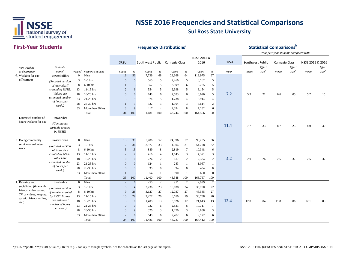

#### **First-Year StudentsSRSU** *Item wording or description Variable name Values <sup>d</sup> Response options Count % Count % Count % Count % Mean Effect size <sup>e</sup> Mean Mean Effect size <sup>e</sup> Effect size <sup>e</sup>* SRSU Southwest Public Carnegie Class NSSE 2015 & 2016 Southwest Public Carnegie Class NSSE 2015 & 2016 **Frequency Distributions**<sup>a</sup> **Statistical Comparisons** *Your first-year students compared with Mean*d. Working for pay htmworkoffhrs b 0 0 hrs 19 56 7,739 68 28,668 64 113,975 67 3 1-5 hrss 5 15 560 5 2,260 5 8,162 5 8 6-10 hrs 1 3 557 5 2,599 6 8,765 5 13 11-15 hrs 2 6 554 5 2,398 5 8,154 5 18 16-20 hrs <sup>0</sup> <sup>0</sup> <sup>748</sup> <sup>6</sup> 2,583 <sup>6</sup> 8,690 <sup>5</sup> **7.2** 5.3 .21 6.6 .05 5.7 .15 23 21-25 hrs 3 9 574 5 1,738 4 5,914 4 28 26-30 hrs 1 3 332 3 1,104 3 3,614 2 33 More than 30 hrs 3 9 417 4 2,394 8 7,282 6 Total 34 100 11,481 100 43,744 100 164,556 100 **11.4** 7.7 .33 8.7 .23 8.0 .30 e. Doing community tmservicehrs 0 0 hrs 13 39 5,786 52 24,396 57 90,255 56 3 1-5 hrs 12 36 3,872 33 14,004 31 54,278 32 8 6-10 hrs 5 15 889 8 2,819 7 10,348 6 13 11-15 hrs 2 7 416 4 1,145 3 4,371 3 <sup>18</sup> 16-20 hrs <sup>0</sup> <sup>0</sup> <sup>224</sup> <sup>2</sup> <sup>617</sup> <sup>2</sup> 2,384 <sup>2</sup> **4.2** 2.9 .26 2.5 .37 2.5 .37 23 21-25 hrs 0 0 124 1 283 1 1,067 1 28 26-30 hrs 0 0 35 0 94 0 404 033 More than 30 hrs 1 3 54 1 190 1 660 0Total 33 100 11,400 100 43,548 100 163,767 100 f. Relaxing and the term that has the control of the control of the control of the control of the control of the control of the control of the control of the control of the control of the control of the control of the cont 3 1-5 hrs 5 14 2,736 23 10,038 24 35,700 22 8 6-10 hrs 9 28 3,127 27 12,037 27 45,585 27 13 11-15 hrs 10 29 2,277 20 8,650 19 33,738 20 <sup>18</sup> 16-20 hrs <sup>3</sup> <sup>10</sup> 1,408 <sup>13</sup> 5,526 <sup>12</sup> 21,613 <sup>13</sup> **12.4** 12.0 .04 11.8 .06 12.1 .03 23 21-25 hrs 0 0 722 6 2,823 6 10,717 7 28 26-30 hrs 3 9 326 3 1,270 3 4,888 3 33 More than 30 hrs 2 6 640 6 2,472 6 9,172 6 Total 34 100 11,486 100 43,727 100 164,412 100 Estimated number of hours working for pay tmworkhrs*(Continuous variable created by NSSE)* service or volunteer worktmservicehrs *(Recoded version of* tmservice *created by NSSE. Values are estimated number of hours per week.)* f. Relaxing and socializing (time with friends, video games, TV or videos, keeping up with friends online, etc.) tmrelaxhrs*(Recoded version of* tmrelax *created by NSSE. Values are estimated number of hours per week.)* **off campus** tmworkoffhrs*(Recoded version of* tmworkoff *created by NSSE. Values are estimated number of hours per week.)*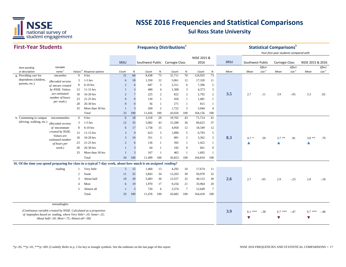

#### **First-Year Students**

| <b>First-Year Students</b>                                                                                            |                                                |                     |                  |                | <b>Frequency Distributions</b> <sup>a</sup> |                                 |                |        |                 |             |                 |      |                      | <b>Statistical Comparisons</b> <sup>b</sup> |                                        |                             |                  |                             |
|-----------------------------------------------------------------------------------------------------------------------|------------------------------------------------|---------------------|------------------|----------------|---------------------------------------------|---------------------------------|----------------|--------|-----------------|-------------|-----------------|------|----------------------|---------------------------------------------|----------------------------------------|-----------------------------|------------------|-----------------------------|
|                                                                                                                       |                                                |                     |                  |                |                                             |                                 |                |        |                 | NSSE 2015 & |                 | SRSU |                      |                                             | Your first-year students compared with |                             |                  |                             |
|                                                                                                                       |                                                |                     |                  | <b>SRSU</b>    |                                             | Southwest Public Carnegie Class |                |        |                 | 2016        |                 |      | Southwest Public     |                                             | <b>Carnegie Class</b>                  |                             | NSSE 2015 & 2016 |                             |
| Item wording<br>or description                                                                                        | Variable<br>name <sup>c</sup>                  | Values <sup>d</sup> | Response options | Count          | %                                           | Count                           | %              | Count  | $\%$            | Count       | $\%$            | Mean | Mean                 | Effect<br>size <sup>e</sup>                 | Mean                                   | Effect<br>size <sup>e</sup> | Mean             | Effect<br>size <sup>e</sup> |
| g. Providing care for                                                                                                 | tmcarehrs                                      | $\overline{0}$      | 0 <sub>hrs</sub> | 21             | 64                                          | 8,438                           | 73             | 31,711 | 70              | 124,935     | 73              |      |                      |                                             |                                        |                             |                  |                             |
| dependents (children,                                                                                                 | (Recoded version                               | 3                   | $1-5$ hrs        | 6              | 18                                          | 1,350                           | 12             | 5,061  | 12              | 17,320      | 11              |      |                      |                                             |                                        |                             |                  |                             |
| parents, etc.)                                                                                                        | of tmcare created                              | 8                   | $6-10$ hrs       | $\overline{2}$ | 6                                           | 607                             | 5              | 2,311  | 6               | 7,396       | $\overline{5}$  |      |                      |                                             |                                        |                             |                  |                             |
|                                                                                                                       | by NSSE. Values                                | 13                  | $11-15$ hrs      | $\mathbf{1}$   | 3                                           | 400                             | $\overline{4}$ | 1,308  | 3               | 4,373       | $\mathbf{3}$    |      |                      |                                             |                                        |                             |                  |                             |
|                                                                                                                       | are estimated                                  | 18                  | 16-20 hrs        | $\overline{2}$ | $\overline{7}$                              | 225                             | $\mathbf{2}$   | 822    | $\overline{c}$  | 2,792       | $\overline{c}$  | 3.5  | 2.7                  | .11                                         | 3.9                                    | $-.05$                      | 3.3              | .02                         |
|                                                                                                                       | number of hours                                | 23                  | 21-25 hrs        | $\overline{0}$ | $\mathbf{0}$                                | 120                             | 1              | 450    | -1              | 1,481       | $\mathbf{1}$    |      |                      |                                             |                                        |                             |                  |                             |
|                                                                                                                       | per week.)                                     | 28                  | 26-30 hrs        | $\overline{0}$ | $\mathbf{0}$                                | 56                              | 1              | 271    | -1              | 815         | $\mathbf{1}$    |      |                      |                                             |                                        |                             |                  |                             |
|                                                                                                                       |                                                | 33                  | More than 30 hrs | $\overline{1}$ | 3                                           | 260                             | $\overline{c}$ | 1,722  | 5               | 5,044       | $\overline{4}$  |      |                      |                                             |                                        |                             |                  |                             |
|                                                                                                                       |                                                |                     | Total            | 33             | 100                                         | 11,456                          | 100            | 43,656 | 100             | 164,156     | 100             |      |                      |                                             |                                        |                             |                  |                             |
| h. Commuting to campus                                                                                                | tmcommutehrs                                   | $\overline{0}$      | 0 <sub>hrs</sub> | 6              | 18                                          | 3,318                           | 29             | 19,765 | 43              | 71,714      | 41              |      |                      |                                             |                                        |                             |                  |                             |
| (driving, walking, etc.)                                                                                              | (Recoded version                               | 3                   | $1-5$ hrs        | 12             | 35                                          | 5,082                           | 43             | 15,280 | 36              | 60,625      | 37              |      |                      |                                             |                                        |                             |                  |                             |
|                                                                                                                       | of tmcommute                                   | 8                   | $6-10$ hrs       | 6              | 17                                          | 1,758                           | 15             | 4,958  | 12              | 18,549      | 12              |      |                      |                                             |                                        |                             |                  |                             |
|                                                                                                                       | created by NSSE.                               | 13                  | $11-15$ hrs      | 3              | $\mathbf{Q}$                                | 623                             | 5              | 1,890  | 5               | 6,793       | 5               |      |                      |                                             |                                        |                             |                  |                             |
|                                                                                                                       | Values are                                     | 18                  | 16-20 hrs        | $\overline{3}$ | $10\,$                                      | 351                             | 3              | 891    | $\overline{c}$  | 3,362       | $\overline{2}$  | 8.3  | $4.7 *$              | .59                                         | $3.7$ **                               | .81                         | $3.8$ **         | .79                         |
|                                                                                                                       | estimated number<br>of hours per               | 23                  | 21-25 hrs        | $\overline{c}$ | 6                                           | 136                             | $\mathbf{1}$   | 392    | 1               | 1,422       | $\mathbf{1}$    |      | ▲                    |                                             | ▲                                      |                             | Δ                |                             |
|                                                                                                                       | week.)                                         | 28                  | 26-30 hrs        | $\mathbf{1}$   | 3                                           | 64                              | 1              | 182    | $\overline{0}$  | 661         | $\overline{0}$  |      |                      |                                             |                                        |                             |                  |                             |
|                                                                                                                       |                                                | 33                  | More than 30 hrs | $\overline{1}$ | 3                                           | 167                             | $\mathbf{1}$   | 465    | $\mathbf{1}$    | 1,692       | $\mathbf{1}$    |      |                      |                                             |                                        |                             |                  |                             |
|                                                                                                                       |                                                |                     | Total            | 34             | 100                                         | 11,499                          | 100            | 43,823 | 100             | 164,818     | 100             |      |                      |                                             |                                        |                             |                  |                             |
| 16. Of the time you spend preparing for class in a typical 7-day week, about how much is on <i>assigned reading</i> ? |                                                |                     |                  |                |                                             |                                 |                |        |                 |             |                 |      |                      |                                             |                                        |                             |                  |                             |
|                                                                                                                       | reading                                        |                     | Very little      | 5              | 15                                          | 1,460                           | 13             | 4,292  | 10              | 17,674      | 11              |      |                      |                                             |                                        |                             |                  |                             |
|                                                                                                                       |                                                | $\overline{c}$      | Some             | 11             | 35                                          | 3,843                           | 34             | 13,203 | 30              | 50,978      | 32              |      |                      |                                             |                                        |                             |                  |                             |
|                                                                                                                       |                                                | 3                   | About half       | 10             | 29                                          | 3,483                           | 30             | 13,557 | 32              | 49,153      | 30              | 2.6  | 2.7                  | $-.05$                                      | 2.9                                    | $-.23$                      | 2.8              | $-.18$                      |
|                                                                                                                       |                                                | 4                   | Most             | 6              | 19                                          | 1,970                           | 17             | 9,256  | 21              | 33,964      | 20              |      |                      |                                             |                                        |                             |                  |                             |
|                                                                                                                       |                                                | 5                   | Almost all       | $\mathbf{1}$   | 3                                           | 720                             | 6              | 3,374  | $7\phantom{.0}$ | 12,649      | $7\phantom{.0}$ |      |                      |                                             |                                        |                             |                  |                             |
|                                                                                                                       |                                                |                     | Total            | 33             | 100                                         | 11,476                          | 100            | 43,682 | 100             | 164,418     | 100             |      |                      |                                             |                                        |                             |                  |                             |
|                                                                                                                       |                                                |                     |                  |                |                                             |                                 |                |        |                 |             |                 |      |                      |                                             |                                        |                             |                  |                             |
|                                                                                                                       | tmreadinghrs                                   |                     |                  |                |                                             |                                 |                |        |                 |             |                 |      |                      |                                             |                                        |                             |                  |                             |
| (Continuous variable created by NSSE. Calculated as a proportion                                                      |                                                |                     |                  |                |                                             |                                 |                |        |                 |             |                 | 3.9  | $6.1***$             | $-.38$                                      | $6.7***$                               | $-.47$                      | $6.7$ ***        | $-.48$                      |
| of tmprephrs based on reading, where Very little=.10; Some=.25;                                                       |                                                |                     |                  |                |                                             |                                 |                |        |                 |             |                 |      |                      |                                             |                                        |                             |                  |                             |
|                                                                                                                       | About half=.50; $Most = .75$ ; Almost all=.90) |                     |                  |                |                                             |                                 |                |        |                 |             |                 |      | $\blacktriangledown$ |                                             | v                                      |                             | v                |                             |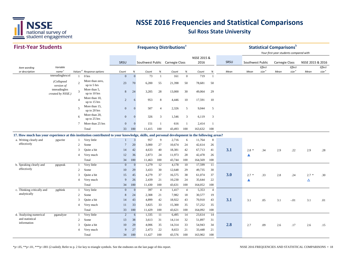

| <b>First-Year Students</b>                                                                                                                   |                                   |                          |                                      |                 |                |                                 |                | <b>Frequency Distributions<sup>a</sup></b> |                |             |                 |      |                  |                   | <b>Statistical Comparisons</b> <sup>b</sup><br>Your first-year students compared with |                   |                  |                   |
|----------------------------------------------------------------------------------------------------------------------------------------------|-----------------------------------|--------------------------|--------------------------------------|-----------------|----------------|---------------------------------|----------------|--------------------------------------------|----------------|-------------|-----------------|------|------------------|-------------------|---------------------------------------------------------------------------------------|-------------------|------------------|-------------------|
|                                                                                                                                              |                                   |                          |                                      |                 |                |                                 |                |                                            |                | NSSE 2015 & |                 |      |                  |                   |                                                                                       |                   |                  |                   |
|                                                                                                                                              |                                   |                          |                                      | SRSU            |                | Southwest Public Carnegie Class |                |                                            |                | 2016        |                 | SRSU | Southwest Public |                   | <b>Carnegie Class</b>                                                                 |                   | NSSE 2015 & 2016 |                   |
| Item wording                                                                                                                                 | Variable                          |                          |                                      |                 |                |                                 |                |                                            |                |             |                 |      |                  | ${\it Effect}$    |                                                                                       | Effect            |                  | Effect            |
| or description                                                                                                                               | name <sup>c</sup>                 |                          | Values <sup>d</sup> Response options | Count           | %              | Count                           | %              | Count                                      | %              | Count       | $\%$            | Mean | Mean             | size <sup>e</sup> | Mean                                                                                  | size <sup>e</sup> | Mean             | size <sup>e</sup> |
|                                                                                                                                              | tmreadinghrscol                   | $\mathbf{1}$             | 0 <sub>hrs</sub>                     | $\Omega$        |                | $\overline{0}$<br>73            | $\overline{1}$ | 161                                        | $\mathbf{0}$   | 719         | $\overline{1}$  |      |                  |                   |                                                                                       |                   |                  |                   |
|                                                                                                                                              | (Collapsed<br>version of          | $\overline{\mathcal{L}}$ | More than zero,<br>up to 5 hrs       | 23              | 70             | 6,200                           | 55             | 21,398                                     | 50             | 78,681      | 50              |      |                  |                   |                                                                                       |                   |                  |                   |
|                                                                                                                                              | tmreadinghrs<br>created by NSSE.) | 3                        | More than 5,<br>up to 10 hrs         | 8               | 24             | 3,205                           | 28             | 13,000                                     | 30             | 49,064      | 29              |      |                  |                   |                                                                                       |                   |                  |                   |
|                                                                                                                                              |                                   | $\Delta$                 | More than 10,<br>up to 15 hrs        | $\overline{2}$  |                | 953<br>6                        | 8              | 4,446                                      | 10             | 17,591      | 10              |      |                  |                   |                                                                                       |                   |                  |                   |
|                                                                                                                                              |                                   | $\overline{5}$           | More than 15,<br>up to 20 hrs        | $\mathbf{0}$    | $\theta$       | 507                             | $\overline{4}$ | 2,326                                      | 5              | 9,044       | 5               |      |                  |                   |                                                                                       |                   |                  |                   |
|                                                                                                                                              |                                   | 6                        | More than 20,<br>up to 25 hrs        | $\mathbf{0}$    | $\overline{0}$ | 326                             | 3              | 1,546                                      | 3              | 6,119       | 3               |      |                  |                   |                                                                                       |                   |                  |                   |
|                                                                                                                                              |                                   | $\tau$                   | More than 25 hrs                     | $\overline{0}$  | $\Omega$       | 151                             | -1             | 616                                        | -1             | 2,414       | $\mathbf{1}$    |      |                  |                   |                                                                                       |                   |                  |                   |
|                                                                                                                                              |                                   |                          | Total                                | 33              | 100            | 11,415                          | 100            | 43,493                                     | 100            | 163,632     | 100             |      |                  |                   |                                                                                       |                   |                  |                   |
| 17. How much has your experience at this institution contributed to your knowledge, skills, and personal development in the following areas? |                                   |                          |                                      |                 |                |                                 |                |                                            |                |             |                 |      |                  |                   |                                                                                       |                   |                  |                   |
| a. Writing clearly and                                                                                                                       | pgwrite                           | $\mathbf{1}$             | Very little                          |                 | $\mathbf{3}$   | 957                             | 9              | 2,716                                      | 6              | 11,764      | $\bf 8$         |      |                  |                   |                                                                                       |                   |                  |                   |
| effectively                                                                                                                                  |                                   | $\overline{2}$           | Some                                 | $7\phantom{.0}$ | 20             | 3,000                           | 27             | 10,674                                     | 24             | 42,614      | 26              |      |                  |                   |                                                                                       |                   |                  |                   |
|                                                                                                                                              |                                   | 3                        | Ouite a bit                          | 14              | 42             | 4,633                           | 40             | 18,381                                     | 42             | 67,713      | 41              | 3.1  | $2.8 *$          | .34               | 2.9                                                                                   | .22               | 2.9              | .28               |
|                                                                                                                                              |                                   | $\overline{A}$           | Very much                            | 12              | 36             | 2,873                           | 24             | 11,973                                     | 28             | 42,478      | 26              |      | ▲                |                   |                                                                                       |                   |                  |                   |
|                                                                                                                                              |                                   |                          | Total                                | 34              | 100            | 11,463                          | 100            | 43,744                                     | 100            | 164,569     | 100             |      |                  |                   |                                                                                       |                   |                  |                   |
| b. Speaking clearly and                                                                                                                      | pgspeak                           | $\mathbf{1}$             | Very little                          | $\overline{0}$  | $\mathbf{0}$   | 1,279                           | 12             | 4,178                                      | 10             | 17,599      | $\overline{11}$ |      |                  |                   |                                                                                       |                   |                  |                   |
| effectively                                                                                                                                  |                                   | $\overline{c}$           | Some                                 | 10              | 29             | 3,433                           | 30             | 12,648                                     | 29             | 49,735      | 30              |      |                  |                   |                                                                                       |                   |                  |                   |
|                                                                                                                                              |                                   | 3                        | Quite a bit                          | 15              | 45             | 4,279                           | 37             | 16,575                                     | 38             | 61,074      | 37              | 3.0  | 2.7<br>$\ast$    | .33               | 2.8                                                                                   | .24               | $2.7 *$          | .30               |
|                                                                                                                                              |                                   | 4                        | Very much                            | 9               | 26             | 2,439                           | 21             | 10,230                                     | 24             | 35,644      | 22              |      | ▲                |                   |                                                                                       |                   | Δ                |                   |
|                                                                                                                                              |                                   |                          | Total                                | 34              | 100            | 11,430                          | 100            | 43,631                                     | 100            | 164,052     | 100             |      |                  |                   |                                                                                       |                   |                  |                   |
| c. Thinking critically and                                                                                                                   | pgthink                           | $\overline{1}$           | Very little                          | $\overline{0}$  | $\overline{0}$ | 397                             | $\overline{4}$ | 1,417                                      | $\overline{4}$ | 5,353       | $\overline{4}$  |      |                  |                   |                                                                                       |                   |                  |                   |
| analytically                                                                                                                                 |                                   | 2                        | Some                                 | 8               | 24             | 2,308                           | 21             | 7,982                                      | 18             | 30,577      | 19              |      |                  |                   |                                                                                       |                   |                  |                   |
|                                                                                                                                              |                                   | 3                        | Quite a bit                          | 14              | 43             | 4,899                           | 42             | 18,922                                     | 43             | 70,910      | 43              | 3.1  | 3.1              | .05               | 3.1                                                                                   | $-.01$            | 3.1              | .01               |
|                                                                                                                                              |                                   | $\overline{4}$           | Very much                            | 11              | 33             | 3,825                           | 33             | 15,300                                     | 35             | 57,252      | 35              |      |                  |                   |                                                                                       |                   |                  |                   |
|                                                                                                                                              |                                   |                          | Total                                | 33              | 100            | 11,429                          | 100            | 43,621                                     | 100            | 164,092     | 100             |      |                  |                   |                                                                                       |                   |                  |                   |
| d. Analyzing numerical                                                                                                                       | pganalyze                         | $\mathbf{1}$             | Very little                          | $\overline{2}$  |                | 6<br>1,335                      | 11             | 6,495                                      | 14             | 23,614      | 14              |      |                  |                   |                                                                                       |                   |                  |                   |
| and statistical<br>information                                                                                                               |                                   | $\overline{c}$           | Some                                 | 13              | 38             | 3,613                           | 31             | 14,114                                     | 32             | 51,897      | 31              |      |                  |                   |                                                                                       |                   |                  |                   |
|                                                                                                                                              |                                   | 3                        | Quite a bit                          | 10              | 29             | 4,006                           | 35             | 14,314                                     | 33             | 54,943      | 34              | 2.8  | 2.7              | .09               | 2.6                                                                                   | .17               | 2.6              | .15               |
|                                                                                                                                              |                                   | 4                        | Very much                            | 9               | 27             | 2,473                           | 22             | 8,653                                      | 21             | 33,448      | 21              |      |                  |                   |                                                                                       |                   |                  |                   |
|                                                                                                                                              |                                   |                          | Total                                | 34              | 100            | 11,427                          | 100            | 43,576                                     | 100            | 163,902     | 100             |      |                  |                   |                                                                                       |                   |                  |                   |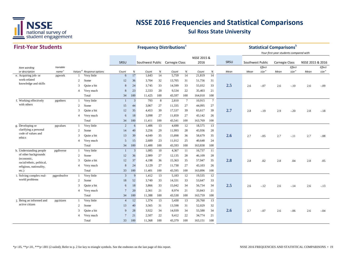

#### **First-Year StudentsSRSU** *Item wording or description Variable name Values <sup>d</sup> Response options Count % Count % Count % Count % Mean Effect size <sup>e</sup> Mean Mean Effect size <sup>e</sup> Effect size <sup>e</sup>* SRSU Southwest Public Carnegie Class NSSE 2015 & 2016 SRSU Southwest Public Carnegie Class NSSE 2015 & 2016 **Frequency Distributions**<sup>a</sup> **Statistical Comparisons** *Your first-year students compared with Mean*e.Acquiring job- or 4 1 Acquiring job- or by pgwork 1 Very little 6 17 1,643 14 5,759 14 21,819 14 2 Somee 12 36 3,704 32 13,705 31 51,756 31 <sup>3</sup> Quite a bit <sup>8</sup> <sup>24</sup> 3,745 <sup>33</sup> 14,599 <sup>33</sup> 55,032 <sup>33</sup> **2.53** 2.6  $-0.07$  2.6  $-10$  2.6  $-0.09$ 4 Very much 8 23 2,333 20 9,534 22 35,403 21 Total 34 100 11,425 100 43,597 100 164,010 100 f. Working effectively by experience the Very little the top and the 1 3 793 8 2,810 7 10,915 7 2 Somee 15 44 3,067 27 11,335 27 44,095 27 <sup>3</sup> Quite a bit <sup>12</sup> <sup>35</sup> 4,453 <sup>39</sup> 17,537 <sup>39</sup> 65,617 <sup>39</sup> **2.7** 2.8 -.19 2.9 -.20 2.8 -.18 4 Very much 6 18 3,098 27 11,859 27 43,142 26 Total 34 100 11,411 100 43,541 100 163,769 100 g. Developing or a pgvalues 1 Very little 2 6 1,406 13 4,690 12 18,575 13 2 Some 14 40 3,256 29 11,993 28 45,936 28 <sup>3</sup> Quite a bit <sup>13</sup> <sup>39</sup> 4,049 <sup>35</sup> 15,898 <sup>36</sup> 58,679 <sup>35</sup> **2.6b** 2.7  $-.05$  2.7  $-.11$  2.7  $-.08$ 4 Very much 5 15 2,689 23 11,012 25 40,648 24 Total 34 100 11,400 100 43,593 100 163,838 100 h. Understanding people pgdiverse 1 Very little 1 3 1,085 10 4,367 11 16,737 11 2 Some 12 36 2,989 27 12,135 28 46,109 28 <sup>3</sup> Quite a bit <sup>12</sup> <sup>37</sup> 4,198 <sup>36</sup> 15,363 <sup>35</sup> 57,947 <sup>35</sup> **2.88** 2.8 .02 2.8 .04 2.8 .05 4 Very much 8 24 3,129 27 11,730 27 43,103 26 Total 33 100 11,401 100 43,595 100 163,896 100 i. Solving complex real-<br>
world problems<br>
2 Some<br>
3 9 1,412 13 5,183 12 19,535 12<br>
18 52 3749 33 14.331 33 53.647 33 2 Somee 18 52 3,749 33 14,331 33 53,647 33 <sup>3</sup> Quite a bit <sup>6</sup> <sup>18</sup> 3,866 <sup>33</sup> 15,042 <sup>34</sup> 56,734 <sup>34</sup> **2.53** 2.6  $-12$  2.6  $-14$  2.6  $-13$ 4 Very much 7 20 2,361 21 8,974 21 33,843 21 Total 34 100 11,388 100 43,530 100 163,759 100 j. Being an informed and pgcitizen 1 Very little 4 12 1,374 13 5,430 13 20,760 13 2 Somee 13 40 3,565 31 13,598 31 52,029 32 <sup>3</sup> Quite a bit <sup>9</sup> <sup>28</sup> 3,922 <sup>34</sup> 14,939 <sup>34</sup> 55,588 <sup>34</sup> **2.6b** 2.7  $-.07$  2.6  $-.06$  2.6  $-.04$ 4 Very much 7 21 2,507 22 9,412 22 34,774 21 Total 33 100 11,368 100 43,379 100 163,151 100 active citizenpgcitizen work-related knowledge and skills pgwork with otherspgothers Developing or clarifying a personal code of values and ethicspgvalues of other backgrounds (economic, racial/ethnic, political, religious, nationality, etc.) pgdiverse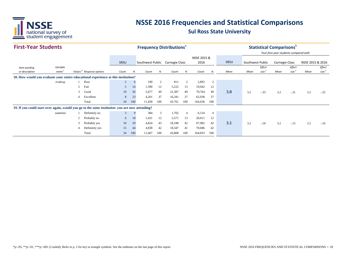

| <b>First-Year Students</b>                                                                            |                   |                |                                      |                |                                                                | <b>Frequency Distributions</b> <sup>®</sup> |     |        |                |         |                |      |                  |                       | <b>Statistical Comparisons</b>         |                   |      |                   |
|-------------------------------------------------------------------------------------------------------|-------------------|----------------|--------------------------------------|----------------|----------------------------------------------------------------|---------------------------------------------|-----|--------|----------------|---------|----------------|------|------------------|-----------------------|----------------------------------------|-------------------|------|-------------------|
|                                                                                                       |                   |                |                                      |                |                                                                |                                             |     |        |                |         |                |      |                  |                       | Your first-year students compared with |                   |      |                   |
|                                                                                                       |                   |                |                                      |                | NSSE 2015 &<br>Southwest Public Carnegie Class<br>2016<br>SRSU |                                             |     |        |                |         |                |      |                  |                       |                                        |                   |      |                   |
|                                                                                                       |                   |                |                                      |                |                                                                |                                             |     |        |                |         | SRSU           |      | Southwest Public | <b>Carnegie Class</b> |                                        | NSSE 2015 & 2016  |      |                   |
| Item wording                                                                                          | Variable          |                |                                      |                | %<br>%<br>%<br>%<br>Count<br>Count<br>Count<br>Count           |                                             |     |        |                |         |                |      |                  | Effect                |                                        | Effect            |      | Effect            |
| or description                                                                                        | name <sup>c</sup> |                | Values <sup>d</sup> Response options |                |                                                                |                                             |     |        |                |         |                | Mean | Mean             | $size^6$              | Mean                                   | size <sup>e</sup> | Mean | size <sup>e</sup> |
| 18. How would you evaluate your entire educational experience at this institution?                    |                   |                |                                      |                |                                                                |                                             |     |        |                |         |                |      |                  |                       |                                        |                   |      |                   |
|                                                                                                       | evalexp           |                | Poor                                 | $\overline{c}$ | 6                                                              | 190                                         | 2   | 811    | 2              | 2,892   | 2              |      |                  |                       |                                        |                   |      |                   |
|                                                                                                       |                   | $\overline{c}$ | Fair                                 | 5              | 14                                                             | 1,390                                       | 12  | 5,222  | 13             | 19,042  | 12             |      |                  |                       |                                        |                   |      |                   |
|                                                                                                       |                   | $\mathbf{3}$   | Good                                 | 19             | 56                                                             | 5,677                                       | 49  | 21,387 | 49             | 79,764  | 49             | 3.0  | 3.2              | $-.33$                | 3.2                                    | $-.31$            | 3.2  | $-.32$            |
|                                                                                                       |                   |                | Excellent                            | 8              | 23                                                             | 4,201                                       | 37  | 16,341 | 37             | 62,938  | 37             |      |                  |                       |                                        |                   |      |                   |
|                                                                                                       |                   |                | Total                                | 34             | 100                                                            | 11,458                                      | 100 | 43,761 | 100            | 164,636 | 100            |      |                  |                       |                                        |                   |      |                   |
| 19. If you could start over again, would you go to the <i>same institution</i> you are now attending? |                   |                |                                      |                |                                                                |                                             |     |        |                |         |                |      |                  |                       |                                        |                   |      |                   |
|                                                                                                       | sameinst          |                | Definitely no                        | 3              | $\mathbf{q}$                                                   | 384                                         | 3   | 1,702  | $\overline{4}$ | 6,154   | $\overline{4}$ |      |                  |                       |                                        |                   |      |                   |
|                                                                                                       |                   | 2              | Probably no                          | 6              | 18                                                             | 1,421                                       | 12  | 5,571  | 13             | 20,011  | 12             |      |                  |                       |                                        |                   |      |                   |
|                                                                                                       |                   | 3              | Probably yes                         | 10             | 29                                                             | 4,824                                       | 43  | 18,188 | 42             | 67,982  | 42             | 3.1  | 3.2              | $-.18$                | 3.2                                    | $-.15$            | 3.2  | $-.16$            |
|                                                                                                       |                   |                | Definitely yes                       | 15             | 44                                                             | 4,838                                       | 42  | 18,347 | 41             | 70,686  | 42             |      |                  |                       |                                        |                   |      |                   |
|                                                                                                       |                   |                | Total                                | 34             | 11,467<br>100<br>100<br>100<br>43,808<br>164,833<br>100        |                                             |     |        |                |         |                |      |                  |                       |                                        |                   |      |                   |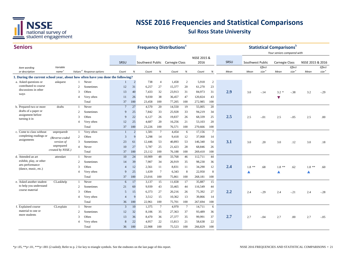

#### **Seniors**

| <b>Seniors</b>                                                                                           |                               |                          |                                      |                |                | <b>Frequency Distributions®</b> |                 |        |                |             |                 |      |                  |                             | <b>Statistical Comparisons</b> |                             |                  |                             |
|----------------------------------------------------------------------------------------------------------|-------------------------------|--------------------------|--------------------------------------|----------------|----------------|---------------------------------|-----------------|--------|----------------|-------------|-----------------|------|------------------|-----------------------------|--------------------------------|-----------------------------|------------------|-----------------------------|
|                                                                                                          |                               |                          |                                      |                |                |                                 |                 |        |                |             |                 |      |                  |                             | Your seniors compared with     |                             |                  |                             |
|                                                                                                          |                               |                          |                                      |                |                |                                 |                 |        |                | NSSE 2015 & |                 |      |                  |                             |                                |                             |                  |                             |
|                                                                                                          |                               |                          |                                      | SRSU           |                | Southwest Public Carnegie Class |                 |        |                | 2016        |                 | SRSU | Southwest Public |                             | Carnegie Class                 |                             | NSSE 2015 & 2016 |                             |
| Item wording<br>or description                                                                           | Variable<br>name <sup>c</sup> |                          | Values <sup>d</sup> Response options | Count          | $\%$           | Count                           | $\%$            | Count  | $\%$           | Count       | $\%$            | Mean | Mean             | Effect<br>size <sup>e</sup> | Mean                           | Effect<br>size <sup>e</sup> | Mean             | Effect<br>size <sup>e</sup> |
|                                                                                                          |                               |                          |                                      |                |                |                                 |                 |        |                |             |                 |      |                  |                             |                                |                             |                  |                             |
| 1. During the current school year, about how often have you done the following?<br>a. Asked questions or | askquest                      |                          | Never                                |                | 2              | 738                             | $\overline{4}$  | 1,458  | 2              | 5,918       | $\overline{c}$  |      |                  |                             |                                |                             |                  |                             |
| contributed to course                                                                                    |                               | $\overline{c}$           | Sometimes                            | 12             | 31             | 6,257                           | 27              | 15,377 | 20             | 61,270      | 23              |      |                  |                             |                                |                             |                  |                             |
| discussions in other                                                                                     |                               | 3                        | Often                                | 13             | 40             | 7,433                           | 32              | 23,913 | 31             | 84,973      | 31              | 2.9  | 3.0              | $-.14$                      |                                | $-.38$                      |                  | $-.29$                      |
| ways                                                                                                     |                               | $\overline{4}$           | Very often                           | 11             | 26             | 9,030                           | 38              | 36,457 | 47             | 120,824     | 43              |      |                  |                             | $3.2 *$                        |                             | 3.2              |                             |
|                                                                                                          |                               |                          | Total                                | 37             | 100            | 23,458                          | 100             | 77,205 | 100            | 272,985     | 100             |      |                  |                             | ▼                              |                             |                  |                             |
| b. Prepared two or more                                                                                  | drafts                        | 1                        | Never                                | $\tau$         | 27             | 4,570                           | 20              | 14,550 | 19             | 55,005      | 20              |      |                  |                             |                                |                             |                  |                             |
| drafts of a paper or                                                                                     |                               | 2                        | Sometimes                            | 9              | 25             | 7,842                           | 33              | 25,928 | 33             | 94,219      | 34              |      |                  |                             |                                |                             |                  |                             |
| assignment before                                                                                        |                               | 3                        | Often                                | 9              | 22             | 6,127                           | 26              | 19,837 | 26             | 68,339      | 25              | 2.5  | 2.5              | $-.01$                      |                                | $-.05$                      | 2.5              | .00                         |
| turning it in                                                                                            |                               | 4                        | Very often                           | 12             | 25             | 4,687                           | 20              | 16,256 | 21             | 53,103      | 20              |      |                  |                             | 2.5                            |                             |                  |                             |
|                                                                                                          |                               |                          | Total                                | 37             | 100            | 23,226                          | 100             | 76,571 | 100            | 270,666     | 100             |      |                  |                             |                                |                             |                  |                             |
| c. Come to class without                                                                                 |                               | 1                        | Very often                           | $\mathbf{1}$   | $\overline{2}$ | 1,581                           | $7\phantom{.0}$ | 4,454  | 6              | 17,156      | $7\phantom{.0}$ |      |                  |                             |                                |                             |                  |                             |
| completing readings or                                                                                   | unpreparedr                   | 2                        | Often                                | 3              | 9              | 3,298                           | 14              | 9,418  | 12             | 37,068      | 14              |      |                  |                             |                                |                             |                  |                             |
| assignments                                                                                              | (Reverse-coded<br>version of  | 3                        | Sometimes                            | 23             | 61             | 12,446                          | 53              | 40,893 | 53             | 146,340     | 54              | 3.1  | 3.0              | .20                         | 3.0                            | .12                         | 3.0              | .18                         |
|                                                                                                          | unprepared                    | $\overline{4}$           | Never                                | 10             | 27             | 5,787                           | 25              | 21,423 | 28             | 68,846      | 26              |      |                  |                             |                                |                             |                  |                             |
|                                                                                                          | created by NSSE.)             |                          | Total                                | 37             | 100            | 23,112                          | 100             | 76,188 | 100            | 269,410     | 100             |      |                  |                             |                                |                             |                  |                             |
| d. Attended an art                                                                                       | attendart                     | 1                        | Never                                | 10             | 24             | 10,909                          | 48              | 33,768 | 46             | 112,711     | 44              |      |                  |                             |                                |                             |                  |                             |
| exhibit, play, or other                                                                                  |                               | 2                        | Sometimes                            | 14             | 39             | 7,907                           | 34              | 26,919 | 35             | 98,230      | 36              |      |                  |                             |                                |                             |                  |                             |
| arts performance                                                                                         |                               | $\mathbf{3}$             | Often                                | $\overline{4}$ | 12             | 2,561                           | 11              | 8,831  | 11             | 34,290      | 12              | 2.4  |                  |                             |                                |                             |                  |                             |
| (dance, music, etc.)                                                                                     |                               | 4                        | Very often                           | 9              | 25             | 1,639                           | $7\phantom{.0}$ | 6,343  | 8              | 22,950      | 8               |      | $1.8$ **<br>▲    | .68                         | $1.8$ **                       | .62                         | $1.8**$<br>▲     | .60                         |
|                                                                                                          |                               |                          | Total                                | 37             | 100            | 23,016                          | 100             | 75,861 | 100            | 268,181     | 100             |      |                  |                             |                                |                             |                  |                             |
| e. Asked another student                                                                                 | CLaskhelp                     | 1                        | Never                                | 6              | 17             | 3,137                           | 15              | 11,658 | 17             | 35,887      | 15              |      |                  |                             |                                |                             |                  |                             |
| to help you understand                                                                                   |                               | 2                        | Sometimes                            | 21             | 60             | 9,939                           | 43              | 33,465 | 44             | 116,549     | 44              |      |                  |                             |                                |                             |                  |                             |
| course material                                                                                          |                               | 3                        | Often                                | 5              | 15             | 6,373                           | 27              | 20,216 | 26             | 75,392      | 27              | 2.2  | 2.4              | $-.29$                      | 2.4                            | $-.21$                      | 2.4              | $-.28$                      |
|                                                                                                          |                               | $\overline{4}$           | Very often                           | $\overline{4}$ | 9              | 3,512                           | 15              | 10,362 | 13             | 39,866      | 14              |      |                  |                             |                                |                             |                  |                             |
|                                                                                                          |                               |                          | Total                                | 36             | 100            | 22,961                          | 100             | 75,701 | 100            | 267,694     | 100             |      |                  |                             |                                |                             |                  |                             |
| f. Explained course                                                                                      | CLexplain                     | 1                        | Never                                | 3              | 10             | 1,375                           | $7\phantom{.0}$ | 4,970  | $\overline{7}$ | 14,711      | 6               |      |                  |                             |                                |                             |                  |                             |
| material to one or                                                                                       |                               | 2                        | Sometimes                            | 12             | 32             | 8,106                           | 35              | 27,363 | 37             | 93,489      | 36              |      |                  |                             |                                |                             |                  |                             |
| more students                                                                                            |                               | 3                        | Often                                | 13             | 36             | 8,470                           | 36              | 27,377 | 35             | 99,991      | 37              | 2.7  | 2.7              | $-.04$                      | 2.7                            | .00                         | 2.7              | $-.05$                      |
|                                                                                                          |                               | $\overline{\mathcal{A}}$ | Very often                           | 8              | 22             | 4,957                           | 22              | 15,813 | 21             | 58,638      | 22              |      |                  |                             |                                |                             |                  |                             |
|                                                                                                          |                               |                          | Total                                | 36             | 100            | 22,908                          | 100             | 75,523 | 100            | 266,829     | 100             |      |                  |                             |                                |                             |                  |                             |
|                                                                                                          |                               |                          |                                      |                |                |                                 |                 |        |                |             |                 |      |                  |                             |                                |                             |                  |                             |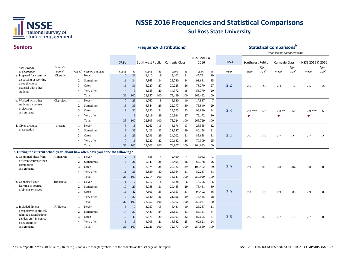

| <b>Seniors</b>                                                                  |                   |                     |                  |                 |                 | <b>Frequency Distributions</b> <sup>®</sup> |                |        |                |                     |                 |      |                      |                   | <b>Statistical Comparisons</b> <sup>b</sup><br>Your seniors compared with |                   |                  |          |
|---------------------------------------------------------------------------------|-------------------|---------------------|------------------|-----------------|-----------------|---------------------------------------------|----------------|--------|----------------|---------------------|-----------------|------|----------------------|-------------------|---------------------------------------------------------------------------|-------------------|------------------|----------|
|                                                                                 |                   |                     |                  | SRSU            |                 | Southwest Public Carnegie Class             |                |        |                | NSSE 2015 &<br>2016 |                 | SRSU | Southwest Public     |                   | Carnegie Class                                                            |                   | NSSE 2015 & 2016 |          |
| Item wording                                                                    | Variable          |                     |                  |                 |                 |                                             |                |        |                |                     |                 |      |                      | Effect            |                                                                           | Effect            |                  | Effect   |
| or description                                                                  | name <sup>c</sup> | Values <sup>d</sup> | Response options | Count           | $\%$            | Count                                       | $\%$           | Count  | $\%$           | Count               | $\%$            | Mean | Mean                 | size <sup>e</sup> | Mean                                                                      | size <sup>e</sup> | Mean             | size $e$ |
| g. Prepared for exams by                                                        | CLstudy           |                     | Never            | 10              | 26              | 4.110                                       | 19             | 15,102 | 21             | 47,761              | 19              |      |                      |                   |                                                                           |                   |                  |          |
| discussing or working<br>through course                                         |                   | $\overline{2}$      | Sometimes        | 11              | 34              | 7,865                                       | 34             | 25,740 | 34             | 91,681              | 35              |      |                      |                   |                                                                           |                   |                  |          |
| material with other                                                             |                   | 3                   | Often            | 11              | 31              | 6,227                                       | 27             | 20,225 | 26             | 73,270              | 27              | 2.2  | 2.5                  | $-.23$            | 2.4                                                                       | $-.16$            | 2.5              | $-0.22$  |
| students                                                                        |                   | $\overline{4}$      | Very often       | $\overline{4}$  | $\mathbf{Q}$    | 4,655                                       | 20             | 14,372 | 18             | 53,770              | 20              |      |                      |                   |                                                                           |                   |                  |          |
|                                                                                 |                   |                     | Total            | 36              | 100             | 22,857                                      | 100            | 75,439 | 100            | 266,482             | 100             |      |                      |                   |                                                                           |                   |                  |          |
| h. Worked with other                                                            | CLproject         | $\overline{1}$      | Never            | $7\phantom{.0}$ | 23              | 1,760                                       | 8              | 6,640  | 10             | 17,887              | $7\phantom{.0}$ |      |                      |                   |                                                                           |                   |                  |          |
| students on course                                                              |                   | 2                   | Sometimes        | 13              | 36              | 6,544                                       | 29             | 22,077 | 30             | 75,840              | 29              |      |                      |                   |                                                                           |                   |                  |          |
| projects or<br>assignments                                                      |                   | 3                   | Often            | 11              | 32              | 7,880                                       | 34             | 25,573 | 33             | 92,830              | 34              | 2.3  | $2.8***$             | $-.59$            | $2.8$ **                                                                  | $-.51$            | $2.9***$         | $-.63$   |
|                                                                                 |                   | $\overline{4}$      | Very often       | $\overline{4}$  | 9               | 6,619                                       | 29             | 20,934 | 27             | 79,172              | 30              |      | $\blacktriangledown$ |                   | V                                                                         |                   | V                |          |
|                                                                                 |                   |                     | Total            | 35              | 100             | 22,803                                      | 100            | 75,224 | 100            | 265,729             | 100             |      |                      |                   |                                                                           |                   |                  |          |
| i. Given a course                                                               | present           | $\overline{1}$      | Never            | 5               | 18              | 3,262                                       | 16             | 8,676  | 13             | 28,558              | 12              |      |                      |                   |                                                                           |                   |                  |          |
| presentation                                                                    |                   | 2                   | Sometimes        | 13              | 38              | 7,423                                       | 33             | 21,547 | 29             | 80,158              | 31              |      |                      |                   |                                                                           |                   |                  |          |
|                                                                                 |                   | 3                   | Often            | 11              | 29              | 6,796                                       | 29             | 24,002 | 31             | 85,658              | 31              | 2.4  | 2.6                  | $-.15$            | 2.7                                                                       | $-.29$            | 2.7              | $-.28$   |
|                                                                                 |                   | $\overline{4}$      | Very often       | 7               | 16              | 5,222                                       | 22             | 20,682 | 26             | 70,309              | 25              |      |                      |                   |                                                                           |                   |                  |          |
|                                                                                 |                   |                     | Total            | 36              | 100             | 22,703                                      | 100            | 74,907 | 100            | 264,683             | 100             |      |                      |                   |                                                                           |                   |                  |          |
| 2. During the current school year, about how often have you done the following? |                   |                     |                  |                 |                 |                                             |                |        |                |                     |                 |      |                      |                   |                                                                           |                   |                  |          |
| a. Combined ideas from                                                          | RIntegrate        | -1                  | Never            | $\overline{2}$  | 8               | 858                                         | $\overline{4}$ | 2,460  | $\overline{4}$ | 8,062               | 3               |      |                      |                   |                                                                           |                   |                  |          |
| different courses when                                                          |                   | $\overline{2}$      | Sometimes        | 8               | 21              | 5,943                                       | 28             | 18,495 | 26             | 66,178              | 26              |      |                      |                   |                                                                           |                   |                  |          |
| completing                                                                      |                   | 3                   | Often            | 15              | 40              | 8,574                                       | 38             | 29,322 | 39             | 103,452             | 39              | 2.9  | 2.9                  | .01               | 3.0                                                                       | $-.04$            | 3.0              | $-.05$   |
| assignments                                                                     |                   | $\overline{4}$      | Very often       | 11              | 31              | 6,839                                       | 30             | 23,364 | 31             | 82,237              | 31              |      |                      |                   |                                                                           |                   |                  |          |
|                                                                                 |                   |                     | Total            | 36              | 100             | 22,214                                      | 100            | 73,641 | 100            | 259,929             | 100             |      |                      |                   |                                                                           |                   |                  |          |
| b. Connected your                                                               | RIsocietal        |                     | Never            | $\overline{1}$  | $\sqrt{2}$      | 1,612                                       | 8              | 3,828  | 6              | 14,706              | 6               |      |                      |                   |                                                                           |                   |                  |          |
| learning to societal                                                            |                   | 2                   | Sometimes        | 10              | 29              | 6,758                                       | 31             | 20,485 | 29             | 75,481              | 30              |      |                      |                   |                                                                           |                   |                  |          |
| problems or issues                                                              |                   | 3                   | Often            | 16              | 42              | 7,806                                       | 35             | 27,353 | 37             | 94,402              | 36              | 2.9  | 2.8                  | .17               | 2.9                                                                       | .05               | 2.9              | .09      |
|                                                                                 |                   | $\overline{4}$      | Very often       | 9               | 27              | 5,880                                       | 26             | 21,396 | 29             | 73,435              | 28              |      |                      |                   |                                                                           |                   |                  |          |
|                                                                                 |                   |                     | Total            | 36              | 100             | 22,056                                      | 100            | 73,062 | 100            | 258,024             | 100             |      |                      |                   |                                                                           |                   |                  |          |
| c. Included diverse                                                             | RIdiverse         |                     | Never            | $\overline{3}$  | $7\phantom{.0}$ | 3,057                                       | 15             | 6,481  | 10             | 26,287              | 11              |      |                      |                   |                                                                           |                   |                  |          |
| perspectives (political,                                                        |                   | $\overline{2}$      | Sometimes        | 14              | 37              | 7,489                                       | 34             | 23,851 | 33             | 86,137              | 34              |      |                      |                   |                                                                           |                   |                  |          |
| religious, racial/ethnic,                                                       |                   | 3                   | Often            | 13              | 43              | 6,575                                       | 29             | 24,103 | 32             | 82,605              | 31              | 2.6  | 2.6                  | .07               |                                                                           |                   |                  |          |
| gender, etc.) in course                                                         |                   | $\overline{A}$      | Very often       | 6               | 13              | 4,905                                       | 21             | 18,542 | 25             | 62,621              | 24              |      |                      |                   | 2.7                                                                       | $-.10$            | 2.7              | $-.05$   |
| discussions or                                                                  |                   |                     | Total            |                 | 100             |                                             | 100            | 72,977 | 100            |                     | 100             |      |                      |                   |                                                                           |                   |                  |          |
| assignments                                                                     |                   |                     |                  | 36              |                 | 22,026                                      |                |        |                | 257,650             |                 |      |                      |                   |                                                                           |                   |                  |          |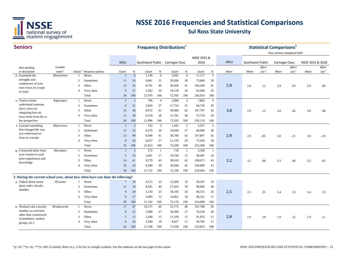

| <b>Seniors</b>                                                                  |                   |                     |                  |                |                | <b>Frequency Distributions<sup>ª</sup></b> |                |        |                |                     |                |      |                  |                   | <b>Statistical Comparisons</b> <sup>b</sup> |                             |                  |                   |
|---------------------------------------------------------------------------------|-------------------|---------------------|------------------|----------------|----------------|--------------------------------------------|----------------|--------|----------------|---------------------|----------------|------|------------------|-------------------|---------------------------------------------|-----------------------------|------------------|-------------------|
|                                                                                 |                   |                     |                  |                |                |                                            |                |        |                | NSSE 2015 &<br>2016 |                | SRSU |                  |                   | Your seniors compared with                  |                             |                  |                   |
|                                                                                 | Variable          |                     |                  | SRSU           |                | Southwest Public Carnegie Class            |                |        |                |                     |                |      | Southwest Public | Effect            | <b>Carnegie Class</b>                       |                             | NSSE 2015 & 2016 | Effect            |
| Item wording<br>or description                                                  | name <sup>c</sup> | Values <sup>d</sup> | Response options | Count          | %              | Count                                      | $\%$           | Count  | $\%$           | Count               | $\%$           | Mean | Mean             | size <sup>e</sup> | Mean                                        | Effect<br>size <sup>e</sup> | Mean             | size <sup>e</sup> |
| d. Examined the                                                                 | RIownview         |                     | Never            |                |                | 6<br>1.136                                 | 6              | 2,941  | $\overline{4}$ | 11,117              | 5              |      |                  |                   |                                             |                             |                  |                   |
| strengths and                                                                   |                   | $\mathcal{D}$       | Sometimes        | 11             | 24             | 6,661                                      | 31             | 20,266 | 28             | 73,846              | 29             |      |                  |                   |                                             |                             |                  |                   |
| weaknesses of your<br>own views on a topic                                      |                   | 3                   | Often            | 15             | 43             | 8,791                                      | 40             | 30,458 | 41             | 106,260             | 41             | 2.9  | 2.8              | .12               | 2.9                                         | .03                         | 2.9              | .06               |
| or issue                                                                        |                   | $\overline{A}$      | Very often       | 9              | 27             | 5,382                                      | 24             | 19,118 | 26             | 65,696              | 25             |      |                  |                   |                                             |                             |                  |                   |
|                                                                                 |                   |                     | Total            | 36             | 100            | 21,970                                     | 100            | 72,783 | 100            | 256,919             | 100            |      |                  |                   |                                             |                             |                  |                   |
| e. Tried to better                                                              | RIperspect        | $\mathbf{1}$        | Never            | $\mathbf{1}$   | $\overline{2}$ | 796                                        | $\overline{4}$ | 2,088  | 3              | 7,882               | $\overline{3}$ |      |                  |                   |                                             |                             |                  |                   |
| understand someone                                                              |                   | $\overline{2}$      | Sometimes        | 8              | 21             | 5,820                                      | 27             | 17,754 | 25             | 64,730              | 26             |      |                  |                   |                                             |                             |                  |                   |
| else's views by<br>imagining how an                                             |                   | 3                   | Often            | 16             | 49             | 8,972                                      | 41             | 30,960 | 42             | 107,797             | 42             | 3.0  | 2.9              | .12               | 3.0                                         | .05                         | 3.0              | .08               |
| issue looks from his or                                                         |                   | $\overline{4}$      | Very often       | 11             | 28             | 6,310                                      | 28             | 21,781 | 30             | 75,710              | 29             |      |                  |                   |                                             |                             |                  |                   |
| her perspective                                                                 |                   |                     | Total            | 36             | 100            | 21,898                                     | 100            | 72,583 | 100            | 256,119             | 100            |      |                  |                   |                                             |                             |                  |                   |
| f. Learned something                                                            | RInewview         |                     | Never            | $\mathbf{1}$   | 2              | 532                                        | $\overline{3}$ | 1,441  | 2              | 5,327               | 2              |      |                  |                   |                                             |                             |                  |                   |
| that changed the way                                                            |                   | $\overline{2}$      | Sometimes        | 13             | 33             | 6,276                                      | 29             | 19,044 | 27             | 68,840              | 28             |      |                  |                   |                                             |                             |                  |                   |
| you understand an<br>issue or concept                                           |                   | 3                   | Often            | 13             | 40             | 8,948                                      | 41             | 30,786 | 42             | 107,867             | 42             | 2.9  | 2.9              | $-.05$            | 3.0                                         | $-.11$                      | 3.0              | $-.10$            |
|                                                                                 |                   | $\overline{4}$      | Very often       | 8              | 26             | 6,057                                      | 27             | 21,159 | 29             | 73,426              | 28             |      |                  |                   |                                             |                             |                  |                   |
|                                                                                 |                   |                     | Total            | 35             | 100            | 21,813                                     | 100            | 72,430 | 100            | 255,460             | 100            |      |                  |                   |                                             |                             |                  |                   |
| g. Connected ideas from                                                         | RIconnect         |                     | Never            | $\overline{1}$ | $\overline{2}$ | 272                                        | 1              | 718    | -1             | 2,506               | $\mathbf{1}$   |      |                  |                   |                                             |                             |                  |                   |
| your courses to your                                                            |                   | $\overline{2}$      | Sometimes        | 5              | 14             | 3,601                                      | 17             | 10,538 | 15             | 38,487              | 16             |      |                  |                   |                                             |                             |                  |                   |
| prior experiences and<br>knowledge                                              |                   | 3                   | Often            | 14             | 41             | 9,279                                      | 43             | 30,618 | 42             | 108,671             | 43             | 3.2  | 3.2              | .08               | 3.2                                         | .00                         | 3.2              | .02               |
|                                                                                 |                   | $\overline{4}$      | Very often       | 16             | 43             | 8,580                                      | 39             | 30,286 | 42             | 104,800             | 41             |      |                  |                   |                                             |                             |                  |                   |
|                                                                                 |                   |                     | Total            | 36             | 100            | 21,732                                     | 100            | 72,160 | 100            | 254,464             | 100            |      |                  |                   |                                             |                             |                  |                   |
| 3. During the current school year, about how often have you done the following? |                   |                     |                  |                |                |                                            |                |        |                |                     |                |      |                  |                   |                                             |                             |                  |                   |
| a. Talked about career                                                          | SFcareer          |                     | Never            | $\tau$         | 19             | 4,572                                      | 23             | 12,509 | 19             | 43,547              | 19             |      |                  |                   |                                             |                             |                  |                   |
| plans with a faculty                                                            |                   | $\mathcal{D}$       | Sometimes        | 11             | 34             | 8,561                                      | 40             | 27,424 | 39             | 98,666              | 40             |      |                  |                   |                                             |                             |                  |                   |
| member                                                                          |                   | 3                   | Often            | 9              | 20             | 5,134                                      | 23             | 18,182 | 24             | 64,315              | 24             | 2.5  | 2.3              | .25               | 2.4                                         | .13                         | 2.4              | .15               |
|                                                                                 |                   | $\overline{4}$      | Very often       | 9              | 27             | 3.495                                      | 15             | 14,061 | 18             | 48,161              | 17             |      |                  |                   |                                             |                             |                  |                   |
|                                                                                 |                   |                     | Total            | 36             | 100            | 21,762                                     | 100            | 72,176 | 100            | 254,689             | 100            |      |                  |                   |                                             |                             |                  |                   |
| b. Worked with a faculty                                                        | SFotherwork       | $\mathbf{1}$        | Never            | 17             | 47             | 10,171                                     | 49             | 31,775 | 46             | 107,768             | 45             |      |                  |                   |                                             |                             |                  |                   |
| member on activities                                                            |                   | $\overline{2}$      | Sometimes        | 8              | 21             | 5,908                                      | 27             | 20,368 | 27             | 74,250              | 28             |      |                  |                   |                                             |                             |                  |                   |
| other than coursework<br>(committees, student                                   |                   | 3                   | Often            | 5              | 12             | 3,280                                      | 15             | 11,169 | 15             | 41,053              | 15             | 2.0  | 1.9              | .18               | 1.9                                         | .12                         | 1.9              | .11               |
| groups, etc.)                                                                   |                   | $\overline{A}$      | Very often       | 6              | 20             | 2,349                                      | 10             | 8,627  | 11             | 30,782              | 11             |      |                  |                   |                                             |                             |                  |                   |
|                                                                                 |                   |                     | Total            | 36             | 100            | 21,708                                     | 100            | 71,939 | 100            | 253,853             | 100            |      |                  |                   |                                             |                             |                  |                   |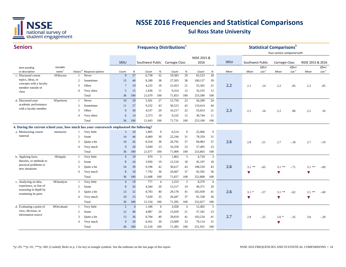

| <b>Seniors</b>                                                                            |                                        |                     |                           |                         |                | <b>Frequency Distributions</b> <sup>a</sup> |                |                 |                |                 |                |      |                         |                   | <b>Statistical Comparisons</b> b<br>Your seniors compared with |                   |                  |                   |
|-------------------------------------------------------------------------------------------|----------------------------------------|---------------------|---------------------------|-------------------------|----------------|---------------------------------------------|----------------|-----------------|----------------|-----------------|----------------|------|-------------------------|-------------------|----------------------------------------------------------------|-------------------|------------------|-------------------|
|                                                                                           |                                        |                     |                           |                         |                |                                             |                |                 |                | NSSE 2015 &     |                |      |                         |                   |                                                                |                   |                  |                   |
|                                                                                           |                                        |                     |                           | SRSU                    |                | Southwest Public Carnegie Class             |                |                 |                | 2016            |                | SRSU | Southwest Public        |                   | Carnegie Class                                                 |                   | NSSE 2015 & 2016 |                   |
| Item wording                                                                              | Variable                               |                     |                           |                         |                |                                             |                |                 |                |                 |                |      |                         | Effect            |                                                                | Effect            |                  | Effect            |
| or description<br>c. Discussed course                                                     | name <sup>c</sup><br><b>SF</b> discuss | Values <sup>d</sup> | Response options<br>Never | Count<br>9              | %<br>27        | Count<br>6,738                              | $\%$<br>32     | Count<br>19,583 | $\%$<br>29     | Count<br>65,523 | $\%$<br>28     | Mean | Mean                    | size <sup>e</sup> | Mean                                                           | size <sup>e</sup> | Mean             | size <sup>e</sup> |
| topics, ideas, or                                                                         |                                        | 2                   | Sometimes                 | 15                      | 40             | 8,280                                       | 38             | 27,503          | 38             | 100,157         | 39             |      |                         |                   |                                                                |                   |                  |                   |
| concepts with a faculty                                                                   |                                        | 3                   | Often                     | $\overline{7}$          | 19             | 4,225                                       | 19             | 15,453          | 21             | 55,365          | 21             | 2.2  | 2.1                     | .14               | 2.2                                                            | .05               | 2.2              | .05               |
| member outside of                                                                         |                                        | $\overline{4}$      | Very often                | .5                      | 15             | 2,436                                       | -11            | 9,314           | 12             | 32,535          | 12             |      |                         |                   |                                                                |                   |                  |                   |
| class                                                                                     |                                        |                     | Total                     | 36                      | 100            | 21,679                                      | 100            | 71,853          | 100            | 253,580         | 100            |      |                         |                   |                                                                |                   |                  |                   |
| d. Discussed your                                                                         | SFperform                              | -1                  | Never                     | 10                      | 29             | 5,501                                       | 27             | 15,759          | 23             | 56,289          | 24             |      |                         |                   |                                                                |                   |                  |                   |
| academic performance                                                                      |                                        | 2                   | Sometimes                 | 11                      | 27             | 9,232                                       | 43             | 30,523          | 42             | 110,414         | 44             |      |                         |                   |                                                                |                   |                  |                   |
| with a faculty member                                                                     |                                        | 3                   | Often                     | 9                       | 30             | 4,537                                       | 20             | 16,217          | 22             | 55,653          | 21             | 2.3  | 2.1                     | .16               | 2.2                                                            | .06               | 2.2              | .10               |
|                                                                                           |                                        | $\overline{4}$      | Very often                | 6                       | 14             | 2,373                                       | 10             | 9,232           | 12             | 30,744          | 11             |      |                         |                   |                                                                |                   |                  |                   |
|                                                                                           |                                        |                     | Total                     | 36                      | 100            | 21,643                                      | 100            | 71,731          | 100            | 253,100         | 100            |      |                         |                   |                                                                |                   |                  |                   |
| 4. During the current school year, how much has your coursework emphasized the following? |                                        |                     |                           |                         |                |                                             |                |                 |                |                 |                |      |                         |                   |                                                                |                   |                  |                   |
| a. Memorizing course                                                                      | memorize                               | $\mathbf{1}$        | Very little               | $\overline{\mathbf{3}}$ | 10             | 1,805                                       | 9              | 6,514           | 9              | 22,966          | 9              |      |                         |                   |                                                                |                   |                  |                   |
| material                                                                                  |                                        | 2                   | Some                      | 14                      | 44             | 6,469                                       | 30             | 22,244          | 31             | 78,359          | 31             |      |                         |                   |                                                                |                   |                  |                   |
|                                                                                           |                                        | 3                   | Quite a bit               | 10                      | 26             | 8,354                                       | 38             | 26,792          | 37             | 94,983          | 37             | 2.6  | 2.8                     | $-.21$            |                                                                | $-.18$            | 2.7              |                   |
|                                                                                           |                                        | $\overline{4}$      | Very much                 | 9                       | 20             | 5,049                                       | 23             | 16,359          | 23             | 57,495          | 23             |      |                         |                   | 2.7                                                            |                   |                  | $-.19$            |
|                                                                                           |                                        |                     | Total                     | 36                      | 100            | 21.677                                      | 100            | 71,909          | 100            | 253,803         | 100            |      |                         |                   |                                                                |                   |                  |                   |
| b. Applying facts,                                                                        | HOapply                                | -1                  | Very little               | $\overline{4}$          | 19             | 670                                         | 3              | 1,863           | 3              | 6,720           | 3              |      |                         |                   |                                                                |                   |                  |                   |
| theories, or methods to                                                                   |                                        | 2                   | Some                      | 8                       | 24             | 3,950                                       | 19             | 12,510          | 18             | 45,197          | 18             |      |                         |                   |                                                                |                   |                  |                   |
| practical problems or                                                                     |                                        | 3                   | Quite a bit               | 16                      | 39             | 9.196                                       | 42             | 30,617          | 43             | 108,559         | 43             | 2.6  | $3.1$ **                | $-.65$            | $3.1$ **                                                       | $-.71$            | $3.1$ **         | $-.69$            |
| new situations                                                                            |                                        | $\overline{4}$      | Very much                 | 8                       | 18             | 7,792                                       | 36             | 26,667          | 37             | 92,392          | 36             |      | $\overline{\mathbf{v}}$ |                   |                                                                |                   |                  |                   |
|                                                                                           |                                        |                     | Total                     | 36                      | 100            | 21,608                                      | 100            | 71,657          | 100            | 252,868         | 100            |      |                         |                   | v                                                              |                   | v                |                   |
| c. Analyzing an idea,                                                                     | HOanalyze                              | $\mathbf{1}$        | Very little               | $\overline{4}$          | 19             | 777                                         | $\overline{4}$ | 2,253           | $\overline{3}$ | 8,379           | $\overline{4}$ |      |                         |                   |                                                                |                   |                  |                   |
| experience, or line of                                                                    |                                        | 2                   | Some                      | 9                       | 26             | 4,344                                       | 20             | 13,517          | 19             | 49,371          | 20             |      |                         |                   |                                                                |                   |                  |                   |
| reasoning in depth by                                                                     |                                        | 3                   | Quite a bit               | 13                      | 32             | 8,783                                       | 40             | 29,178          | 41             | 102,939         | 41             | 2.6  | $3.1*$                  | $-.57$            | $3.1$ **                                                       | $-.62$            | $3.1$ **         | $-.60$            |
| examining its parts                                                                       |                                        | $\overline{4}$      | Very much                 | 10                      | 23             | 7,630                                       | 35             | 26,447          | 37             | 91,338          | 36             |      | $\overline{\mathbf{v}}$ |                   | v                                                              |                   | v                |                   |
|                                                                                           |                                        |                     | Total                     | 36                      | 100            | 21,534                                      | 100            | 71,395          | 100            | 252,027         | 100            |      |                         |                   |                                                                |                   |                  |                   |
| d. Evaluating a point of                                                                  | HOevaluate                             | $\overline{1}$      | Very little               | 2                       | $\overline{4}$ | 1,186                                       | 6              | 2,928           | $\overline{4}$ | 12,402          | 5              |      |                         |                   |                                                                |                   |                  |                   |
| view, decision, or                                                                        |                                        | 2                   | Some                      | 12                      | 40             | 4,987                                       | 24             | 15,029          | 21             | 57,181          | 23             |      |                         |                   |                                                                |                   |                  |                   |
| information source                                                                        |                                        | 3                   | Quite a bit               | 13                      | 36             | 8,784                                       | 40             | 29,819          | 41             | 103,234         | 41             | 2.7  | 2.9                     | $-.25$            | $3.0*$                                                         | $-.35$            | 3.0              | $-.29$            |
|                                                                                           |                                        | $\overline{4}$      | Very much                 | 9                       | 20             | 6,561                                       | 30             | 23,609          | 33             | 79,114          | 31             |      |                         |                   | v                                                              |                   |                  |                   |
|                                                                                           |                                        |                     | Total                     | 36                      | 100            | 21,518                                      | 100            | 71,385          | 100            | 251,931         | 100            |      |                         |                   |                                                                |                   |                  |                   |
|                                                                                           |                                        |                     |                           |                         |                |                                             |                |                 |                |                 |                |      |                         |                   |                                                                |                   |                  |                   |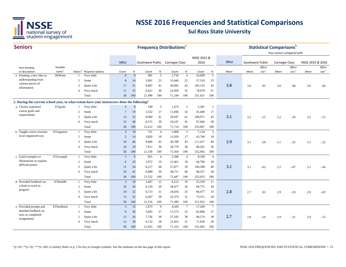

| <b>Seniors</b>                                                                              |                   |                |                                      |                  |              |                                 |                | <b>Frequency Distributions<sup>®</sup></b> |                 |             |                 |      |                  |                   | <b>Statistical Comparisons</b> <sup>b</sup><br>Your seniors compared with |                   |                  |                   |
|---------------------------------------------------------------------------------------------|-------------------|----------------|--------------------------------------|------------------|--------------|---------------------------------|----------------|--------------------------------------------|-----------------|-------------|-----------------|------|------------------|-------------------|---------------------------------------------------------------------------|-------------------|------------------|-------------------|
|                                                                                             |                   |                |                                      |                  |              |                                 |                |                                            |                 | NSSE 2015 & |                 |      |                  |                   |                                                                           |                   |                  |                   |
|                                                                                             |                   |                |                                      | SRSU             |              | Southwest Public Carnegie Class |                |                                            |                 | 2016        |                 | SRSU | Southwest Public |                   | Carnegie Class                                                            |                   | NSSE 2015 & 2016 |                   |
| Item wording                                                                                | Variable          |                |                                      |                  |              |                                 |                |                                            |                 |             |                 |      |                  | Effect            |                                                                           | Effect            |                  | Effect            |
| or description                                                                              | name <sup>c</sup> |                | Values <sup>d</sup> Response options | Count            | $\%$         | Count                           | $\%$           | Count                                      | $\%$            | Count       | $\%$            | Mean | Mean             | size <sup>e</sup> | Mean                                                                      | size <sup>e</sup> | Mean             | size <sup>e</sup> |
| e. Forming a new idea or                                                                    | HOform            |                | Very little                          | $\overline{0}$   | $\mathbf{0}$ | 981                             | 5              | 2,756                                      | $\overline{4}$  | 10,699      | 5               |      |                  |                   |                                                                           |                   |                  |                   |
| understanding from<br>various pieces of                                                     |                   | $\overline{c}$ | Some                                 | $\boldsymbol{8}$ | 24           | 5,001                           | 23             | 15,446                                     | 22              | 57,519      | 23              |      |                  |                   |                                                                           |                   |                  |                   |
| information                                                                                 |                   | 3              | Quite a bit                          | 17               | 51           | 8,887                           | 41             | 30,092                                     | 42              | 105,125     | 42              | 3.0  | 3.0              | .05               | 3.0                                                                       | .00               | 3.0              | .04               |
|                                                                                             |                   | $\overline{4}$ | Very much                            | 11               | 25           | 6,621                           | 30             | 22,950                                     | 32              | 78,078      | 31              |      |                  |                   |                                                                           |                   |                  |                   |
|                                                                                             |                   |                | Total                                | 36               | 100          | 21,490                          | 100            | 71,244                                     | 100             | 251,421     | 100             |      |                  |                   |                                                                           |                   |                  |                   |
| 5. During the current school year, to what extent have your instructors done the following? |                   |                |                                      |                  |              |                                 |                |                                            |                 |             |                 |      |                  |                   |                                                                           |                   |                  |                   |
| a. Clearly explained                                                                        | ETgoals           |                | Very little                          | 2                | 8            | 549                             | 3              | 1,474                                      | $\overline{c}$  | 5,381       | $\overline{2}$  |      |                  |                   |                                                                           |                   |                  |                   |
| course goals and                                                                            |                   | 2              | Some                                 | $\overline{7}$   | 19           | 3,532                           | 17             | 11,046                                     | 16              | 41,049      | 17              |      |                  |                   |                                                                           |                   |                  |                   |
| requirements                                                                                |                   | 3              | Quite a bit                          | 12               | 33           | 8,960                           | 41             | 29,947                                     | 41              | 108,971     | 43              | 3.1  | 3.2              | $-.15$            | 3.2                                                                       | $-.20$            | 3.2              | $-.15$            |
|                                                                                             |                   | $\overline{4}$ | Very much                            | 15               | 40           | 8,571                           | 39             | 29,247                                     | 41              | 97,666      | 38              |      |                  |                   |                                                                           |                   |                  |                   |
|                                                                                             |                   |                | Total                                | 36               | 100          | 21,612                          | 100            | 71,714                                     | 100             | 253,067     | 100             |      |                  |                   |                                                                           |                   |                  |                   |
| b. Taught course sessions                                                                   | ETorganize        | -1             | Very little                          | $\overline{3}$   | 10           | 731                             | $\overline{4}$ | 2,068                                      | 3               | 7,124       | 3               |      |                  |                   |                                                                           |                   |                  |                   |
| in an organized way                                                                         |                   | 2              | Some                                 | 5                | 14           | 3,850                           | 18             | 11,929                                     | 17              | 43,740      | 18              |      |                  |                   |                                                                           |                   |                  |                   |
|                                                                                             |                   | 3              | Quite a bit                          | 18               | 46           | 9,066                           | 42             | 30,788                                     | 43              | 111,417     | 44              | 2.9  | 3.1              | $-.20$            | 3.1                                                                       | $-.25$            | 3.1              | $-.22$            |
|                                                                                             |                   | $\overline{4}$ | Very much                            | 10               | 29           | 7,911                           | 36             | 26,779                                     | 38              | 90,201      | 36              |      |                  |                   |                                                                           |                   |                  |                   |
|                                                                                             |                   |                | Total                                | 36               | 100          | 21,558                          | 100            | 71,564                                     | 100             | 252,482     | 100             |      |                  |                   |                                                                           |                   |                  |                   |
| c. Used examples or                                                                         | ETexample         | -1             | Very little                          | $\overline{1}$   | 6            | 855                             | $\overline{4}$ | 2,398                                      | $\overline{4}$  | 8,338       | $\overline{4}$  |      |                  |                   |                                                                           |                   |                  |                   |
| illustrations to explain                                                                    |                   | 2              | Some                                 | 6                | 20           | 3,972                           | 19             | 12,461                                     | 18              | 44,790      | 18              |      |                  |                   |                                                                           |                   |                  |                   |
| difficult points                                                                            |                   | 3              | Quite a bit                          | 11               | 34           | 8,217                           | 38             | 27,877                                     | 39              | 100,598     | 40              | 3.1  | 3.1              | $-.02$            | 3.2                                                                       | $-.07$            | 3.1              | $-.04$            |
|                                                                                             |                   | $\overline{4}$ | Very much                            | 18               | 41           | 8,488                           | 39             | 28,711                                     | 40              | 98,327      | 38              |      |                  |                   |                                                                           |                   |                  |                   |
|                                                                                             |                   |                | Total                                | 36               | 100          | 21,532                          | 100            | 71,447                                     | 100             | 252,053     | 100             |      |                  |                   |                                                                           |                   |                  |                   |
| d. Provided feedback on                                                                     | ETdraftfb         |                | Very little                          | $\overline{3}$   | 10           | 2,467                           | 12             | 6,512                                      | 10              | 25,359      | 11              |      |                  |                   |                                                                           |                   |                  |                   |
| a draft or work in                                                                          |                   | 2              | Some                                 | 10               | 36           | 6,129                           | 29             | 18,477                                     | 26              | 68,775      | 28              |      |                  |                   |                                                                           |                   |                  |                   |
| progress                                                                                    |                   | 3              | Quite a bit                          | 10               | 22           | 6,713                           | 31             | 24,026                                     | 33              | 84,477      | 33              | 2.8  | 2.7              | .02               | 2.9                                                                       | $-.10$            | 2.8              | $-.02$            |
|                                                                                             |                   | $\overline{4}$ | Very much                            | 13               | 32           | 6,207                           | 28             | 22,374                                     | 31              | 73,311      | 28              |      |                  |                   |                                                                           |                   |                  |                   |
|                                                                                             |                   |                | Total                                | 36               | 100          | 21,516                          | 100            | 71,389                                     | 100             | 251,922     | 100             |      |                  |                   |                                                                           |                   |                  |                   |
| e. Provided prompt and                                                                      | ETfeedback        | 1              | Very little                          | $\overline{3}$   | 13           | 1,875                           | 9              | 4,583                                      | $7\phantom{.0}$ | 17,269      | $7\phantom{.0}$ |      |                  |                   |                                                                           |                   |                  |                   |
| detailed feedback on                                                                        |                   | 2              | Some                                 | 9                | 30           | 5,692                           | 27             | 17,573                                     | 25              | 65,886      | 27              |      |                  |                   |                                                                           |                   |                  |                   |
| tests or completed                                                                          |                   | 3              | Quite a bit                          | 12               | 26           | 7,756                           | 36             | 27,182                                     | 38              | 96,274      | 38              | 2.7  | 2.8              | $-.10$            | 2.9                                                                       | $-.21$            | 2.9              | $-.15$            |
| assignments                                                                                 |                   | $\overline{4}$ | Very much                            | 12               | 30           | 6,132                           | 28             | 21,825                                     | 31              | 71,636      | 28              |      |                  |                   |                                                                           |                   |                  |                   |
|                                                                                             |                   |                | Total                                | 36               | 100          | 21,455                          | 100            | 71,163                                     | 100             | 251,065     | 100             |      |                  |                   |                                                                           |                   |                  |                   |
|                                                                                             |                   |                |                                      |                  |              |                                 |                |                                            |                 |             |                 |      |                  |                   |                                                                           |                   |                  |                   |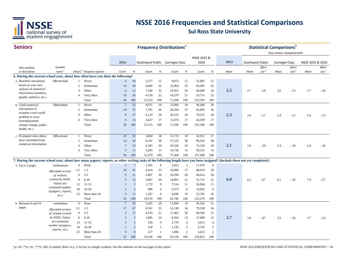

#### **Seniors**

| <b>Seniors</b>                                                                                                                                                               |                                      |                |                                      |                 |          |                                 |                | <b>Frequency Distributions®</b> |                |             |                |      |                  |                   | <b>Statistical Comparisons</b> b |                   |                  |                   |
|------------------------------------------------------------------------------------------------------------------------------------------------------------------------------|--------------------------------------|----------------|--------------------------------------|-----------------|----------|---------------------------------|----------------|---------------------------------|----------------|-------------|----------------|------|------------------|-------------------|----------------------------------|-------------------|------------------|-------------------|
|                                                                                                                                                                              |                                      |                |                                      |                 |          |                                 |                |                                 |                |             |                |      |                  |                   | Your seniors compared with       |                   |                  |                   |
|                                                                                                                                                                              |                                      |                |                                      |                 |          |                                 |                |                                 |                | NSSE 2015 & |                |      |                  |                   |                                  |                   |                  |                   |
|                                                                                                                                                                              |                                      |                |                                      | SRSU            |          | Southwest Public Carnegie Class |                |                                 |                | 2016        |                | SRSU | Southwest Public |                   | Carnegie Class                   |                   | NSSE 2015 & 2016 |                   |
| Item wording                                                                                                                                                                 | Variable                             |                |                                      |                 |          |                                 |                |                                 |                |             |                |      |                  | Effect            |                                  | Effect            |                  | <b>Effect</b>     |
| or description                                                                                                                                                               | name <sup>c</sup>                    |                | Values <sup>d</sup> Response options | Count           | %        | Count                           | %              | Count                           | %              | Count       | %              | Mean | Mean             | size <sup>e</sup> | Mean                             | size <sup>e</sup> | Mean             | size <sup>e</sup> |
| 6. During the current school year, about how often have you done the following?                                                                                              |                                      |                |                                      |                 |          |                                 |                |                                 |                |             |                |      |                  |                   |                                  |                   |                  |                   |
| a. Reached conclusions                                                                                                                                                       | ORconclude                           |                | Never                                | 6               | 16       | 2,577                           | 12             | 9,073                           | 12             | 31,083      | 12             |      |                  |                   |                                  |                   |                  |                   |
| based on your own                                                                                                                                                            |                                      | $\overline{2}$ | Sometimes                            | 14              | 44       | 6,960                           | 32             | 23,964                          | 33             | 83,092      | 32             |      |                  |                   |                                  |                   |                  |                   |
| analysis of numerical<br>information (numbers,                                                                                                                               |                                      | 3              | Often                                | 6               | 13       | 7,438                           | 35             | 23,952                          | 34             | 84,689      | 34             | 2.5  | 2.7              | $-.18$            | 2.6                              | $-.15$            | 2.7              | $-.18$            |
| graphs, statistics, etc.)                                                                                                                                                    |                                      | $\overline{4}$ | Very often                           | 10              | 26       | 4,578                           | 22             | 14,579                          | 21             | 53,731      | 22             |      |                  |                   |                                  |                   |                  |                   |
|                                                                                                                                                                              |                                      |                | Total                                | 36              | 100      | 21,553                          | 100            | 71,568                          | 100            | 252,595     | 100            |      |                  |                   |                                  |                   |                  |                   |
| b. Used numerical                                                                                                                                                            | QRproblem                            | $\overline{1}$ | Never                                | $\overline{7}$  | 22       | 4,071                           | 19             | 12,906                          | 18             | 46,460      | 18             |      |                  |                   |                                  |                   |                  |                   |
| information to                                                                                                                                                               |                                      | 2              | Sometimes                            | 14              | 37       | 7,707                           | 36             | 26,504                          | 37             | 92,895      | 36             |      |                  |                   |                                  |                   |                  |                   |
| examine a real-world                                                                                                                                                         |                                      | 3              | Often                                | 9               | 27       | 6,110                           | 28             | 20,152                          | 28             | 70,322      | 28             | 2.3  | 2.4              | $-.11$            | 2.4                              | $-.12$            | 2.4              | $-.12$            |
| problem or issue<br>(unemployment,                                                                                                                                           |                                      | $\overline{4}$ | Very often                           | 6               | 14       | 3,627                           | 17             | 11,874                          | 17             | 42,509      | 17             |      |                  |                   |                                  |                   |                  |                   |
| climate change, public                                                                                                                                                       |                                      |                | Total                                | 36              | 100      | 21,515                          | 100            | 71,436                          | 100            | 252,186     | 100            |      |                  |                   |                                  |                   |                  |                   |
| health, etc.)                                                                                                                                                                |                                      |                |                                      |                 |          |                                 |                |                                 |                |             |                |      |                  |                   |                                  |                   |                  |                   |
|                                                                                                                                                                              |                                      |                |                                      |                 |          |                                 |                |                                 |                |             |                |      |                  |                   |                                  |                   |                  |                   |
| c. Evaluated what others                                                                                                                                                     | ORevaluate                           | $\mathbf{1}$   | Never                                | 10              | 32       | 3,840                           | 18             | 12,723                          | 18             | 42,912      | 17             |      |                  |                   |                                  |                   |                  |                   |
| have concluded from<br>numerical information                                                                                                                                 |                                      | 2              | Sometimes                            | 14              | 34       | 8,191                           | 38             | 27,525                          | 38             | 96,202      | 38             |      |                  |                   |                                  |                   |                  |                   |
|                                                                                                                                                                              |                                      | 3              | Often                                | $\overline{7}$  | 23       | 6,183                           | 29             | 20,328                          | 29             | 73,329      | 29             | 2.1  | 2.4              | $-.29$            | 2.4                              | $-.29$            | 2.4              | $-.32$            |
|                                                                                                                                                                              |                                      | $\overline{4}$ | Very often                           | 5               | 11       | 3,265                           | 15             | 10,728                          | 15             | 39,255      | 16             |      |                  |                   |                                  |                   |                  |                   |
|                                                                                                                                                                              |                                      |                | Total                                | 36              | 100      | 21,479                          | 100            | 71,304                          | 100            | 251,698     | 100            |      |                  |                   |                                  |                   |                  |                   |
| 7. During the current school year, about how many papers, reports, or other writing tasks of the following length have you been assigned? (Include those not yet completed.) |                                      |                |                                      |                 |          |                                 |                |                                 |                |             |                |      |                  |                   |                                  |                   |                  |                   |
| a. Up to 5 pages                                                                                                                                                             | wrshortnum                           | $\mathbf{0}$   | None                                 | $\mathbf{3}$    |          | 1,505                           | 8              | 2,922                           | $\overline{5}$ | 11,670      | 6              |      |                  |                   |                                  |                   |                  |                   |
|                                                                                                                                                                              | (Recoded version                     | 1.5            | $1 - 2$                              | 10              | 41       | 4,414                           | 23             | 10,990                          | 17             | 40,979      | 18             |      |                  |                   |                                  |                   |                  |                   |
|                                                                                                                                                                              | of wrshort                           | $\overline{4}$ | $3 - 5$                              | 9               | 21       | 5,807                           | 30             | 18,200                          | 28             | 64,414      | 28             |      |                  |                   |                                  |                   |                  |                   |
|                                                                                                                                                                              | created by NSSE.                     | 8              | $6 - 10$                             | 5               | 12       | 3,907                           | 20             | 14,901                          | 22             | 51,732      | 22             | 6.0  | 6.5              | $-.07$            | 8.1                              | $-.30$            | 7.9              | $-.27$            |
|                                                                                                                                                                              | Values are                           | 13             | $11 - 15$                            |                 | 2        | 1,772                           | 9              | 7,514                           | 11             | 26,004      | 11             |      |                  |                   |                                  |                   |                  |                   |
|                                                                                                                                                                              | estimated number                     | 18             | $16-20$                              | $\overline{c}$  | 5        | 898                             | $\overline{4}$ | 4,373                           | 6              | 14,692      | 6              |      |                  |                   |                                  |                   |                  |                   |
|                                                                                                                                                                              | of papers, reports,                  | 23             | More than 20                         | $\overline{3}$  | 11       | 1,267                           | 6              | 6,846                           | 10             | 22,785      | 10             |      |                  |                   |                                  |                   |                  |                   |
|                                                                                                                                                                              | $etc.$ )                             |                | Total                                | 33              | 100      | 19,570                          | 100            | 65,746                          | 100            | 232,276     | 100            |      |                  |                   |                                  |                   |                  |                   |
| b. Between 6 and 10                                                                                                                                                          | wrmednum                             | $\overline{0}$ | None                                 | $7\phantom{.0}$ | 29       | 5,435                           | 29             | 11,894                          | 19             | 45,542      | 21             |      |                  |                   |                                  |                   |                  |                   |
| pages                                                                                                                                                                        |                                      | 1.5            | $1 - 2$                              | 17              | 47       | 6,761                           | 35             | 22,149                          | 34             | 79,538      | 34             |      |                  |                   |                                  |                   |                  |                   |
|                                                                                                                                                                              | (Recoded version<br>of wrmed created | $\overline{4}$ | $3 - 5$                              | 3               | 11       | 4,143                           | 21             | 17,483                          | 26             | 60,585      | 25             |      |                  |                   |                                  |                   |                  |                   |
|                                                                                                                                                                              | by NSSE. Values                      | 8              | $6 - 10$                             | $\overline{2}$  | 5        | 1,895                           | 10             | 8,563                           | 13             | 27,989      | 12             | 2.7  | 3.0              | $-.07$            | 3.9                              | $-.26$            | 3.7              | $-0.22$           |
|                                                                                                                                                                              | are estimated                        | 13             | $11 - 15$                            | 2               | 5        | 559                             | 3              | 2,779                           | $\overline{4}$ | 9,015       | $\overline{4}$ |      |                  |                   |                                  |                   |                  |                   |
|                                                                                                                                                                              | number of papers,                    | 18             | $16 - 20$                            | $\mathbf{1}$    | 3        | 218                             | -1             | 1,192                           | 2              | 3,742       | $\overline{c}$ |      |                  |                   |                                  |                   |                  |                   |
|                                                                                                                                                                              | reports, etc.)                       |                |                                      |                 | $\Omega$ |                                 |                |                                 |                |             | $\mathbf{2}$   |      |                  |                   |                                  |                   |                  |                   |
|                                                                                                                                                                              |                                      | 23             | More than 20                         | $\mathbf{0}$    |          | 217                             | -1             | 1,096                           | 2              | 3,412       |                |      |                  |                   |                                  |                   |                  |                   |
|                                                                                                                                                                              |                                      |                | Total                                | 32              | 100      | 19,228                          | 100            | 65,156                          | 100            | 229,823     | 100            |      |                  |                   |                                  |                   |                  |                   |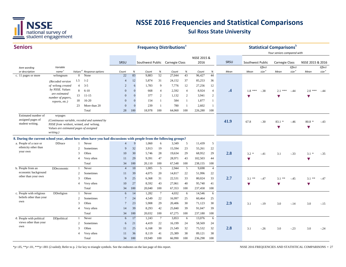

| NSSE 2015 &<br>SRSU<br>2016<br>SRSU<br>Southwest Public Carnegie Class<br>Southwest Public<br>Carnegie Class<br>NSSE 2015 & 2016<br>Effect<br><b>Effect</b><br>Effect<br>Variable<br>Item wording<br>Values <sup>d</sup><br>size <sup>e</sup><br>size <sup>e</sup><br>size <sup>e</sup><br>name <sup>c</sup><br>%<br>or description<br>Response options<br>$\%$<br>$\%$<br>$\%$<br>Mean<br>Mean<br>Mean<br>Count<br>Count<br>Count<br>Count<br>Mean<br>83<br>52<br>43<br>44<br>22<br>9,883<br>27,044<br>None<br>96,427<br>c. 11 pages or more<br>wrlongnum<br>$\mathbf{0}$<br>1.5<br>$1 - 2$<br>12<br>5,874<br>31<br>24,152<br>37<br>36<br>85,253<br>$\overline{4}$<br>(Recoded version<br>$\overline{4}$<br>$3 - 5$<br>1,783<br>9<br>7,776<br>12<br>12<br>of wrlong created<br>$\overline{2}$<br>6<br>27,256<br>by NSSE. Values<br>$\cdot$<br>8<br>$6 - 10$<br>$\mathbf{0}$<br>$\mathbf{0}$<br>668<br>$\overline{4}$<br>2,592<br>$\overline{4}$<br>8,924<br>$\overline{4}$<br>$1.8***$<br>$-.38$<br>$2.1***$<br>$-.44$<br>$2.0***$<br>-.44<br>are estimated<br>377<br>2<br>$\overline{c}$<br>$\overline{2}$<br>13<br>$11 - 15$<br>$\overline{0}$<br>$\Omega$<br>1,132<br>3,941<br>$\blacktriangledown$<br>$\blacktriangledown$<br>$\blacktriangledown$<br>number of papers,<br>$16 - 20$<br>18<br>$\overline{0}$<br>$\mathbf{0}$<br>154<br>$\mathbf{1}$<br>584<br>1<br>1,877<br>$\mathbf{1}$<br>reports, etc.)<br>239<br>23<br>More than 20<br>$\overline{0}$<br>$\mathbf{0}$<br>780<br>-1<br>2,602<br>$\mathbf{1}$<br>-1<br>Total<br>28<br>100<br>18,978<br>100<br>64,060<br>100<br>226,280<br>100<br>Estimated number of<br>wrpages<br>assigned pages of<br>(Continuous variable, recoded and summed by<br>41.9<br>67.8<br>$-.30$<br>$83.1*$<br>$80.8*$<br>$-.46$<br>$-.43$<br>student writing.<br>NSSE from wrshort, wrmed, and wrlong.<br>$\blacktriangledown$<br>$\blacktriangledown$<br>Values are estimated pages of assigned<br>writing.)<br>8. During the current school year, about how often have you had discussions with people from the following groups?<br>a. People of a race or<br><b>DDrace</b><br>9<br>1,060<br>6<br>3,349<br>5<br>11,439<br>5<br>Never<br>$\overline{4}$<br>ethnicity other than<br>32<br>9<br>3,913<br>19<br>15,594<br>23<br>22<br>$\mathcal{D}_{\alpha}$<br>Sometimes<br>55,261<br>your own<br>2.8<br>3<br>Often<br>30<br>28<br>29<br>68,952<br>29<br>10<br>5,746<br>19,634<br>$3.2*$<br>$-.41$<br>3.1<br>$-.33$<br>$3.1*$<br>$-.35$<br>29<br>9,391<br>47<br>28,971<br>43<br>102,503<br>44<br>$\overline{4}$<br>Very often<br>11<br>$\blacktriangledown$<br>$\blacktriangledown$<br>Total<br>34<br>100<br>100<br>100<br>20,110<br>67,548<br>100<br>238,155<br>b. People from an<br>Never<br>10<br>1,005<br>5<br>2,944<br>5<br>9,698<br>DDeconomic<br>$\overline{4}$<br>$\overline{4}$<br>$\overline{1}$<br>economic background<br>39<br>20<br>$\overline{c}$<br>Sometimes<br>4,075<br>14,817<br>22<br>51,996<br>22<br>11<br>other than your own<br>25<br>33<br>2.7<br>3<br>Often<br>9<br>6,368<br>31<br>22,531<br>33<br>80,024<br>$3.1$ **<br>$-.47$<br>$3.1***$<br>$-.45$<br>3.1<br>$\ast\ast$<br>$-.47$<br>27<br>8,592<br>43<br>40<br>95,740<br>41<br>$\overline{4}$<br>Very often<br>10<br>27,061<br>$\blacktriangledown$<br>v<br>$\blacktriangledown$<br>Total<br>34<br>100<br>20,040<br>100<br>67,353<br>100<br>237,458<br>100<br>c. People with religious<br>Never<br>DDreligion<br>14<br>1,282<br>$7\overline{ }$<br>4,032<br>14,546<br>6<br>$\overline{1}$<br>6<br>-6<br>beliefs other than your<br>22<br>25<br>24<br>4,549<br>16,997<br>25<br>60,464<br>$\overline{c}$<br>Sometimes<br>$\overline{7}$<br>own<br>2.9<br>3<br>Often<br>23<br>5,908<br>29<br>30<br>71,123<br>30<br>$\overline{7}$<br>20,406<br>3.1<br>$-.19$<br>3.0<br>$-.14$<br>3.0<br>$-.15$<br>42<br>14<br>39<br>8,293<br>25,840<br>39<br>91,047<br>39<br>$\overline{4}$<br>Very often<br>100<br>20,032<br>100<br>100<br>Total<br>34<br>67,275<br>100<br>237,180<br>17<br>d. People with political<br><b>DDpolitical</b><br>Never<br>1,243<br>$7\phantom{.0}$<br>3,853<br>13,076<br>6<br>6<br>$\mathbf{1}$<br>6<br>views other than your<br>22<br>$\overline{c}$<br>21<br>4,419<br>16,199<br>24<br>58,569<br>24<br>Sometimes<br>6<br>own<br>2.8<br>3<br>Often<br>11<br>25<br>6,168<br>30<br>21,549<br>32<br>75,532<br>32<br>3.1<br>$-.23$<br>3.0<br>$-.26$<br>3.0<br>$-.24$<br>38<br>36<br>41<br>25,389<br>89,121<br>38<br>8,119<br>$\overline{4}$<br>Very often<br>11 | <b>Seniors</b> |  |       |    |     |        |     | <b>Frequency Distributions<sup>®</sup></b> |     |         |     |  | <b>Statistical Comparisons</b> b<br>Your seniors compared with |  |  |
|-----------------------------------------------------------------------------------------------------------------------------------------------------------------------------------------------------------------------------------------------------------------------------------------------------------------------------------------------------------------------------------------------------------------------------------------------------------------------------------------------------------------------------------------------------------------------------------------------------------------------------------------------------------------------------------------------------------------------------------------------------------------------------------------------------------------------------------------------------------------------------------------------------------------------------------------------------------------------------------------------------------------------------------------------------------------------------------------------------------------------------------------------------------------------------------------------------------------------------------------------------------------------------------------------------------------------------------------------------------------------------------------------------------------------------------------------------------------------------------------------------------------------------------------------------------------------------------------------------------------------------------------------------------------------------------------------------------------------------------------------------------------------------------------------------------------------------------------------------------------------------------------------------------------------------------------------------------------------------------------------------------------------------------------------------------------------------------------------------------------------------------------------------------------------------------------------------------------------------------------------------------------------------------------------------------------------------------------------------------------------------------------------------------------------------------------------------------------------------------------------------------------------------------------------------------------------------------------------------------------------------------------------------------------------------------------------------------------------------------------------------------------------------------------------------------------------------------------------------------------------------------------------------------------------------------------------------------------------------------------------------------------------------------------------------------------------------------------------------------------------------------------------------------------------------------------------------------------------------------------------------------------------------------------------------------------------------------------------------------------------------------------------------------------------------------------------------------------------------------------------------------------------------------------------------------------------------------------------------------------------------------------------------------------------------------------------------------------------------------------------------------------------------------------------------------------------------------------------------------------------------------------------------------------------------------------------------------------------------------------------------------------------------------------------------------------------------------------------------------------------------------------------------------------------------------------------------------------------------------------------------------------------------------------------------------------------------------------------------------------------------------------------------------------------------------------------------------------------------------------|----------------|--|-------|----|-----|--------|-----|--------------------------------------------|-----|---------|-----|--|----------------------------------------------------------------|--|--|
|                                                                                                                                                                                                                                                                                                                                                                                                                                                                                                                                                                                                                                                                                                                                                                                                                                                                                                                                                                                                                                                                                                                                                                                                                                                                                                                                                                                                                                                                                                                                                                                                                                                                                                                                                                                                                                                                                                                                                                                                                                                                                                                                                                                                                                                                                                                                                                                                                                                                                                                                                                                                                                                                                                                                                                                                                                                                                                                                                                                                                                                                                                                                                                                                                                                                                                                                                                                                                                                                                                                                                                                                                                                                                                                                                                                                                                                                                                                                                                                                                                                                                                                                                                                                                                                                                                                                                                                                                                                                                         |                |  |       |    |     |        |     |                                            |     |         |     |  |                                                                |  |  |
|                                                                                                                                                                                                                                                                                                                                                                                                                                                                                                                                                                                                                                                                                                                                                                                                                                                                                                                                                                                                                                                                                                                                                                                                                                                                                                                                                                                                                                                                                                                                                                                                                                                                                                                                                                                                                                                                                                                                                                                                                                                                                                                                                                                                                                                                                                                                                                                                                                                                                                                                                                                                                                                                                                                                                                                                                                                                                                                                                                                                                                                                                                                                                                                                                                                                                                                                                                                                                                                                                                                                                                                                                                                                                                                                                                                                                                                                                                                                                                                                                                                                                                                                                                                                                                                                                                                                                                                                                                                                                         |                |  |       |    |     |        |     |                                            |     |         |     |  |                                                                |  |  |
|                                                                                                                                                                                                                                                                                                                                                                                                                                                                                                                                                                                                                                                                                                                                                                                                                                                                                                                                                                                                                                                                                                                                                                                                                                                                                                                                                                                                                                                                                                                                                                                                                                                                                                                                                                                                                                                                                                                                                                                                                                                                                                                                                                                                                                                                                                                                                                                                                                                                                                                                                                                                                                                                                                                                                                                                                                                                                                                                                                                                                                                                                                                                                                                                                                                                                                                                                                                                                                                                                                                                                                                                                                                                                                                                                                                                                                                                                                                                                                                                                                                                                                                                                                                                                                                                                                                                                                                                                                                                                         |                |  |       |    |     |        |     |                                            |     |         |     |  |                                                                |  |  |
|                                                                                                                                                                                                                                                                                                                                                                                                                                                                                                                                                                                                                                                                                                                                                                                                                                                                                                                                                                                                                                                                                                                                                                                                                                                                                                                                                                                                                                                                                                                                                                                                                                                                                                                                                                                                                                                                                                                                                                                                                                                                                                                                                                                                                                                                                                                                                                                                                                                                                                                                                                                                                                                                                                                                                                                                                                                                                                                                                                                                                                                                                                                                                                                                                                                                                                                                                                                                                                                                                                                                                                                                                                                                                                                                                                                                                                                                                                                                                                                                                                                                                                                                                                                                                                                                                                                                                                                                                                                                                         |                |  |       |    |     |        |     |                                            |     |         |     |  |                                                                |  |  |
|                                                                                                                                                                                                                                                                                                                                                                                                                                                                                                                                                                                                                                                                                                                                                                                                                                                                                                                                                                                                                                                                                                                                                                                                                                                                                                                                                                                                                                                                                                                                                                                                                                                                                                                                                                                                                                                                                                                                                                                                                                                                                                                                                                                                                                                                                                                                                                                                                                                                                                                                                                                                                                                                                                                                                                                                                                                                                                                                                                                                                                                                                                                                                                                                                                                                                                                                                                                                                                                                                                                                                                                                                                                                                                                                                                                                                                                                                                                                                                                                                                                                                                                                                                                                                                                                                                                                                                                                                                                                                         |                |  |       |    |     |        |     |                                            |     |         |     |  |                                                                |  |  |
|                                                                                                                                                                                                                                                                                                                                                                                                                                                                                                                                                                                                                                                                                                                                                                                                                                                                                                                                                                                                                                                                                                                                                                                                                                                                                                                                                                                                                                                                                                                                                                                                                                                                                                                                                                                                                                                                                                                                                                                                                                                                                                                                                                                                                                                                                                                                                                                                                                                                                                                                                                                                                                                                                                                                                                                                                                                                                                                                                                                                                                                                                                                                                                                                                                                                                                                                                                                                                                                                                                                                                                                                                                                                                                                                                                                                                                                                                                                                                                                                                                                                                                                                                                                                                                                                                                                                                                                                                                                                                         |                |  |       |    |     |        |     |                                            |     |         |     |  |                                                                |  |  |
|                                                                                                                                                                                                                                                                                                                                                                                                                                                                                                                                                                                                                                                                                                                                                                                                                                                                                                                                                                                                                                                                                                                                                                                                                                                                                                                                                                                                                                                                                                                                                                                                                                                                                                                                                                                                                                                                                                                                                                                                                                                                                                                                                                                                                                                                                                                                                                                                                                                                                                                                                                                                                                                                                                                                                                                                                                                                                                                                                                                                                                                                                                                                                                                                                                                                                                                                                                                                                                                                                                                                                                                                                                                                                                                                                                                                                                                                                                                                                                                                                                                                                                                                                                                                                                                                                                                                                                                                                                                                                         |                |  |       |    |     |        |     |                                            |     |         |     |  |                                                                |  |  |
|                                                                                                                                                                                                                                                                                                                                                                                                                                                                                                                                                                                                                                                                                                                                                                                                                                                                                                                                                                                                                                                                                                                                                                                                                                                                                                                                                                                                                                                                                                                                                                                                                                                                                                                                                                                                                                                                                                                                                                                                                                                                                                                                                                                                                                                                                                                                                                                                                                                                                                                                                                                                                                                                                                                                                                                                                                                                                                                                                                                                                                                                                                                                                                                                                                                                                                                                                                                                                                                                                                                                                                                                                                                                                                                                                                                                                                                                                                                                                                                                                                                                                                                                                                                                                                                                                                                                                                                                                                                                                         |                |  |       |    |     |        |     |                                            |     |         |     |  |                                                                |  |  |
|                                                                                                                                                                                                                                                                                                                                                                                                                                                                                                                                                                                                                                                                                                                                                                                                                                                                                                                                                                                                                                                                                                                                                                                                                                                                                                                                                                                                                                                                                                                                                                                                                                                                                                                                                                                                                                                                                                                                                                                                                                                                                                                                                                                                                                                                                                                                                                                                                                                                                                                                                                                                                                                                                                                                                                                                                                                                                                                                                                                                                                                                                                                                                                                                                                                                                                                                                                                                                                                                                                                                                                                                                                                                                                                                                                                                                                                                                                                                                                                                                                                                                                                                                                                                                                                                                                                                                                                                                                                                                         |                |  |       |    |     |        |     |                                            |     |         |     |  |                                                                |  |  |
|                                                                                                                                                                                                                                                                                                                                                                                                                                                                                                                                                                                                                                                                                                                                                                                                                                                                                                                                                                                                                                                                                                                                                                                                                                                                                                                                                                                                                                                                                                                                                                                                                                                                                                                                                                                                                                                                                                                                                                                                                                                                                                                                                                                                                                                                                                                                                                                                                                                                                                                                                                                                                                                                                                                                                                                                                                                                                                                                                                                                                                                                                                                                                                                                                                                                                                                                                                                                                                                                                                                                                                                                                                                                                                                                                                                                                                                                                                                                                                                                                                                                                                                                                                                                                                                                                                                                                                                                                                                                                         |                |  |       |    |     |        |     |                                            |     |         |     |  |                                                                |  |  |
|                                                                                                                                                                                                                                                                                                                                                                                                                                                                                                                                                                                                                                                                                                                                                                                                                                                                                                                                                                                                                                                                                                                                                                                                                                                                                                                                                                                                                                                                                                                                                                                                                                                                                                                                                                                                                                                                                                                                                                                                                                                                                                                                                                                                                                                                                                                                                                                                                                                                                                                                                                                                                                                                                                                                                                                                                                                                                                                                                                                                                                                                                                                                                                                                                                                                                                                                                                                                                                                                                                                                                                                                                                                                                                                                                                                                                                                                                                                                                                                                                                                                                                                                                                                                                                                                                                                                                                                                                                                                                         |                |  |       |    |     |        |     |                                            |     |         |     |  |                                                                |  |  |
|                                                                                                                                                                                                                                                                                                                                                                                                                                                                                                                                                                                                                                                                                                                                                                                                                                                                                                                                                                                                                                                                                                                                                                                                                                                                                                                                                                                                                                                                                                                                                                                                                                                                                                                                                                                                                                                                                                                                                                                                                                                                                                                                                                                                                                                                                                                                                                                                                                                                                                                                                                                                                                                                                                                                                                                                                                                                                                                                                                                                                                                                                                                                                                                                                                                                                                                                                                                                                                                                                                                                                                                                                                                                                                                                                                                                                                                                                                                                                                                                                                                                                                                                                                                                                                                                                                                                                                                                                                                                                         |                |  |       |    |     |        |     |                                            |     |         |     |  |                                                                |  |  |
|                                                                                                                                                                                                                                                                                                                                                                                                                                                                                                                                                                                                                                                                                                                                                                                                                                                                                                                                                                                                                                                                                                                                                                                                                                                                                                                                                                                                                                                                                                                                                                                                                                                                                                                                                                                                                                                                                                                                                                                                                                                                                                                                                                                                                                                                                                                                                                                                                                                                                                                                                                                                                                                                                                                                                                                                                                                                                                                                                                                                                                                                                                                                                                                                                                                                                                                                                                                                                                                                                                                                                                                                                                                                                                                                                                                                                                                                                                                                                                                                                                                                                                                                                                                                                                                                                                                                                                                                                                                                                         |                |  |       |    |     |        |     |                                            |     |         |     |  |                                                                |  |  |
|                                                                                                                                                                                                                                                                                                                                                                                                                                                                                                                                                                                                                                                                                                                                                                                                                                                                                                                                                                                                                                                                                                                                                                                                                                                                                                                                                                                                                                                                                                                                                                                                                                                                                                                                                                                                                                                                                                                                                                                                                                                                                                                                                                                                                                                                                                                                                                                                                                                                                                                                                                                                                                                                                                                                                                                                                                                                                                                                                                                                                                                                                                                                                                                                                                                                                                                                                                                                                                                                                                                                                                                                                                                                                                                                                                                                                                                                                                                                                                                                                                                                                                                                                                                                                                                                                                                                                                                                                                                                                         |                |  |       |    |     |        |     |                                            |     |         |     |  |                                                                |  |  |
|                                                                                                                                                                                                                                                                                                                                                                                                                                                                                                                                                                                                                                                                                                                                                                                                                                                                                                                                                                                                                                                                                                                                                                                                                                                                                                                                                                                                                                                                                                                                                                                                                                                                                                                                                                                                                                                                                                                                                                                                                                                                                                                                                                                                                                                                                                                                                                                                                                                                                                                                                                                                                                                                                                                                                                                                                                                                                                                                                                                                                                                                                                                                                                                                                                                                                                                                                                                                                                                                                                                                                                                                                                                                                                                                                                                                                                                                                                                                                                                                                                                                                                                                                                                                                                                                                                                                                                                                                                                                                         |                |  |       |    |     |        |     |                                            |     |         |     |  |                                                                |  |  |
|                                                                                                                                                                                                                                                                                                                                                                                                                                                                                                                                                                                                                                                                                                                                                                                                                                                                                                                                                                                                                                                                                                                                                                                                                                                                                                                                                                                                                                                                                                                                                                                                                                                                                                                                                                                                                                                                                                                                                                                                                                                                                                                                                                                                                                                                                                                                                                                                                                                                                                                                                                                                                                                                                                                                                                                                                                                                                                                                                                                                                                                                                                                                                                                                                                                                                                                                                                                                                                                                                                                                                                                                                                                                                                                                                                                                                                                                                                                                                                                                                                                                                                                                                                                                                                                                                                                                                                                                                                                                                         |                |  |       |    |     |        |     |                                            |     |         |     |  |                                                                |  |  |
|                                                                                                                                                                                                                                                                                                                                                                                                                                                                                                                                                                                                                                                                                                                                                                                                                                                                                                                                                                                                                                                                                                                                                                                                                                                                                                                                                                                                                                                                                                                                                                                                                                                                                                                                                                                                                                                                                                                                                                                                                                                                                                                                                                                                                                                                                                                                                                                                                                                                                                                                                                                                                                                                                                                                                                                                                                                                                                                                                                                                                                                                                                                                                                                                                                                                                                                                                                                                                                                                                                                                                                                                                                                                                                                                                                                                                                                                                                                                                                                                                                                                                                                                                                                                                                                                                                                                                                                                                                                                                         |                |  |       |    |     |        |     |                                            |     |         |     |  |                                                                |  |  |
|                                                                                                                                                                                                                                                                                                                                                                                                                                                                                                                                                                                                                                                                                                                                                                                                                                                                                                                                                                                                                                                                                                                                                                                                                                                                                                                                                                                                                                                                                                                                                                                                                                                                                                                                                                                                                                                                                                                                                                                                                                                                                                                                                                                                                                                                                                                                                                                                                                                                                                                                                                                                                                                                                                                                                                                                                                                                                                                                                                                                                                                                                                                                                                                                                                                                                                                                                                                                                                                                                                                                                                                                                                                                                                                                                                                                                                                                                                                                                                                                                                                                                                                                                                                                                                                                                                                                                                                                                                                                                         |                |  |       |    |     |        |     |                                            |     |         |     |  |                                                                |  |  |
|                                                                                                                                                                                                                                                                                                                                                                                                                                                                                                                                                                                                                                                                                                                                                                                                                                                                                                                                                                                                                                                                                                                                                                                                                                                                                                                                                                                                                                                                                                                                                                                                                                                                                                                                                                                                                                                                                                                                                                                                                                                                                                                                                                                                                                                                                                                                                                                                                                                                                                                                                                                                                                                                                                                                                                                                                                                                                                                                                                                                                                                                                                                                                                                                                                                                                                                                                                                                                                                                                                                                                                                                                                                                                                                                                                                                                                                                                                                                                                                                                                                                                                                                                                                                                                                                                                                                                                                                                                                                                         |                |  |       |    |     |        |     |                                            |     |         |     |  |                                                                |  |  |
|                                                                                                                                                                                                                                                                                                                                                                                                                                                                                                                                                                                                                                                                                                                                                                                                                                                                                                                                                                                                                                                                                                                                                                                                                                                                                                                                                                                                                                                                                                                                                                                                                                                                                                                                                                                                                                                                                                                                                                                                                                                                                                                                                                                                                                                                                                                                                                                                                                                                                                                                                                                                                                                                                                                                                                                                                                                                                                                                                                                                                                                                                                                                                                                                                                                                                                                                                                                                                                                                                                                                                                                                                                                                                                                                                                                                                                                                                                                                                                                                                                                                                                                                                                                                                                                                                                                                                                                                                                                                                         |                |  |       |    |     |        |     |                                            |     |         |     |  |                                                                |  |  |
|                                                                                                                                                                                                                                                                                                                                                                                                                                                                                                                                                                                                                                                                                                                                                                                                                                                                                                                                                                                                                                                                                                                                                                                                                                                                                                                                                                                                                                                                                                                                                                                                                                                                                                                                                                                                                                                                                                                                                                                                                                                                                                                                                                                                                                                                                                                                                                                                                                                                                                                                                                                                                                                                                                                                                                                                                                                                                                                                                                                                                                                                                                                                                                                                                                                                                                                                                                                                                                                                                                                                                                                                                                                                                                                                                                                                                                                                                                                                                                                                                                                                                                                                                                                                                                                                                                                                                                                                                                                                                         |                |  |       |    |     |        |     |                                            |     |         |     |  |                                                                |  |  |
|                                                                                                                                                                                                                                                                                                                                                                                                                                                                                                                                                                                                                                                                                                                                                                                                                                                                                                                                                                                                                                                                                                                                                                                                                                                                                                                                                                                                                                                                                                                                                                                                                                                                                                                                                                                                                                                                                                                                                                                                                                                                                                                                                                                                                                                                                                                                                                                                                                                                                                                                                                                                                                                                                                                                                                                                                                                                                                                                                                                                                                                                                                                                                                                                                                                                                                                                                                                                                                                                                                                                                                                                                                                                                                                                                                                                                                                                                                                                                                                                                                                                                                                                                                                                                                                                                                                                                                                                                                                                                         |                |  |       |    |     |        |     |                                            |     |         |     |  |                                                                |  |  |
|                                                                                                                                                                                                                                                                                                                                                                                                                                                                                                                                                                                                                                                                                                                                                                                                                                                                                                                                                                                                                                                                                                                                                                                                                                                                                                                                                                                                                                                                                                                                                                                                                                                                                                                                                                                                                                                                                                                                                                                                                                                                                                                                                                                                                                                                                                                                                                                                                                                                                                                                                                                                                                                                                                                                                                                                                                                                                                                                                                                                                                                                                                                                                                                                                                                                                                                                                                                                                                                                                                                                                                                                                                                                                                                                                                                                                                                                                                                                                                                                                                                                                                                                                                                                                                                                                                                                                                                                                                                                                         |                |  |       |    |     |        |     |                                            |     |         |     |  |                                                                |  |  |
|                                                                                                                                                                                                                                                                                                                                                                                                                                                                                                                                                                                                                                                                                                                                                                                                                                                                                                                                                                                                                                                                                                                                                                                                                                                                                                                                                                                                                                                                                                                                                                                                                                                                                                                                                                                                                                                                                                                                                                                                                                                                                                                                                                                                                                                                                                                                                                                                                                                                                                                                                                                                                                                                                                                                                                                                                                                                                                                                                                                                                                                                                                                                                                                                                                                                                                                                                                                                                                                                                                                                                                                                                                                                                                                                                                                                                                                                                                                                                                                                                                                                                                                                                                                                                                                                                                                                                                                                                                                                                         |                |  |       |    |     |        |     |                                            |     |         |     |  |                                                                |  |  |
|                                                                                                                                                                                                                                                                                                                                                                                                                                                                                                                                                                                                                                                                                                                                                                                                                                                                                                                                                                                                                                                                                                                                                                                                                                                                                                                                                                                                                                                                                                                                                                                                                                                                                                                                                                                                                                                                                                                                                                                                                                                                                                                                                                                                                                                                                                                                                                                                                                                                                                                                                                                                                                                                                                                                                                                                                                                                                                                                                                                                                                                                                                                                                                                                                                                                                                                                                                                                                                                                                                                                                                                                                                                                                                                                                                                                                                                                                                                                                                                                                                                                                                                                                                                                                                                                                                                                                                                                                                                                                         |                |  |       |    |     |        |     |                                            |     |         |     |  |                                                                |  |  |
|                                                                                                                                                                                                                                                                                                                                                                                                                                                                                                                                                                                                                                                                                                                                                                                                                                                                                                                                                                                                                                                                                                                                                                                                                                                                                                                                                                                                                                                                                                                                                                                                                                                                                                                                                                                                                                                                                                                                                                                                                                                                                                                                                                                                                                                                                                                                                                                                                                                                                                                                                                                                                                                                                                                                                                                                                                                                                                                                                                                                                                                                                                                                                                                                                                                                                                                                                                                                                                                                                                                                                                                                                                                                                                                                                                                                                                                                                                                                                                                                                                                                                                                                                                                                                                                                                                                                                                                                                                                                                         |                |  |       |    |     |        |     |                                            |     |         |     |  |                                                                |  |  |
|                                                                                                                                                                                                                                                                                                                                                                                                                                                                                                                                                                                                                                                                                                                                                                                                                                                                                                                                                                                                                                                                                                                                                                                                                                                                                                                                                                                                                                                                                                                                                                                                                                                                                                                                                                                                                                                                                                                                                                                                                                                                                                                                                                                                                                                                                                                                                                                                                                                                                                                                                                                                                                                                                                                                                                                                                                                                                                                                                                                                                                                                                                                                                                                                                                                                                                                                                                                                                                                                                                                                                                                                                                                                                                                                                                                                                                                                                                                                                                                                                                                                                                                                                                                                                                                                                                                                                                                                                                                                                         |                |  |       |    |     |        |     |                                            |     |         |     |  |                                                                |  |  |
|                                                                                                                                                                                                                                                                                                                                                                                                                                                                                                                                                                                                                                                                                                                                                                                                                                                                                                                                                                                                                                                                                                                                                                                                                                                                                                                                                                                                                                                                                                                                                                                                                                                                                                                                                                                                                                                                                                                                                                                                                                                                                                                                                                                                                                                                                                                                                                                                                                                                                                                                                                                                                                                                                                                                                                                                                                                                                                                                                                                                                                                                                                                                                                                                                                                                                                                                                                                                                                                                                                                                                                                                                                                                                                                                                                                                                                                                                                                                                                                                                                                                                                                                                                                                                                                                                                                                                                                                                                                                                         |                |  |       |    |     |        |     |                                            |     |         |     |  |                                                                |  |  |
|                                                                                                                                                                                                                                                                                                                                                                                                                                                                                                                                                                                                                                                                                                                                                                                                                                                                                                                                                                                                                                                                                                                                                                                                                                                                                                                                                                                                                                                                                                                                                                                                                                                                                                                                                                                                                                                                                                                                                                                                                                                                                                                                                                                                                                                                                                                                                                                                                                                                                                                                                                                                                                                                                                                                                                                                                                                                                                                                                                                                                                                                                                                                                                                                                                                                                                                                                                                                                                                                                                                                                                                                                                                                                                                                                                                                                                                                                                                                                                                                                                                                                                                                                                                                                                                                                                                                                                                                                                                                                         |                |  |       |    |     |        |     |                                            |     |         |     |  |                                                                |  |  |
|                                                                                                                                                                                                                                                                                                                                                                                                                                                                                                                                                                                                                                                                                                                                                                                                                                                                                                                                                                                                                                                                                                                                                                                                                                                                                                                                                                                                                                                                                                                                                                                                                                                                                                                                                                                                                                                                                                                                                                                                                                                                                                                                                                                                                                                                                                                                                                                                                                                                                                                                                                                                                                                                                                                                                                                                                                                                                                                                                                                                                                                                                                                                                                                                                                                                                                                                                                                                                                                                                                                                                                                                                                                                                                                                                                                                                                                                                                                                                                                                                                                                                                                                                                                                                                                                                                                                                                                                                                                                                         |                |  |       |    |     |        |     |                                            |     |         |     |  |                                                                |  |  |
|                                                                                                                                                                                                                                                                                                                                                                                                                                                                                                                                                                                                                                                                                                                                                                                                                                                                                                                                                                                                                                                                                                                                                                                                                                                                                                                                                                                                                                                                                                                                                                                                                                                                                                                                                                                                                                                                                                                                                                                                                                                                                                                                                                                                                                                                                                                                                                                                                                                                                                                                                                                                                                                                                                                                                                                                                                                                                                                                                                                                                                                                                                                                                                                                                                                                                                                                                                                                                                                                                                                                                                                                                                                                                                                                                                                                                                                                                                                                                                                                                                                                                                                                                                                                                                                                                                                                                                                                                                                                                         |                |  |       |    |     |        |     |                                            |     |         |     |  |                                                                |  |  |
|                                                                                                                                                                                                                                                                                                                                                                                                                                                                                                                                                                                                                                                                                                                                                                                                                                                                                                                                                                                                                                                                                                                                                                                                                                                                                                                                                                                                                                                                                                                                                                                                                                                                                                                                                                                                                                                                                                                                                                                                                                                                                                                                                                                                                                                                                                                                                                                                                                                                                                                                                                                                                                                                                                                                                                                                                                                                                                                                                                                                                                                                                                                                                                                                                                                                                                                                                                                                                                                                                                                                                                                                                                                                                                                                                                                                                                                                                                                                                                                                                                                                                                                                                                                                                                                                                                                                                                                                                                                                                         |                |  |       |    |     |        |     |                                            |     |         |     |  |                                                                |  |  |
|                                                                                                                                                                                                                                                                                                                                                                                                                                                                                                                                                                                                                                                                                                                                                                                                                                                                                                                                                                                                                                                                                                                                                                                                                                                                                                                                                                                                                                                                                                                                                                                                                                                                                                                                                                                                                                                                                                                                                                                                                                                                                                                                                                                                                                                                                                                                                                                                                                                                                                                                                                                                                                                                                                                                                                                                                                                                                                                                                                                                                                                                                                                                                                                                                                                                                                                                                                                                                                                                                                                                                                                                                                                                                                                                                                                                                                                                                                                                                                                                                                                                                                                                                                                                                                                                                                                                                                                                                                                                                         |                |  | Total | 34 | 100 | 19.949 | 100 | 66,990                                     | 100 | 236,298 | 100 |  |                                                                |  |  |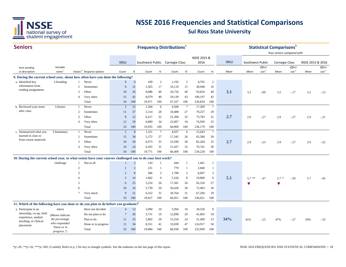

#### **SeniorsSRSU** *Item wording or description Variable name Values <sup>d</sup> Response options Count % Count % Count % Count % Mean Effect size <sup>e</sup> Effect size <sup>e</sup> Effect size <sup>e</sup> Your seniors compared with* **Frequency Distributions**<sup>a</sup> **Statistical Comparisons** SRSU Southwest Public Carnegie Class NSSE 2015 & 2016 SRSU Southwest Public Carnegie Class NSSE 2015 & 2016 *Mean Mean Mean* **9. During the current school year, about how often have you done the following?** a. Identified key  $L$ Sreading 1 Never 0 0 439 2 1,192 2 4,765 2 2 Sometimes 9 31 3,365 17 10,110 15 38,048 16 3 Often <sup>10</sup> <sup>26</sup> 8,088 <sup>40</sup> 26,726 <sup>40</sup> 93,824 <sup>40</sup> **3.1** 3.2 -.09 3.2 -.17 3.2 -.13 4 Very often 15 42 8,079 40 29,139 43 100,197 42 Total 34 100 19,971 100 67,167 100 236,834 100 b. Reviewed your notes LS notes 1 Never 2 12 1,204 6 4,506 7 17,209 7 2 Sometimes 11 37 5,514 28 18,488 27 70,257 29 3 Often <sup>8</sup> <sup>22</sup> 6,417 <sup>32</sup> 21,368 <sup>32</sup> 73,783 <sup>31</sup> **2.7** 2.9 -.27 2.9 -.27 2.9 -.21 4 Very often 12 29 6,800 34 22,607 34 74,930 32 Total 33 100 19,935 100 66,969 100 236,179 100 c. Summarized what you LSsummary 1 Never 2 8 1,321 7 4,037 6 15,643 7 2 Sometimes 12 38 5,272 27 17,345 26 65,580 28 3 Often <sup>10</sup> <sup>30</sup> 6,973 <sup>35</sup> 23,590 <sup>36</sup> 82,264 <sup>35</sup> **2.7** 2.9 -.23 2.9 -.27 2.9 -.22 4 Very often 10 24 6,205 31 21,437 32 70,741 30 Total 34 100 19,771 100 66,409 100 234,228 100 **10. During the current school year, to what extent have your courses challenged you to do your best work?** 1 Not at all 1 2 143 1 444 1 1,461 1 2 2 5 231 1 779 1 2,840 1 3 2 8 586 3 1,789 3 6,697 3 4 <sup>3</sup> <sup>14</sup> 1,682 <sup>9</sup> 5,166 <sup>8</sup> 19,800 <sup>9</sup> **5.11** 5.7 \*\* -.47 5.7 \* -.50 5.7 -.45 5 6 25 6 25 5,224 26 17,581 26 65,526 27 ▼ 6 10 24 5,739 29 20,428 30 72,493 30 7 Very much 9 21 6,322 31 20,764 31 67,204 29 Total 33 100 19,927 100 66,951 100 236,021 100 **11. Which of the following have you done or do you plan to do before you graduate?**<sup>f</sup> a. Participate in an intern **Have not decided**  4 13 2,000 10 5,956 10 18,550 9 Do not plan to do 7 20 3,731 19 12,690 20 41,003 18 Plan to do <sup>11</sup> <sup>33</sup> 5,802 <sup>29</sup> 15,254 <sup>24</sup> 51,499 <sup>23</sup> **34%** $\frac{9}{9}$  41% -.15 47% -.27 50% -.33 Done or in progress 11 34 8,351 41 33,038 47 124,917 50 Total 33 100 19,884 100 66,938 100 235,969 100 information from reading assignments LSreading after class**LSnotes** learned in class or from course materialsLSsummary challenge internship, co-op, field experience, student teaching, or clinical placement intern*(Means indicate the percentage who responded "Done or in progress.")*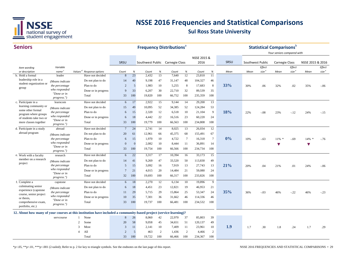

| <b>Seniors</b>                                                                                                     |                              |                     |                     |                 | <b>Frequency Distributions</b> <sup>®</sup> |                                 |                |        |                 |             |                |      |                  | <b>Statistical Comparisons</b> b |                            |                   |                      |                   |
|--------------------------------------------------------------------------------------------------------------------|------------------------------|---------------------|---------------------|-----------------|---------------------------------------------|---------------------------------|----------------|--------|-----------------|-------------|----------------|------|------------------|----------------------------------|----------------------------|-------------------|----------------------|-------------------|
|                                                                                                                    |                              |                     |                     |                 |                                             |                                 |                |        |                 |             |                |      |                  |                                  | Your seniors compared with |                   |                      |                   |
|                                                                                                                    |                              |                     |                     |                 |                                             |                                 |                |        |                 | NSSE 2015 & |                |      |                  |                                  |                            |                   |                      |                   |
|                                                                                                                    |                              |                     |                     | SRSU            |                                             | Southwest Public Carnegie Class |                |        |                 | 2016        |                | SRSU | Southwest Public |                                  | <b>Carnegie Class</b>      |                   | NSSE 2015 & 2016     |                   |
| Item wording                                                                                                       | Variable                     |                     |                     |                 |                                             |                                 |                |        |                 |             |                |      |                  | Effect                           |                            | Effect            |                      | Effect            |
| or description                                                                                                     | name <sup>c</sup>            | Values <sup>d</sup> | Response options    | Count           | %                                           | Count                           | $\%$           | Count  | $\%$            | Count       | $\%$           | Mean | Mean             | size <sup>e</sup>                | Mean                       | size <sup>e</sup> | Mean                 | size <sup>e</sup> |
| b. Hold a formal<br>leadership role in a                                                                           | leader                       |                     | Have not decided    | 8               | 23                                          | 2,432                           | 13             | 7,640  | 12              | 23,810      | 11             |      |                  |                                  |                            |                   |                      |                   |
| student organization or                                                                                            | (Means indicate              |                     | Do not plan to do   | 14              | 40                                          | 9,198                           | 47             | 31,147 | 48              | 104,327     | 46             |      |                  |                                  |                            |                   |                      |                   |
| group                                                                                                              | the percentage               |                     | Plan to do          | $\overline{2}$  | 5                                           | 1,983                           | 10             | 5,255  | 8               | 17,683      | 8              | 33%  | 30%              | .06                              | 32%                        | .02               | 35%                  | $-0.06$           |
|                                                                                                                    | who responded<br>"Done or in |                     | Done or in progress | 9               | 33                                          | 6,207                           | 30             | 22,710 | 32              | 89,539      | 35             |      |                  |                                  |                            |                   |                      |                   |
|                                                                                                                    | progress.")                  |                     | Total               | 33              | 100                                         | 19,820                          | 100            | 66,752 | 100             | 235,359     | 100            |      |                  |                                  |                            |                   |                      |                   |
| c. Participate in a                                                                                                | learncom                     |                     | Have not decided    | 6               | 17                                          | 2,922                           | 15             | 9,144  | 14              | 29,200      | 13             |      |                  |                                  |                            |                   |                      |                   |
| learning community or                                                                                              | (Means indicate              |                     | Do not plan to do   | 15              | 49                                          | 10,095                          | 52             | 34,385 | 52              | 124,284     | 53             |      |                  |                                  |                            |                   |                      |                   |
| some other formal<br>program where groups                                                                          | the percentage               |                     | Plan to do          | 6               | 15                                          | 2,320                           | 12             | 6,518  | 10              | 21,104      | 9              | 18%  | 22%              | $-.08$                           | 23%                        | $-12$             | 24%                  | $-.15$            |
| of students take two or                                                                                            | who responded                |                     | Done or in progress | 6               | 18                                          | 4,442                           | 22             | 16,516 | 23              | 60,220      | 24             |      |                  |                                  |                            |                   |                      |                   |
| more classes together                                                                                              | "Done or in<br>progress.")   |                     | Total               | 33              | 100                                         | 19,779                          | 100            | 66,563 | 100             | 234,808     | 100            |      |                  |                                  |                            |                   |                      |                   |
| d. Participate in a study                                                                                          | abroad                       |                     | Have not decided    | $7\phantom{.0}$ | 24                                          | 2,741                           | 14             | 8,025  | 13              | 26,034      | 12             |      |                  |                                  |                            |                   |                      |                   |
| abroad program                                                                                                     | (Means indicate              |                     | Do not plan to do   | 20              | 61                                          | 12,961                          | 66             | 45,375 | 68              | 155,491     | 67             |      |                  |                                  |                            |                   |                      |                   |
|                                                                                                                    | the percentage               |                     | Plan to do          | 6               | 15                                          | 1,970                           | 10             | 4,722  | $7\phantom{.0}$ | 16,318      | $\tau$         | 0%   | 10%              | $-.63$                           | 11%<br>崇                   | $-.69$            | 14% *                | $-.76$            |
|                                                                                                                    | who responded                |                     | Done or in progress | $\Omega$        | $\overline{0}$                              | 2,082                           | 10             | 8,444  | 11              | 36,891      | 14             |      |                  |                                  | v                          |                   | $\blacktriangledown$ |                   |
|                                                                                                                    | "Done or in<br>progress.")   |                     | Total               | 33              | 100                                         | 19,754                          | 100            | 66,566 | 100             | 234,734     | 100            |      |                  |                                  |                            |                   |                      |                   |
| e. Work with a faculty                                                                                             | research                     |                     | Have not decided    | 6               | 22                                          | 3,317                           | 17             | 10,394 | 16              | 33,173      | 15             |      |                  |                                  |                            |                   |                      |                   |
| member on a research                                                                                               | (Means indicate              |                     | Do not plan to do   | 14              | 41                                          | 9,269                           | 47             | 33,520 | 50              | 113,830     | 49             |      |                  |                                  |                            |                   |                      |                   |
| project                                                                                                            | the percentage               |                     | Plan to do          | 5               | 15                                          | 3,092                           | 16             | 7,919  | 13              | 27,743      | 13             | 21%  | 20%              | .04                              | 21%                        | .01               | 24%                  | $-0.06$           |
|                                                                                                                    | who responded                |                     | Done or in progress | $7\phantom{.0}$ | 21                                          | 4,015                           | 20             | 14,484 | 21              | 59,080      | 24             |      |                  |                                  |                            |                   |                      |                   |
|                                                                                                                    | "Done or in<br>progress.")   |                     | Total               | 32              | 100                                         | 19,693                          | 100            | 66,317 | 100             | 233,826     | 100            |      |                  |                                  |                            |                   |                      |                   |
| f. Complete a                                                                                                      | capstone                     |                     | Have not decided    | 6               | 18                                          | 2,270                           | 12             | 6,134  | 10              | 19,896      | 9              |      |                  |                                  |                            |                   |                      |                   |
| culminating senior                                                                                                 | (Means indicate              |                     | Do not plan to do   | 6               | 18                                          | 4,451                           | 23             | 12,821 | 19              | 46,953      | 21             |      |                  |                                  |                            |                   |                      |                   |
| experience (capstone)                                                                                              | the percentage               |                     | Plan to do          | 11              | 29                                          | 5,715                           | 29             | 15,864 | 25              | 53,347      | 24             | 35%  | 36%              | $-.03$                           | 46%                        | $-.22$            | 46%                  | $-.23$            |
| course, senior project<br>or thesis.                                                                               | who responded                |                     | Done or in progress | 10              | 35                                          | 7,301                           | 36             | 31,662 | 46              | 114,336     | 46             |      |                  |                                  |                            |                   |                      |                   |
| comprehensive exam,                                                                                                | "Done or in<br>progress.")   |                     | Total               | 33              | 100                                         | 19,737                          | 100            | 66,481 | 100             | 234,532     | 100            |      |                  |                                  |                            |                   |                      |                   |
| portfolio, etc.)                                                                                                   |                              |                     |                     |                 |                                             |                                 |                |        |                 |             |                |      |                  |                                  |                            |                   |                      |                   |
| 12. About how many of your courses at this institution have included a community-based project (service-learning)? |                              |                     |                     |                 |                                             |                                 |                |        |                 |             |                |      |                  |                                  |                            |                   |                      |                   |
|                                                                                                                    | servcourse                   | 1                   | None                | 8               | 26                                          | 8,060                           | 42             | 22,970 | 37              | 85,803      | 39             |      |                  |                                  |                            |                   |                      |                   |
|                                                                                                                    |                              | 2                   | Some                | 20              | 58                                          | 9,058                           | 45             | 34,651 | 51              | 120,137     | 49             |      |                  |                                  |                            |                   |                      |                   |
|                                                                                                                    |                              | 3                   | Most                | 3               | 11                                          | 2,141                           | 10             | 7,409  | 11              | 23,961      | 10             | 1.9  | 1.7              | .30                              | 1.8                        | .24               | 1.7                  | .29               |
|                                                                                                                    |                              | 4                   | All                 | $\overline{c}$  | 5                                           | 463                             | $\overline{2}$ | 1,436  | $\overline{c}$  | 4,466       | $\overline{2}$ |      |                  |                                  |                            |                   |                      |                   |
|                                                                                                                    |                              |                     | Total               | 33              | 100                                         | 19,722                          | 100            | 66,466 | 100             | 234,367     | 100            |      |                  |                                  |                            |                   |                      |                   |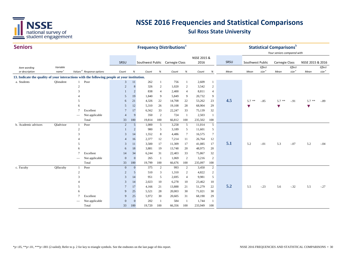

| <b>Seniors</b>                                                                               |                   |                          |                                      |                    |                      |                                 | <b>Frequency Distributions<sup>a</sup></b> |               |                       |                  |                     |      |                      | <b>Statistical Comparisons</b> <sup>b</sup><br>Your seniors compared with |                       |                   |                  |                   |
|----------------------------------------------------------------------------------------------|-------------------|--------------------------|--------------------------------------|--------------------|----------------------|---------------------------------|--------------------------------------------|---------------|-----------------------|------------------|---------------------|------|----------------------|---------------------------------------------------------------------------|-----------------------|-------------------|------------------|-------------------|
|                                                                                              |                   |                          |                                      |                    |                      |                                 |                                            |               |                       | NSSE 2015 &      |                     |      |                      |                                                                           |                       |                   |                  |                   |
|                                                                                              |                   |                          |                                      | SRSU               |                      | Southwest Public Carnegie Class |                                            |               |                       | 2016             |                     | SRSU | Southwest Public     |                                                                           | <b>Carnegie Class</b> |                   | NSSE 2015 & 2016 |                   |
| Item wording                                                                                 | Variable          |                          |                                      |                    |                      |                                 |                                            |               |                       |                  |                     |      |                      | Effect                                                                    |                       | Effect            |                  | Effect            |
| or description                                                                               | name <sup>c</sup> |                          | Values <sup>d</sup> Response options | Count              | $\%$                 | Count                           | $\%$                                       | Count         | $\%$                  | Count            | $\%$                | Mean | Mean                 | size <sup>e</sup>                                                         | Mean                  | size <sup>e</sup> | Mean             | size <sup>e</sup> |
| 13. Indicate the quality of your interactions with the following people at your institution. |                   |                          |                                      |                    |                      |                                 |                                            |               |                       |                  |                     |      |                      |                                                                           |                       |                   |                  |                   |
| a. Students                                                                                  | OIstudent         | 1                        | Poor                                 | $\mathbf{3}$       | 11                   | 262                             | -1                                         | 756           | 1                     | 2,609            | 1                   |      |                      |                                                                           |                       |                   |                  |                   |
|                                                                                              |                   | $\overline{c}$           |                                      | 2                  | $8\phantom{.}$       | 326                             | $\overline{c}$                             | 1,020         | $\overline{c}$        | 3,542            | $\overline{2}$      |      |                      |                                                                           |                       |                   |                  |                   |
|                                                                                              |                   | 3                        |                                      |                    | $\overline{2}$       | 838                             | $\overline{4}$                             | 2,400         | $\overline{4}$        | 8,811            | 4                   |      |                      |                                                                           |                       |                   |                  |                   |
|                                                                                              |                   |                          |                                      | $\overline{5}$     | 19                   | 1,840                           | 9                                          | 5,849         | 9                     | 20,732           | 9                   |      |                      |                                                                           |                       |                   |                  |                   |
|                                                                                              |                   | 5                        |                                      | 6                  | 21                   | 4,326                           | 22                                         | 14,708        | 22                    | 53,262           | 23                  | 4.5  | $5.7$ **             | $-.85$                                                                    | $5.7$ **              | $-.91$            | $5.7$ **         | $-.89$            |
|                                                                                              |                   | 6                        |                                      | 5                  | 12                   | 5,310                           | 26                                         | 19,108        | 28                    | 68,904           | 29                  |      | $\blacktriangledown$ |                                                                           | $\blacktriangledown$  |                   | v                |                   |
|                                                                                              |                   | $\overline{7}$           | Excellent                            | $\overline{7}$     | 17                   | 6,562                           | 33                                         | 22,247        | 33                    | 75,139           | 32                  |      |                      |                                                                           |                       |                   |                  |                   |
|                                                                                              |                   | $\overline{\phantom{a}}$ | Not applicable                       | $\overline{4}$     | 9                    | 350                             | 2                                          | 724           | $\mathbf{1}$          | 2,503            | $\mathbf{1}$        |      |                      |                                                                           |                       |                   |                  |                   |
|                                                                                              |                   |                          | Total                                | 33                 | 100                  | 19,814                          | 100                                        | 66,812        | 100                   | 235,502          | 100                 |      |                      |                                                                           |                       |                   |                  |                   |
| b. Academic advisors                                                                         | QIadvisor         | -1                       | Poor                                 | 2                  | $5\overline{)}$      | 1,000                           | 5                                          | 3,258         | 5                     | 11,014           | $\overline{5}$      |      |                      |                                                                           |                       |                   |                  |                   |
|                                                                                              |                   | $\overline{2}$           |                                      |                    | $\overline{2}$       | 980                             | 5                                          | 3,189         | 5                     | 11,601           | 5                   |      |                      |                                                                           |                       |                   |                  |                   |
|                                                                                              |                   | 3                        |                                      | 3                  | 14                   | 1,552                           | $8\phantom{1}$                             | 4,486         | $\tau$                | 16,575           | $\tau$              |      |                      |                                                                           |                       |                   |                  |                   |
|                                                                                              |                   |                          |                                      | $\overline{4}$     | 16                   | 2,377                           | 12                                         | 7,214         | 11                    | 26,764           | 12                  | 5.1  |                      |                                                                           |                       |                   |                  |                   |
|                                                                                              |                   | 5                        |                                      | 3                  | 11                   | 3,500                           | 17                                         | 11,309        | 17                    | 41,085           | 17                  |      | 5.2                  | $-.01$                                                                    | 5.3                   | $-.07$            | 5.2              | $-.04$            |
|                                                                                              |                   | 6                        |                                      | 6                  | 18                   | 3,881                           | 19                                         | 13,748        | 20                    | 48,975           | 20                  |      |                      |                                                                           |                       |                   |                  |                   |
|                                                                                              |                   | $\overline{7}$           | Excellent                            | 14                 | 34<br>$\overline{0}$ | 6,244                           | 31                                         | 22,403        | 33                    | 75,867           | 32                  |      |                      |                                                                           |                       |                   |                  |                   |
|                                                                                              |                   | $\overline{\phantom{a}}$ | Not applicable<br>Total              | $\mathbf{0}$       | 100                  | 265<br>19,799                   | -1<br>100                                  | 1,069         | $\overline{2}$<br>100 | 3,216<br>235,097 | 2<br>100            |      |                      |                                                                           |                       |                   |                  |                   |
| c. Faculty                                                                                   | QIfaculty         | $\mathbf{1}$             | Poor                                 | 33<br>$\mathbf{0}$ | $\mathbf{0}$         | 375                             | $\overline{2}$                             | 66,676<br>993 | $\overline{c}$        | 3,450            | 2                   |      |                      |                                                                           |                       |                   |                  |                   |
|                                                                                              |                   | $\overline{2}$           |                                      | $\overline{2}$     | 5                    | 510                             | 3                                          | 1,310         | $\overline{c}$        | 4,822            |                     |      |                      |                                                                           |                       |                   |                  |                   |
|                                                                                              |                   | 3                        |                                      | 3                  | 14                   | 951                             | 5                                          | 2,695         | $\overline{4}$        | 9,981            | $\overline{c}$<br>5 |      |                      |                                                                           |                       |                   |                  |                   |
|                                                                                              |                   |                          |                                      | 3                  |                      | 2,023                           | 10                                         | 6,278         | 10                    |                  | 10                  |      |                      |                                                                           |                       |                   |                  |                   |
|                                                                                              |                   | 5                        |                                      |                    | 14<br>17             | 4,166                           | 21                                         | 13,888        | 21                    | 23,462<br>51,279 | 22                  | 5.2  | 5.5                  | $-.23$                                                                    | 5.6                   | $-.32$            | 5.5              | $-.27$            |
|                                                                                              |                   | 6                        |                                      | 9                  | 25                   | 5,521                           | 28                                         | 20,003        | 30                    | 71,021           | 30                  |      |                      |                                                                           |                       |                   |                  |                   |
|                                                                                              |                   | 7                        | Excellent                            | 9                  | 25                   | 5,972                           | 30                                         |               |                       |                  | 29                  |      |                      |                                                                           |                       |                   |                  |                   |
|                                                                                              |                   |                          | Not applicable                       | $\mathbf{0}$       | $\theta$             | 202                             | $\overline{1}$                             | 20,605<br>584 | 31<br>$\overline{1}$  | 68,190<br>1,744  | -1                  |      |                      |                                                                           |                       |                   |                  |                   |
|                                                                                              |                   |                          | Total                                | 33                 | 100                  | 19,720                          | 100                                        | 66,356        | 100                   | 233,949          | 100                 |      |                      |                                                                           |                       |                   |                  |                   |
|                                                                                              |                   |                          |                                      |                    |                      |                                 |                                            |               |                       |                  |                     |      |                      |                                                                           |                       |                   |                  |                   |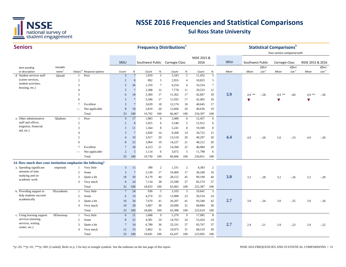

#### **SeniorsSRSU** *Item wording or description Variable name Values <sup>d</sup> Response options Count % Count % Count % Count % Mean Effect size <sup>e</sup> Effect size <sup>e</sup> Effect size <sup>e</sup> Your seniors compared with* **Frequency Distributions**<sup>a</sup> **Statistical Comparisons** SRSU Southwest Public Carnegie Class NSSE 2015 & 2016 SRSU Southwest Public Carnegie Class NSSE 2015 & 2016 *Mean Mean Mean* d. 1 PoorStudent services staff 3 7 1,019 5 3,343 5 11,432 5  $\overline{2}$  2 8 892 5 2,955 4 10,825 5 3 5 26 1,310 7 4,254 6 16,254 7 4 3 7 2,308 12 7,778 11 29,533 12 5 <sup>6</sup> <sup>18</sup> 3,384 <sup>17</sup> 11,362 <sup>17</sup> 42,667 <sup>18</sup> **3.9** 4.9 \*\* -.58 4.9 \*\* -.60 4.9 \*\* -.58 6 3 7 3,340 17 11,935 17 42,405 18 ▼▼▼7 Excellent 3 7 3,639 18 12,174 18 40,645 17 Not applicable 8 18 3,810 20 12,666 20 40,636 19 Total 33 100 19,702 100 66,467 100 234,397 100 e. Other administrative OIadmin 1 Poor 4 17 1,083 6 3,480 6 12,457 6 2 2 8 1,055 6 3,540 5 12,912 6 3 3 11 1,564 8 5,241 8 19,369 8 4 3 7 2,830 14 9,268 14 34,722 15 5 <sup>4</sup> <sup>10</sup> 3,917 <sup>20</sup> 13,510 <sup>20</sup> 49,297 <sup>20</sup> **4.4** 4.9 -.28 5.0 -.33 4.9 -.28 6 8 23 3,964 19 14,227 21 48,212 20 7 Excellent 7 20 4,223 21 14,268 22 46,084 20 Not applicable 2 5 1,114 6 3,072 5 11,798 6 Total 33 100 19,750 100 66,606 100 234,851 100 **14. How much does your institution emphasize the following?**  a. Spending significant empstudy 1 Very little  $\begin{array}{ccccccccc} 3 & 11 & 390 & 2 & 1,331 & 2 & 4,383 & 2 \end{array}$ 2 Somee 3 7 3,130 17 10,469 17 36,240 16 <sup>3</sup> Quite a bit <sup>18</sup> <sup>59</sup> 8,179 <sup>44</sup> 28,512 <sup>45</sup> 99,190 <sup>44</sup> **3.0** 3.2 -.28 3.2 -.26 3.2 -.28 4 Very much 8 24 7,134 38 23,590 37 85,574 37 Total 32 100 18,833 100 63,902 100 225,387 100 b. Providing support to SE academic 1 Very little  $\begin{array}{cccccc} 7 & 24 & 930 & 5 & 3,103 & 5 & 10,641 & 5 \end{array}$ 2 Some 6 14 4,274 23 13,988 23 50,554 24 <sup>3</sup> Quite a bit <sup>10</sup> <sup>34</sup> 7,670 <sup>41</sup> 26,207 <sup>41</sup> 93,540 <sup>42</sup> **2.7** 3.0 -.34 3.0 -.35 3.0 -.34 4 Very much 10 28 5,807 30 20,090 31 68,884 30 Total 33 100 18,681 100 63,388 100 223,619 100 c. Using learning support SElearnsup 1 Very little  $6$   $21$   $1,668$  9  $5,370$  9 17,985 8 2 Some 8 22 4,381 24 14,763 24 53,424 24 <sup>3</sup> Quite a bit <sup>7</sup> <sup>24</sup> 6,780 <sup>36</sup> 23,331 <sup>37</sup> 83,767 <sup>37</sup> **2.7** 2.9 -.21 2.9 -.23 2.9 -.22 4 Very much 12 33 5,862 31 19,973 31 68,519 30 Total 33 100 18,691 100 63,437 100 223,695 100 help students succeed academically SEacademicservices (tutoring services, writing center, etc.) SElearnsup (career services, student activities, housing, etc.) QIstaff staff and offices (registrar, financial aid, etc.) QIadmin amounts of time studying and on academic workempstudy

\*p<.05, \*\*p<.01, \*\*\*p<.001 (2-tailed); Refer to p. 2 for key to triangle symbols. See the endnotes on the last page of this report.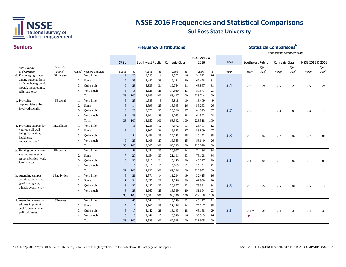

| <b>Seniors</b>                                   |                   |                |                                      |                |        |                                 |     | <b>Frequency Distributions</b> <sup>a</sup> |     |             |     |      |                  | <b>Statistical Comparisons</b> <sup>b</sup> |                            |                   |                  |                       |
|--------------------------------------------------|-------------------|----------------|--------------------------------------|----------------|--------|---------------------------------|-----|---------------------------------------------|-----|-------------|-----|------|------------------|---------------------------------------------|----------------------------|-------------------|------------------|-----------------------|
|                                                  |                   |                |                                      |                |        |                                 |     |                                             |     | NSSE 2015 & |     |      |                  |                                             | Your seniors compared with |                   |                  |                       |
|                                                  |                   |                |                                      | SRSU           |        | Southwest Public Carnegie Class |     |                                             |     | 2016        |     | SRSU | Southwest Public |                                             | Carnegie Class             |                   | NSSE 2015 & 2016 |                       |
|                                                  | Variable          |                |                                      |                |        |                                 |     |                                             |     |             |     |      |                  | Effect                                      |                            | Effect            |                  | Effect                |
| Item wording<br>or description                   | name <sup>c</sup> |                | Values <sup>d</sup> Response options | Count          | $\%$   | Count                           | %   | Count                                       | %   | Count       | %   | Mean | Mean             | size <sup>e</sup>                           | Mean                       | size <sup>e</sup> | Mean             | $\mathit{size}^{\;e}$ |
| d. Encouraging contact                           | SEdiverse         |                | Very little                          | $\mathbf{q}$   | 28     | 2,793                           | 16  | 9,572                                       | 16  | 34,822      | 16  |      |                  |                                             |                            |                   |                  |                       |
| among students from                              |                   | 2              | Some                                 | 9              | 25     | 5,440                           | 29  | 19,161                                      | 30  | 69,478      | 31  |      |                  |                                             |                            |                   |                  |                       |
| different backgrounds<br>(social, racial/ethnic, |                   | 3              | Quite a bit                          | $\mathbf{q}$   | 28     | 5,835                           | 31  | 19,754                                      | 31  | 68,867      | 31  | 2.4  | 2.6              | $-.28$                                      | 2.6                        | $-.25$            | 2.6              | $-.24$                |
| religious, etc.)                                 |                   | $\overline{4}$ | Very much                            | 6              | 18     | 4,625                           | 25  | 14,950                                      | 23  | 50,577      | 23  |      |                  |                                             |                            |                   |                  |                       |
|                                                  |                   |                | Total                                | 33             | 100    | 18,693                          | 100 | 63,437                                      | 100 | 223,744     | 100 |      |                  |                                             |                            |                   |                  |                       |
| e. Providing                                     | SEsocial          | $\mathbf{1}$   | Very little                          | 6              | 25     | 1,585                           | 9   | 5,818                                       | 10  | 18,409      | 9   |      |                  |                                             |                            |                   |                  |                       |
| opportunities to be                              |                   | 2              | Some                                 | 6              | 14     | 4,599                           | 25  | 15,995                                      | 26  | 56,263      | 26  |      |                  |                                             |                            |                   |                  |                       |
| involved socially                                |                   | 3              | Quite a bit                          | 8              | 23     | 6,872                           | 37  | 23,526                                      | 37  | 84,323      | 37  | 2.7  | 2.9              | $-.13$                                      | 2.8                        | $-.09$            | 2.8              | $-.11$                |
|                                                  |                   | $\overline{4}$ | Very much                            | 13             | 38     | 5,601                           | 29  | 18,053                                      | 28  | 64,523      | 28  |      |                  |                                             |                            |                   |                  |                       |
|                                                  |                   |                | Total                                | 33             | 100    | 18,657                          | 100 | 63,392                                      | 100 | 223,518     | 100 |      |                  |                                             |                            |                   |                  |                       |
| f. Providing support for                         | SEwellness        |                | Very little                          | $\overline{4}$ | 16     | 2,235                           | 12  | 7,972                                       | 13  | 25,407      | 12  |      |                  |                                             |                            |                   |                  |                       |
| your overall well-                               |                   | 2              | Some                                 | 6              | 14     | 4,807                           | 26  | 16,663                                      | 27  | 58,809      | 27  |      |                  |                                             |                            |                   |                  |                       |
| being (recreation,                               |                   | 3              | Quite a bit                          | 14             | 44     | 6,456                           | 35  | 22,243                                      | 35  | 80,172      | 35  | 2.8  | 2.8              | .02                                         | 2.7                        | .07               | 2.7              | .04                   |
| health care,<br>counseling, etc.)                |                   | $\overline{4}$ | Very much                            | 9              | 26     | 5,109                           | 27  | 16,355                                      | 25  | 58,640      | 26  |      |                  |                                             |                            |                   |                  |                       |
|                                                  |                   |                | Total                                | 33             | 100    | 18,607                          | 100 | 63,233                                      | 100 | 223,028     | 100 |      |                  |                                             |                            |                   |                  |                       |
| g. Helping you manage                            | SEnonacad         |                | Very little                          | 14             | 41     | 6,151                           | 33  | 20,977                                      | 34  | 74,186      | 34  |      |                  |                                             |                            |                   |                  |                       |
| your non-academic                                |                   | 2              | Some                                 | $\overline{7}$ | 20     | 6,154                           | 33  | 21,101                                      | 33  | 76,128      | 34  |      |                  |                                             |                            |                   |                  |                       |
| responsibilities (work,                          |                   | 3              | Quite a bit                          | 8              | 30     | 3,912                           | 21  | 13,145                                      | 20  | 46,227      | 20  | 2.1  | 2.1              | $-.04$                                      | 2.1                        | $-.02$            | 2.1              | $-.01$                |
| family, etc.)                                    |                   | $\overline{A}$ | Very much                            | $\overline{4}$ | 10     | 2,413                           | 13  | 8,013                                       | 12  | 26,431      | 12  |      |                  |                                             |                            |                   |                  |                       |
|                                                  |                   |                | Total                                | 33             | 100    | 18,630                          | 100 | 63,236                                      | 100 | 222,972     | 100 |      |                  |                                             |                            |                   |                  |                       |
| h. Attending campus                              | SEactivities      |                | Very little                          | 6              | 21     | 2,571                           | 14  | 11,234                                      | 19  | 32,415      | 16  |      |                  |                                             |                            |                   |                  |                       |
| activities and events                            |                   | 2              | Some                                 | 11             | 34     | 5,157                           | 28  | 17,846                                      | 29  | 61,938      | 28  |      |                  |                                             |                            |                   |                  |                       |
| (performing arts,                                |                   | 3              | Quite a bit                          | 8              | $22\,$ | 6,187                           | 33  | 20,677                                      | 32  | 76,361      | 34  | 2.5  | 2.7              | $-.22$                                      | 2.5                        | $-.06$            | 2.6              | $-.16$                |
| athletic events, etc.)                           |                   | $\overline{4}$ | Very much                            | 8              | 23     | 4,667                           | 25  | 13,339                                      | 20  | 51,694      | 23  |      |                  |                                             |                            |                   |                  |                       |
|                                                  |                   |                | Total                                | 33             | 100    | 18,582                          | 100 | 63,096                                      | 100 | 222,408     | 100 |      |                  |                                             |                            |                   |                  |                       |
| i. Attending events that                         | SEevents          |                | Very little                          | 14             | 48     | 3,741                           | 21  | 13,249                                      | 22  | 43,177      | 21  |      |                  |                                             |                            |                   |                  |                       |
| address important                                |                   | 2              | Some                                 | $\overline{7}$ | 17     | 6,500                           | 35  | 21,156                                      | 34  | 77,247      | 35  |      |                  |                                             |                            |                   |                  |                       |
| social, economic, or                             |                   | 3              | Quite a bit                          | 6              | 17     | 5,142                           | 28  | 18,193                                      | 28  | 65,158      | 29  | 2.1  | $2.4 *$          | $-.35$                                      | 2.4                        | $-.33$            | 2.4              | $-.35$                |
| political issues                                 |                   | $\overline{4}$ | Very much                            | 6              | 18     | 3,146                           | 17  | 10,340                                      | 16  | 36,343      | 16  |      | ▼                |                                             |                            |                   |                  |                       |
|                                                  |                   |                | Total                                | 33             | 100    | 18,529                          | 100 | 62,938                                      | 100 | 221,925     | 100 |      |                  |                                             |                            |                   |                  |                       |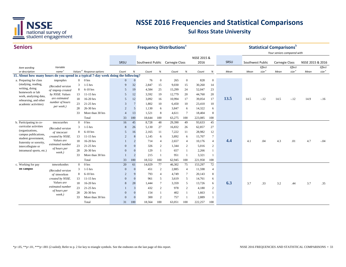

#### **Seniors**

| <b>Seniors</b>                                                                                       |                                      |                |                                      |                |                | <b>Frequency Distributions</b> <sup>®</sup> |                 |        |                |             |                 |      |                  |                   | <b>Statistical Comparisons</b> <sup>b</sup><br>Your seniors compared with |                   |                  |                   |
|------------------------------------------------------------------------------------------------------|--------------------------------------|----------------|--------------------------------------|----------------|----------------|---------------------------------------------|-----------------|--------|----------------|-------------|-----------------|------|------------------|-------------------|---------------------------------------------------------------------------|-------------------|------------------|-------------------|
|                                                                                                      |                                      |                |                                      |                |                |                                             |                 |        |                | NSSE 2015 & |                 |      |                  |                   |                                                                           |                   |                  |                   |
|                                                                                                      |                                      |                |                                      | SRSU           |                | Southwest Public Carnegie Class             |                 |        |                | 2016        |                 | SRSU | Southwest Public |                   | Carnegie Class                                                            |                   | NSSE 2015 & 2016 |                   |
| Item wording                                                                                         | Variable                             |                |                                      |                |                |                                             |                 |        |                |             |                 |      |                  | Effect            |                                                                           | Effect            |                  | Effect            |
| or description<br>15. About how many hours do you spend in a typical 7-day week doing the following? | name <sup>c</sup>                    |                | Values <sup>d</sup> Response options | Count          | $\%$           | Count                                       | %               | Count  | $\%$           | Count       | $\%$            | Mean | Mean             | size <sup>e</sup> | Mean                                                                      | size <sup>e</sup> | Mean             | size <sup>e</sup> |
| a. Preparing for class                                                                               | tmprephrs                            | $\overline{0}$ | 0 <sub>hrs</sub>                     | $\mathbf{0}$   | $\mathbf{0}$   | 76                                          | $\overline{0}$  | 265    | $\overline{0}$ | 828         | $\overline{0}$  |      |                  |                   |                                                                           |                   |                  |                   |
| (studying, reading,                                                                                  |                                      | 3              | $1-5$ hrs                            | 9              | 32             | 2,847                                       | 15              | 9,030  | 15             | 30,260      | 14              |      |                  |                   |                                                                           |                   |                  |                   |
| writing, doing                                                                                       | (Recoded version                     | 8              | $6-10$ hrs                           | .5             | 19             | 4,584                                       | 25              | 15,299 | 24             | 52,047      | 23              |      |                  |                   |                                                                           |                   |                  |                   |
| homework or lab                                                                                      | of tmprep created<br>by NSSE. Values | 13             | $11-15$ hrs                          | .5             | 12             | 3,592                                       | 19              | 12,779 | 20             | 44,760      | 20              |      |                  |                   |                                                                           |                   |                  |                   |
| work, analyzing data,                                                                                | are estimated                        | 18             | 16-20 hrs                            | 5              | 12             | 3,092                                       | 16              | 10,994 | 17             | 39,054      | 17              | 13.5 | 14.5             | $-.12$            | 14.5                                                                      | $-.12$            | 14.9             | $-16$             |
| rehearsing, and other                                                                                | number of hours                      | 23             | 21-25 hrs                            | $\overline{3}$ |                | 1,802                                       | 10              | 6,450  | 10             | 23,410      | 10              |      |                  |                   |                                                                           |                   |                  |                   |
| academic activities)                                                                                 | per week.)                           | 28             | 26-30 hrs                            | $\overline{2}$ | 5              | 1,130                                       | 6               | 3,847  | 6              | 14,322      | 6               |      |                  |                   |                                                                           |                   |                  |                   |
|                                                                                                      |                                      | 33             | More than 30 hrs                     | $\overline{4}$ | 13             | 1,521                                       | 8               | 4,611  | $\overline{7}$ | 18,404      | 8               |      |                  |                   |                                                                           |                   |                  |                   |
|                                                                                                      |                                      |                | Total                                | 33             | 100            | 18,644                                      | 100             | 63,275 | 100            | 223,085     | 100             |      |                  |                   |                                                                           |                   |                  |                   |
| b. Participating in co-                                                                              | tmcocurrhrs                          | $\mathbf{0}$   | 0 <sub>hrs</sub>                     | 16             | 45             | 8,728                                       | 48              | 29,390 | 49             | 93,633      | 45              |      |                  |                   |                                                                           |                   |                  |                   |
| curricular activities                                                                                |                                      | 3              | $1-5$ hrs                            | 8              | 26             | 5,130                                       | 27              | 16,832 | 26             | 62,857      | 27              |      |                  |                   |                                                                           |                   |                  |                   |
| (organizations,                                                                                      | (Recoded version<br>of tmcocurr      | 8              | $6-10$ hrs                           | 5              | 16             | 2,165                                       | 11              | 7,222  | 11             | 28,982      | 12              |      |                  |                   |                                                                           |                   |                  |                   |
| campus publications,                                                                                 | created by NSSE.                     | 13             | 11-15 hrs                            | $\overline{2}$ | 8              | 1,145                                       | 6               | 3,892  | 6              | 15,707      | $7\phantom{.0}$ |      |                  |                   |                                                                           |                   |                  |                   |
| student government,                                                                                  | Values are                           | 18             | 16-20 hrs                            |                | $\overline{2}$ | 714                                         | $\overline{4}$  | 2,657  | 4              | 10,176      | $\overline{4}$  | 4.4  | 4.1              | .04               | 4.3                                                                       | .01               | 4.7              | $-0.04$           |
| fraternity or sorority,<br>intercollegiate or                                                        | estimated number                     | 23             | 21-25 hrs                            | $\Omega$       |                | 326                                         | $\overline{c}$  | 1,344  | $\overline{2}$ | 5,016       | $\overline{c}$  |      |                  |                   |                                                                           |                   |                  |                   |
| intramural sports, etc.)                                                                             | of hours per                         | 28             | 26-30 hrs                            | $\Omega$       |                | 129                                         |                 | 657    |                | 2,266       | 1               |      |                  |                   |                                                                           |                   |                  |                   |
|                                                                                                      | week.)                               | 33             | More than 30 hrs                     |                | $\overline{2}$ | 215                                         | 1               | 951    | $\mathbf{1}$   | 3,321       | $\mathbf{1}$    |      |                  |                   |                                                                           |                   |                  |                   |
|                                                                                                      |                                      |                | Total                                | 33             | 100            | 18,552                                      | 100             | 62,945 | 100            | 221,958     | 100             |      |                  |                   |                                                                           |                   |                  |                   |
| c. Working for pay                                                                                   | tmworkonhrs                          | $\theta$       | 0 <sub>hrs</sub>                     | 20             | 61             | 14,029                                      | 77              | 46,302 | 75             | 153,297     | 72              |      |                  |                   |                                                                           |                   |                  |                   |
| on campus                                                                                            |                                      | 3              | $1-5$ hrs                            | $\overline{0}$ | $\Omega$       | 451                                         | $\overline{c}$  | 2,885  | $\overline{4}$ | 11,598      | $\overline{4}$  |      |                  |                   |                                                                           |                   |                  |                   |
|                                                                                                      | (Recoded version<br>of tmworkon      | 8              | 6-10 hrs                             | $\overline{2}$ |                | 793                                         | $\overline{4}$  | 4,749  | 7              | 20,143      | $\bf 8$         |      |                  |                   |                                                                           |                   |                  |                   |
|                                                                                                      | created by NSSE.                     | 13             | $11-15$ hrs                          | $\Omega$       |                | 961                                         | 5               | 3,619  | 5              | 14,761      | 6               |      |                  |                   |                                                                           |                   |                  |                   |
|                                                                                                      | Values are                           | 18             | 16-20 hrs                            | 8              | 28             | 1,444                                       | $7\phantom{.0}$ | 3,359  | 5              | 13,726      | 6               | 6.3  | 3.7              | .33               | 3.2                                                                       | .44               | 3.7              | .35               |
|                                                                                                      | estimated number                     | 23             | 21-25 hrs                            |                | 3              | 432                                         | $\overline{c}$  | 978    | 2              | 4,180       | $\overline{c}$  |      |                  |                   |                                                                           |                   |                  |                   |
|                                                                                                      | of hours per                         | 28             | 26-30 hrs                            | $\Omega$       | $\Omega$       | 154                                         | -1              | 402    | -1             | 1,663       | $\mathbf{1}$    |      |                  |                   |                                                                           |                   |                  |                   |
|                                                                                                      | week.)                               | 33             | More than 30 hrs                     | $\Omega$       |                | 300                                         | $\overline{2}$  | 757    |                | 2,889       | $\mathbf{1}$    |      |                  |                   |                                                                           |                   |                  |                   |
|                                                                                                      |                                      |                | Total                                | 31             | 100            | 18,564                                      | 100             | 63,051 | 100            | 222,257     | 100             |      |                  |                   |                                                                           |                   |                  |                   |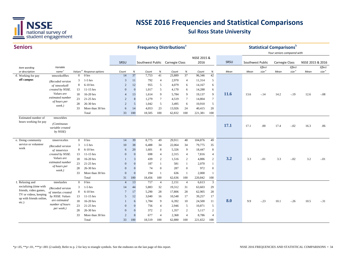

| <b>Seniors</b>          |                                             |                |                                      |                |              |                                 |                | <b>Frequency Distributions<sup>a</sup></b> |                 |             |                  |             |      | <b>Statistical Comparisons</b> <sup>b</sup> | Your seniors compared with |                   |                  |                   |
|-------------------------|---------------------------------------------|----------------|--------------------------------------|----------------|--------------|---------------------------------|----------------|--------------------------------------------|-----------------|-------------|------------------|-------------|------|---------------------------------------------|----------------------------|-------------------|------------------|-------------------|
|                         |                                             |                |                                      |                |              |                                 |                |                                            |                 | NSSE 2015 & |                  |             |      |                                             |                            |                   |                  |                   |
|                         |                                             |                |                                      | SRSU           |              | Southwest Public Carnegie Class |                |                                            |                 | 2016        |                  | SRSU        |      | Southwest Public                            | <b>Carnegie Class</b>      |                   | NSSE 2015 & 2016 |                   |
| Item wording            | Variable                                    |                |                                      |                |              |                                 |                |                                            |                 |             |                  |             |      | Effect                                      |                            | Effect            |                  | Effect            |
| or description          | name <sup>c</sup>                           |                | Values <sup>d</sup> Response options | Count          | $\%$         | Count                           | $\%$           | Count                                      | $\%$            | Count       | $\%$             | Mean        | Mean | size <sup>e</sup>                           | Mean                       | size <sup>e</sup> | Mean             | size <sup>e</sup> |
| d. Working for pay      | tmworkoffhrs                                | $\overline{0}$ | 0 <sub>hrs</sub>                     | 14             | 37           | 7,753                           | 41             | 23,889                                     | 37              | 96,346      | 42               |             |      |                                             |                            |                   |                  |                   |
| off campus              | (Recoded version                            | 3              | $1-5$ hrs                            | 3              | 11           | 792                             | $\overline{4}$ | 2,970                                      | $\overline{4}$  | 11,314      | 5                |             |      |                                             |                            |                   |                  |                   |
|                         | of tmworkoff                                | 8              | 6-10 hrs                             | $\overline{2}$ | 12           | 955                             | 5              | 4,079                                      | 6               | 14,167      | 6                |             |      |                                             |                            |                   |                  |                   |
|                         | created by NSSE.                            | 13             | $11-15$ hrs                          | $\overline{0}$ | $\mathbf{0}$ | 1,017                           | 5              | 4,170                                      | 6               | 14,288      | 6                |             |      |                                             |                            |                   |                  |                   |
|                         | Values are                                  | 18             | 16-20 hrs                            | $\overline{4}$ | 13           | 1,614                           | 9              | 5,784                                      | 9               | 19,137      | 9                | 11.6        | 13.6 | $-.14$                                      | 14.2                       | $-.19$            | 12.6             | $-.08$            |
|                         | estimated number<br>of hours per            | 23             | 21-25 hrs                            | $\overline{2}$ | 8            | 1,279                           | $\tau$         | 4,519                                      | $7\phantom{.0}$ | 14,804      | $\tau$           |             |      |                                             |                            |                   |                  |                   |
|                         | week.)                                      | 28             | 26-30 hrs                            | $\overline{2}$ | 5            | 1,042                           | 5              | 3,495                                      | 6               | 10,910      | 5                |             |      |                                             |                            |                   |                  |                   |
|                         |                                             | 33             | More than 30 hrs                     | 6              | 14           | 4,053                           | 23             | 13,926                                     | 24              | 40,415      | 20               |             |      |                                             |                            |                   |                  |                   |
|                         |                                             |                | Total                                | 33             | 100          | 18,505                          | 100            | 62,832                                     | 100             | 221,381     | 100              |             |      |                                             |                            |                   |                  |                   |
| Estimated number of     | tmworkhrs                                   |                |                                      |                |              |                                 |                |                                            |                 |             |                  |             |      |                                             |                            |                   |                  |                   |
| hours working for pay   | (Continuous<br>variable created<br>by NSSE) |                |                                      |                |              |                                 |                |                                            |                 |             |                  | <b>17.1</b> | 17.1 | .00                                         | 17.4                       | $-.02$            | 16.3             | .06               |
| e. Doing community      | tmservicehrs                                | $\overline{0}$ | 0 <sub>hrs</sub>                     | 14             | 39           | 8,775                           | 49             | 29,911                                     | 48              | 104,876     | 49               |             |      |                                             |                            |                   |                  |                   |
| service or volunteer    |                                             | 3              | $1-5$ hrs                            | 10             | 38           | 6,488                           | 34             | 22,064                                     | 34              | 79,775      | 35               |             |      |                                             |                            |                   |                  |                   |
| work                    | (Recoded version                            | 8              | $6-10$ hrs                           | 6              | 20           | 1,601                           | 8              | 5,326                                      | 9               | 18,447      | $\,8\,$          |             |      |                                             |                            |                   |                  |                   |
|                         | of tmservice<br>created by NSSE.            | 13             | $11-15$ hrs                          | $\Omega$       | $\Omega$     | 698                             | $\overline{4}$ | 2,315                                      | $\overline{4}$  | 7,816       | $\overline{4}$   |             |      |                                             |                            |                   |                  |                   |
|                         | Values are                                  | 18             | 16-20 hrs                            |                | 3            | 439                             | 2              | 1,516                                      | 2               | 4,886       | 2                | 3.2         | 3.3  | $-.01$                                      | 3.3                        | $-.02$            | 3.2              | $-.01$            |
|                         | estimated number                            | 23             | 21-25 hrs                            | $\mathbf{0}$   | $\Omega$     | 187                             | $\mathbf{1}$   | 581                                        | $\mathbf{1}$    | 2,070       | $\mathbf{1}$     |             |      |                                             |                            |                   |                  |                   |
|                         | of hours per                                | 28             | 26-30 hrs                            | $\mathbf{0}$   | $\Omega$     | 74                              | $\mathbf{0}$   | 287                                        | $\mathbf{0}$    | 972         | $\boldsymbol{0}$ |             |      |                                             |                            |                   |                  |                   |
|                         | week.)                                      | 33             | More than 30 hrs                     | $\Omega$       | $\Omega$     | 194                             | $\mathbf{1}$   | 636                                        | $\mathbf{1}$    | 2,000       | $\mathbf{1}$     |             |      |                                             |                            |                   |                  |                   |
|                         |                                             |                | Total                                | 31             | 100          | 18,456                          | 100            | 62,636                                     | 100             | 220,842     | 100              |             |      |                                             |                            |                   |                  |                   |
| f. Relaxing and         | tmrelaxhrs                                  | $\overline{0}$ | 0 <sub>hrs</sub>                     | $\overline{4}$ | 13           | 717                             | $\overline{4}$ | 2,151                                      | $\overline{4}$  | 6,613       | 3                |             |      |                                             |                            |                   |                  |                   |
| socializing (time with  |                                             | 3              | $1-5$ hrs                            | 14             | 44           | 5,883                           | 32             | 19,312                                     | 31              | 63,603      | 29               |             |      |                                             |                            |                   |                  |                   |
| friends, video games,   | (Recoded version<br>of tmrelax created      | 8              | $6-10$ hrs                           | $\overline{7}$ | 17           | 5,290                           | 28             | 17,806                                     | 28              | 62,905      | 28               |             |      |                                             |                            |                   |                  |                   |
| TV or videos, keeping   | by NSSE. Values                             | 13             | $11-15$ hrs                          | 5              | 12           | 3,040                           | 16             | 10,548                                     | 17              | 39,257      | 17               |             |      |                                             |                            |                   |                  |                   |
| up with friends online, | are estimated                               | 18             | 16-20 hrs                            |                | 6            | 1,784                           | 9              | 6,392                                      | 10              | 24,500      | 11               | 8.0         | 9.9  | $-.23$                                      | 10.1                       | $-.26$            | 10.5             | $-.31$            |
| etc.)                   | number of hours                             | 23             | $21-25$ hrs                          | $\Omega$       | $\Omega$     | 756                             | $\overline{4}$ | 2,946                                      | 5               | 10,871      | 5                |             |      |                                             |                            |                   |                  |                   |
|                         | per week.)                                  | 28             | 26-30 hrs                            | $\mathbf{0}$   | $\mathbf{0}$ | 372                             | 2              | 1,357                                      | 2               | 5,117       | $\overline{c}$   |             |      |                                             |                            |                   |                  |                   |
|                         |                                             | 33             | More than 30 hrs                     | $\overline{2}$ | 8            | 677                             | $\overline{4}$ | 2,368                                      | $\overline{4}$  | 8,786       | $\overline{4}$   |             |      |                                             |                            |                   |                  |                   |
|                         |                                             |                | Total                                | 33             | 100          | 18,519                          | 100            | 62,880                                     | 100             | 221,652     | 100              |             |      |                                             |                            |                   |                  |                   |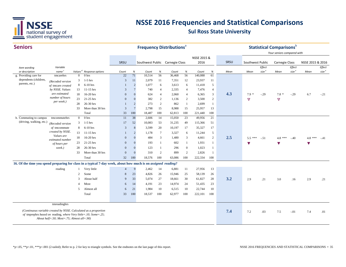

| <b>Seniors</b>                                                                                                |                                                                                                              |                |                                      |                |                 | <b>Frequency Distributions</b> <sup>a</sup> |                |        |                |             |                |      |                      |                   | <b>Statistical Comparisons</b> b<br>Your seniors compared with |                   |                  |                   |
|---------------------------------------------------------------------------------------------------------------|--------------------------------------------------------------------------------------------------------------|----------------|--------------------------------------|----------------|-----------------|---------------------------------------------|----------------|--------|----------------|-------------|----------------|------|----------------------|-------------------|----------------------------------------------------------------|-------------------|------------------|-------------------|
|                                                                                                               |                                                                                                              |                |                                      |                |                 |                                             |                |        |                | NSSE 2015 & |                |      |                      |                   |                                                                |                   |                  |                   |
|                                                                                                               |                                                                                                              |                |                                      | SRSU           |                 | Southwest Public Carnegie Class             |                |        |                | 2016        |                | SRSU | Southwest Public     |                   | <b>Carnegie Class</b>                                          |                   | NSSE 2015 & 2016 |                   |
| Item wording                                                                                                  | Variable                                                                                                     |                |                                      |                |                 |                                             |                |        |                |             |                |      |                      | Effect            |                                                                | Effect            |                  | Effect            |
| or description                                                                                                | name <sup>c</sup>                                                                                            |                | Values <sup>d</sup> Response options | Count          | %               | Count                                       | %              | Count  | %              | Count       | $\%$           | Mean | Mean                 | size <sup>e</sup> | Mean                                                           | size <sup>e</sup> | Mean             | size <sup>e</sup> |
| g. Providing care for                                                                                         | tmcarehrs                                                                                                    | $\Omega$       | 0 <sub>hrs</sub>                     | 22             | 71              | 10.514                                      | 56             | 36,468 | 56             | 140,088     | 61             |      |                      |                   |                                                                |                   |                  |                   |
| dependents (children,                                                                                         | (Recoded version                                                                                             | 3              | $1-5$ hrs                            | 3              | 11              | 2,079                                       | 11             | 7,351  | 12             | 23,937      | 11             |      |                      |                   |                                                                |                   |                  |                   |
| parents, etc.)                                                                                                | of tmcare created                                                                                            | 8              | 6-10 hrs                             |                | $\overline{2}$  | 1,077                                       | 6              | 3,613  | 6              | 11,418      | 5              |      |                      |                   |                                                                |                   |                  |                   |
|                                                                                                               | by NSSE. Values                                                                                              | 13             | $11-15$ hrs                          | 3              | $\overline{7}$  | 740                                         | $\overline{4}$ | 2,335  | $\overline{4}$ | 7,476       | $\overline{4}$ |      |                      |                   |                                                                |                   |                  |                   |
|                                                                                                               | are estimated                                                                                                | 18             | 16-20 hrs                            | $\mathbf{0}$   | $\theta$        | 624                                         | $\overline{4}$ | 2,060  | $\overline{4}$ | 6,365       | 3              | 4.3  | $7.9*$               | $-.29$            | $7.8*$                                                         | $-.29$            | 6.7              | $-.21$            |
|                                                                                                               | number of hours<br>per week.)                                                                                | 23             | 21-25 hrs                            | $\Omega$       | $\Omega$        | 382                                         | 2              | 1,136  | 2              | 3,500       | $\overline{c}$ |      | $\triangledown$      |                   | $\triangledown$                                                |                   |                  |                   |
|                                                                                                               |                                                                                                              | 28             | 26-30 hrs                            |                | $\overline{2}$  | 273                                         | 2              | 862    | $\mathbf{1}$   | 2,699       | $\mathbf{1}$   |      |                      |                   |                                                                |                   |                  |                   |
|                                                                                                               |                                                                                                              | 33             | More than 30 hrs                     | 3              | $7\overline{ }$ | 2,798                                       | 15             | 8,988  | 15             | 25,957      | 13             |      |                      |                   |                                                                |                   |                  |                   |
|                                                                                                               |                                                                                                              |                | Total                                | 33             | 100             | 18,487                                      | 100            | 62,813 | 100            | 221,440     | 100            |      |                      |                   |                                                                |                   |                  |                   |
| h. Commuting to campus                                                                                        | tmcommutehrs                                                                                                 | $\overline{0}$ | 0 <sub>hrs</sub>                     | 11             | 38              | 2,606                                       | 14             | 15,050 | 23             | 49,956      | 21             |      |                      |                   |                                                                |                   |                  |                   |
| (driving, walking, etc.)                                                                                      | (Recoded version                                                                                             | 3              | $1-5$ hrs                            | 17             | 52              | 10,083                                      | 53             | 31,235 | 49             | 115,366     | 51             |      |                      |                   |                                                                |                   |                  |                   |
|                                                                                                               | of tmcommute                                                                                                 | 8              | $6-10$ hrs                           | 3              | 8               | 3,599                                       | 20             | 10,197 | 17             | 35,327      | 17             |      |                      |                   |                                                                |                   |                  |                   |
|                                                                                                               | created by NSSE.                                                                                             | 13             | $11-15$ hrs                          |                | $\overline{2}$  | 1,178                                       | $\tau$         | 3,327  | 6              | 11,244      | 5              |      |                      |                   |                                                                |                   |                  |                   |
|                                                                                                               | Values are                                                                                                   | 18             | 16-20 hrs                            | $\mathbf{0}$   | $\overline{0}$  | 484                                         | 3              | 1,480  | 3              | 4,661       | $\overline{2}$ | 2.5  | $5.5***$             | $-.51$            | $4.8***$                                                       | $-.40$            | $4.8***$         | $-41$             |
|                                                                                                               | estimated number<br>of hours per                                                                             | 23             | 21-25 hrs                            | $\mathbf{0}$   | $\theta$        | 193                                         | -1             | 602    | -1             | 1,931       | $\mathbf{1}$   |      | $\blacktriangledown$ |                   | V                                                              |                   | V                |                   |
|                                                                                                               | week.)                                                                                                       | 28             | 26-30 hrs                            | $\Omega$       | $\Omega$        | 123                                         | $\overline{1}$ | 296    | $\mathbf{0}$   | 1,023       | $\mathbf{1}$   |      |                      |                   |                                                                |                   |                  |                   |
|                                                                                                               |                                                                                                              | 33             | More than 30 hrs                     | $\mathbf{0}$   | $\theta$        | 310                                         | 2              | 899    | 2              | 2,826       | $\mathbf{1}$   |      |                      |                   |                                                                |                   |                  |                   |
|                                                                                                               |                                                                                                              |                | Total                                | 32             | 100             | 18,576                                      | 100            | 63,086 | 100            | 222,334     | 100            |      |                      |                   |                                                                |                   |                  |                   |
| 16. Of the time you spend preparing for class in a typical 7-day week, about how much is on assigned reading? |                                                                                                              |                |                                      |                |                 |                                             |                |        |                |             |                |      |                      |                   |                                                                |                   |                  |                   |
|                                                                                                               | reading                                                                                                      |                | Very little                          | $\overline{4}$ | 9               | 2,462                                       | 14             | 6,881  | 11             | 27,956      | 13             |      |                      |                   |                                                                |                   |                  |                   |
|                                                                                                               |                                                                                                              | 2              | Some                                 | 8              | 23              | 4,826                                       | 26             | 15,946 | 25             | 58,139      | 26             |      |                      |                   |                                                                |                   |                  |                   |
|                                                                                                               |                                                                                                              | 3              | About half                           | 9              | 33              | 5,074                                       | 27             | 18,661 | 30             | 61,827      | 28             | 3.2  | 2.9                  | .21               |                                                                |                   |                  |                   |
|                                                                                                               |                                                                                                              |                |                                      |                |                 |                                             |                |        |                |             |                |      |                      |                   | 3.0                                                            | .16               | 2.9              | .21               |
|                                                                                                               |                                                                                                              | $\overline{4}$ | Most                                 | 6              | 14              | 4,191                                       | 23             | 14,974 | 24             | 51,435      | 23             |      |                      |                   |                                                                |                   |                  |                   |
|                                                                                                               |                                                                                                              | 5              | Almost all                           | 6              | 21              | 1,984                                       | 10             | 6,515  | 10             | 22,744      | 10             |      |                      |                   |                                                                |                   |                  |                   |
|                                                                                                               |                                                                                                              |                | Total                                | 33             | 100             | 18,537                                      | 100            | 62,977 | 100            | 222,101     | 100            |      |                      |                   |                                                                |                   |                  |                   |
|                                                                                                               | tmreadinghrs                                                                                                 |                |                                      |                |                 |                                             |                |        |                |             |                |      |                      |                   |                                                                |                   |                  |                   |
| (Continuous variable created by NSSE. Calculated as a proportion                                              | of tmprephrs based on reading, where Very little=.10; Some=.25;<br>About half=.50; Most=.75; Almost all=.90) |                |                                      |                |                 |                                             |                |        |                |             |                | 7.4  | 7.2                  | .03               | 7.5                                                            | $-.01$            | 7.4              | .01               |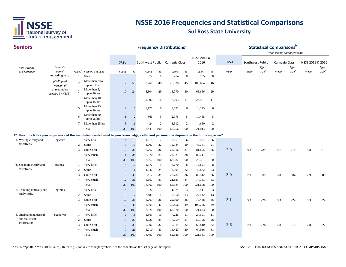

| <b>Seniors</b>                                                                                                                               |                                      |                 |                                      |                 |                 | <b>Frequency Distributions<sup>a</sup></b> |                |        |                |             |                |      |                  |                   | <b>Statistical Comparisons</b> $b$<br>Your seniors compared with |                   |                  |                       |
|----------------------------------------------------------------------------------------------------------------------------------------------|--------------------------------------|-----------------|--------------------------------------|-----------------|-----------------|--------------------------------------------|----------------|--------|----------------|-------------|----------------|------|------------------|-------------------|------------------------------------------------------------------|-------------------|------------------|-----------------------|
|                                                                                                                                              |                                      |                 |                                      |                 |                 |                                            |                |        |                | NSSE 2015 & |                |      |                  |                   |                                                                  |                   |                  |                       |
|                                                                                                                                              |                                      |                 |                                      | SRSU            |                 | Southwest Public Carnegie Class            |                |        |                | 2016        |                | SRSU | Southwest Public |                   | <b>Carnegie Class</b>                                            |                   | NSSE 2015 & 2016 |                       |
| Item wording                                                                                                                                 | Variable                             |                 |                                      |                 |                 |                                            |                |        |                |             |                |      |                  | Effect            |                                                                  | Effect            |                  | Effect                |
| or description                                                                                                                               | name <sup>c</sup><br>tmreadinghrscol |                 | Values <sup>d</sup> Response options | Count           | $\%$            | Count                                      | $\%$           | Count  | $\%$           | Count       | $\%$           | Mean | Mean             | size <sup>e</sup> | Mean                                                             | size <sup>e</sup> | Mean             | $\mathit{size}^{\;e}$ |
|                                                                                                                                              |                                      | -1              | 0 <sub>hrs</sub>                     | $\Omega$        | $\overline{0}$  | 72                                         | $\mathbf{0}$   | 254    | $\overline{0}$ | 785         | $\overline{0}$ |      |                  |                   |                                                                  |                   |                  |                       |
|                                                                                                                                              | (Collapsed<br>version of             | $\mathcal{L}$   | More than zero,<br>up to 5 hrs       | 17              | 58              | 8,761                                      | 48             | 28,120 | 45             | 100,604     | 46             |      |                  |                   |                                                                  |                   |                  |                       |
|                                                                                                                                              | tmreadinghrs<br>created by NSSE.)    | 3               | More than 5,<br>up to 10 hrs         | $10\,$          | 24              | 5,304                                      | 29             | 18,770 | 30             | 65,666      | 29             |      |                  |                   |                                                                  |                   |                  |                       |
|                                                                                                                                              |                                      | $\overline{A}$  | More than 10,<br>up to 15 hrs        | $\mathbf{0}$    | $\mathbf{0}$    | 1,890                                      | 10             | 7,203  | 11             | 24,567      | 11             |      |                  |                   |                                                                  |                   |                  |                       |
|                                                                                                                                              |                                      | $\overline{5}$  | More than 15,<br>up to 20 hrs        | 2               | 5               | 1,128                                      | 6              | 4,021  | 6              | 14,273      | 6              |      |                  |                   |                                                                  |                   |                  |                       |
|                                                                                                                                              |                                      | 6               | More than 20,<br>up to 25 hrs        | $\mathbf{1}$    | 2               | 866                                        | 5              | 2,976  | 5              | 10,458      | 5              |      |                  |                   |                                                                  |                   |                  |                       |
|                                                                                                                                              |                                      | $7\phantom{.0}$ | More than 25 hrs                     | 3               | 11              | 424                                        | 2              | 1,312  | 2              | 4,660       | 2              |      |                  |                   |                                                                  |                   |                  |                       |
|                                                                                                                                              |                                      |                 | Total                                | 33              | 100             | 18,445                                     | 100            | 62,656 | 100            | 221,013     | 100            |      |                  |                   |                                                                  |                   |                  |                       |
| 17. How much has your experience at this institution contributed to your knowledge, skills, and personal development in the following areas? |                                      |                 |                                      |                 |                 |                                            |                |        |                |             |                |      |                  |                   |                                                                  |                   |                  |                       |
| a. Writing clearly and                                                                                                                       | pgwrite                              |                 | Very little                          | $\overline{4}$  | 13              | 1,218                                      | 7              | 3,261  | 6              | 12,534      | 6              |      |                  |                   |                                                                  |                   |                  |                       |
| effectively                                                                                                                                  |                                      | $\overline{2}$  | Some                                 | 5               | 15              | 4,007                                      | 22             | 12,184 | 20             | 45,741      | 21             |      |                  |                   |                                                                  |                   |                  |                       |
|                                                                                                                                              |                                      | 3               | Ouite a bit                          | 13              | 38              | 6,767                                      | 36             | 23,316 | 37             | 81,895      | 36             | 2.9  | 3.0              | $-.07$            | 3.1                                                              | $-.17$            | 3.0              | $-.13$                |
|                                                                                                                                              |                                      | $\overline{4}$  | Very much                            | 11              | 34              | 6,570                                      | 35             | 24,321 | 38             | 82,211      | 37             |      |                  |                   |                                                                  |                   |                  |                       |
|                                                                                                                                              |                                      |                 | Total                                | 33              | 100             | 18,562                                     | 100            | 63,082 | 100            | 222,381     | 100            |      |                  |                   |                                                                  |                   |                  |                       |
| b. Speaking clearly and                                                                                                                      | pgspeak                              |                 | Very little                          | $\overline{4}$  | 13              | 1,572                                      | 9              | 4,670  | 8              | 16,891      | 8              |      |                  |                   |                                                                  |                   |                  |                       |
| effectively                                                                                                                                  |                                      | $\overline{2}$  | Some                                 | 5               | 11              | 4,346                                      | 24             | 13,594 | 22             | 49,872      | 23             |      |                  |                   |                                                                  |                   |                  |                       |
|                                                                                                                                              |                                      | 3               | Quite a bit                          | 12              | 40              | 6,417                                      | 34             | 22,787 | 36             | 80,512      | 36             | 3.0  | 2.9              | .09               | 3.0                                                              | .04               | 2.9              | .06                   |
|                                                                                                                                              |                                      | $\overline{A}$  | Very much                            | 12              | 36              | 6,167                                      | 33             | 21,833 | 34             | 74,383      | 33             |      |                  |                   |                                                                  |                   |                  |                       |
|                                                                                                                                              |                                      |                 | Total                                | 33              | 100             | 18,502                                     | 100            | 62,884 | 100            | 221,658     | 100            |      |                  |                   |                                                                  |                   |                  |                       |
| c. Thinking critically and                                                                                                                   | pgthink                              | $\mathbf{1}$    | Very little                          | $\overline{4}$  | 13              | 527                                        | $\overline{3}$ | 1,574  | $\mathbf{3}$   | 5,417       | $\overline{3}$ |      |                  |                   |                                                                  |                   |                  |                       |
| analytically                                                                                                                                 |                                      | $\overline{2}$  | Some                                 | 3               | $7\phantom{.0}$ | 2,480                                      | 14             | 7,850  | 13             | 27,442      | 13             |      |                  |                   |                                                                  |                   |                  |                       |
|                                                                                                                                              |                                      | 3               | Quite a bit                          | 10              | 35              | 6,709                                      | 36             | 22,590 | 36             | 79,488      | 36             | 3.1  | 3.3              | $-.20$            | 3.3                                                              | $-.24$            | 3.3              | $-.24$                |
|                                                                                                                                              |                                      | $\overline{4}$  | Very much                            | 15              | 45              | 8,805                                      | 47             | 30,856 | 49             | 109,286     | 49             |      |                  |                   |                                                                  |                   |                  |                       |
|                                                                                                                                              |                                      |                 | Total                                | 32              | 100             | 18,521                                     | 100            | 62,870 | 100            | 221,633     | 100            |      |                  |                   |                                                                  |                   |                  |                       |
| d. Analyzing numerical                                                                                                                       | pganalyze                            | -1              | Very little                          | 6               | 18              | 1,865                                      | 10             | 7,226  | 11             | 24,591      | 11             |      |                  |                   |                                                                  |                   |                  |                       |
| and statistical<br>information                                                                                                               |                                      | $\overline{2}$  | Some                                 | 8               | 23              | 4,626                                      | 25             | 17,259 | 27             | 59,196      | 26             |      |                  |                   |                                                                  |                   |                  |                       |
|                                                                                                                                              |                                      | 3               | Quite a bit                          | 12              | 39              | 5,996                                      | 32             | 19,914 | 32             | 69,810      | 32             | 2.6  | 2.9              | $-.26$            | 2.8                                                              | $-.18$            | 2.8              | $-.22$                |
|                                                                                                                                              |                                      | $\overline{4}$  | Very much                            | $7\phantom{.0}$ | 21              | 6,010                                      | 33             | 18,427 | 30             | 67,936      | 31             |      |                  |                   |                                                                  |                   |                  |                       |
|                                                                                                                                              |                                      |                 | Total                                | 33              | 100             | 18,497                                     | 100            | 62,826 | 100            | 221,533     | 100            |      |                  |                   |                                                                  |                   |                  |                       |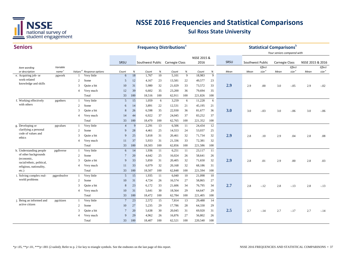

| <b>Seniors</b>                                       |                             |                |                                      |                 |            |                                 |            | <b>Frequency Distributions</b> <sup>a</sup> |           |                 |           |      |                  | <b>Statistical Comparisons</b> b |                            |                             |                  |                    |
|------------------------------------------------------|-----------------------------|----------------|--------------------------------------|-----------------|------------|---------------------------------|------------|---------------------------------------------|-----------|-----------------|-----------|------|------------------|----------------------------------|----------------------------|-----------------------------|------------------|--------------------|
|                                                      |                             |                |                                      |                 |            |                                 |            |                                             |           |                 |           |      |                  |                                  | Your seniors compared with |                             |                  |                    |
|                                                      |                             |                |                                      |                 |            |                                 |            |                                             |           | NSSE 2015 &     |           |      |                  |                                  |                            |                             |                  |                    |
|                                                      |                             |                |                                      | SRSU            |            | Southwest Public Carnegie Class |            |                                             |           | 2016            |           | SRSU | Southwest Public |                                  | Carnegie Class             |                             | NSSE 2015 & 2016 |                    |
| Item wording                                         | Variable                    |                | Values <sup>d</sup> Response options |                 |            |                                 |            |                                             |           |                 |           |      |                  | Effect<br>size <sup>e</sup>      | Mean                       | Effect<br>size <sup>e</sup> | Mean             | Effect<br>size $e$ |
| or description<br>e. Acquiring job- or               | name <sup>c</sup><br>pgwork |                | Very little                          | Count<br>6      | $\%$<br>18 | Count<br>1,767                  | $\%$<br>10 | Count<br>5,101                              | $\%$<br>9 | Count<br>18,983 | $\%$<br>9 | Mean | Mean             |                                  |                            |                             |                  |                    |
| work-related                                         |                             | 2              | Some                                 | 5               | 12         | 4,167                           | 23         | 13,581                                      | 22        | 49,577          | 23        |      |                  |                                  |                            |                             |                  |                    |
| knowledge and skills                                 |                             | 3              | Ouite a bit                          | 10              | 31         | 5,980                           | 32         | 21,029                                      | 33        | 73,572          | 33        | 2.9  | 2.9              | .00                              | 3.0                        | $-.05$                      | 2.9              | $-.02$             |
|                                                      |                             | $\overline{4}$ | Very much                            | 12              | 39         | 6,602                           | 35         | 23,200                                      | 36        | 79,694          | 35        |      |                  |                                  |                            |                             |                  |                    |
|                                                      |                             |                | Total                                | 33              | 100        | 18,516                          | 100        | 62,911                                      | 100       | 221,826         | 100       |      |                  |                                  |                            |                             |                  |                    |
| f. Working effectively                               | pgothers                    | $\mathbf{1}$   | Very little                          | 5               | 15         | 1,059                           | 6          | 3,259                                       | 6         | 11,228          | 6         |      |                  |                                  |                            |                             |                  |                    |
| with others                                          |                             | 2              | Some                                 | 6               | 14         | 3,891                           | 22         | 12,531                                      | 21        | 45,195          | 21        |      |                  |                                  |                            |                             |                  |                    |
|                                                      |                             | 3              | Quite a bit                          | 8               | 26         | 6,598                           | 35         | 22,930                                      | 36        | 81,677          | 36        | 3.0  | 3.0              | $-.03$                           | 3.0                        | $-.06$                      | 3.0              | $-.06$             |
|                                                      |                             | $\overline{4}$ | Very much                            | 14              | 44         | 6,922                           | 37         | 24,045                                      | 37        | 83,252          | 37        |      |                  |                                  |                            |                             |                  |                    |
|                                                      |                             |                | Total                                | 33              | 100        | 18,470                          | 100        | 62,765                                      | 100       | 221,352         | 100       |      |                  |                                  |                            |                             |                  |                    |
| g. Developing or                                     | pgvalues                    | -1             | Very little                          | $\overline{4}$  | 9          | 2,291                           | 13         | 6,506                                       | 11        | 24,434          | 12        |      |                  |                                  |                            |                             |                  |                    |
| clarifying a personal                                |                             | 2              | Some                                 | -9              | 28         | 4,461                           | 25         | 14,553                                      | 24        | 53,037          | 25        |      |                  |                                  |                            |                             |                  |                    |
| code of values and                                   |                             | 3              | Quite a bit                          | 9               | 25         | 5,818                           | 31         | 20,461                                      | 32        | 71,734          | 32        | 2.9  | 2.8              | .10                              | 2.9                        | .04                         | 2.8              | .08                |
| ethics                                               |                             | $\overline{4}$ | Very much                            | 11              | 37         | 5,933                           | 31         | 21,336                                      | 33        | 72,381          | 32        |      |                  |                                  |                            |                             |                  |                    |
|                                                      |                             |                | Total                                | 33              | 100        | 18,503                          | 100        | 62,856                                      | 100       | 221,586         | 100       |      |                  |                                  |                            |                             |                  |                    |
| h. Understanding people                              | pgdiverse                   | $\mathbf{1}$   | Very little                          | 6               | 14         | 1,936                           | 11         | 6,251                                       | 11        | 23,117          | 11        |      |                  |                                  |                            |                             |                  |                    |
| of other backgrounds                                 |                             | 2              | Some                                 | $\overline{7}$  | 20         | 4,642                           | 25         | 16,024                                      | 26        | 58,641          | 26        |      |                  |                                  |                            |                             |                  |                    |
| (economic,                                           |                             | 3              | Ouite a bit                          | 9               | 33         | 5,850                           | 31         | 20,405                                      | 32        | 71,650          | 32        | 2.9  | 2.8              | .01                              | 2.9                        | .00.                        | 2.8              | .03                |
| racial/ethnic, political,<br>religious, nationality, |                             | $\overline{4}$ | Very much                            | 11              | 33         | 6,079                           | 32         | 20,168                                      | 32        | 68,186          | 31        |      |                  |                                  |                            |                             |                  |                    |
| $etc.$ )                                             |                             |                | Total                                | 33              | 100        | 18,507                          | 100        | 62,848                                      | 100       | 221,594         | 100       |      |                  |                                  |                            |                             |                  |                    |
| i. Solving complex real-                             | pgprobsolve                 | -1             | Very little                          | 5               | 15         | 1,935                           | 11         | 6,040                                       | 10        | 21,098          | 10        |      |                  |                                  |                            |                             |                  |                    |
| world problems                                       |                             | 2              | Some                                 | 10              | 31         | 4,724                           | 26         | 16,574                                      | 27        | 58,865          | 27        |      |                  |                                  |                            |                             |                  |                    |
|                                                      |                             | 3              | Quite a bit                          | 8               | 23         | 6,172                           | 33         | 21,606                                      | 34        | 76,795          | 34        | 2.7  | 2.8              | $-.12$                           | 2.8                        | $-.13$                      | 2.8              | $-.13$             |
|                                                      |                             | $\overline{4}$ | Very much                            | 10              | 31         | 5,641                           | 30         | 18,564                                      | 29        | 64,647          | 29        |      |                  |                                  |                            |                             |                  |                    |
|                                                      |                             |                | Total                                | 33              | 100        | 18,472                          | 100        | 62,784                                      | 100       | 221,405         | 100       |      |                  |                                  |                            |                             |                  |                    |
| j. Being an informed and                             | pgcitizen                   | -1             | Very little                          | $7\phantom{.0}$ | 23         | 2,572                           | 15         | 7,814                                       | 13        | 29,488          | 14        |      |                  |                                  |                            |                             |                  |                    |
| active citizen                                       |                             | 2              | Some                                 | 10              | 27         | 5,235                           | 29         | 17,786                                      | 28        | 64,330          | 29        |      |                  |                                  |                            |                             |                  |                    |
|                                                      |                             | 3              | Quite a bit                          | $\overline{7}$  | 20         | 5,638                           | 30         | 20,045                                      | 31        | 69,920          | 31        | 2.5  | 2.7              | $-.14$                           | 2.7                        | $-.17$                      | 2.7              | $-.14$             |
|                                                      |                             | $\overline{4}$ | Very much                            | -9              | 29         | 4,962                           | 26         | 16,876                                      | 27        | 56,802          | 26        |      |                  |                                  |                            |                             |                  |                    |
|                                                      |                             |                | Total                                | 33              | 100        | 18,407                          | 100        | 62,521                                      | 100       | 220,540         | 100       |      |                  |                                  |                            |                             |                  |                    |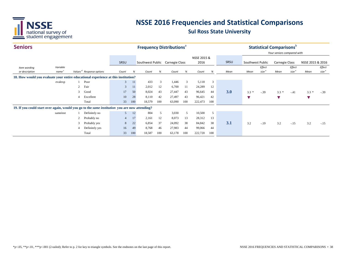

| <b>Seniors</b>                                                                                        |                   |                |                                      |                |     | <b>Frequency Distributions</b> <sup>®</sup> |     |        |      |             |     |      |                  |                   | <b>Statistical Comparisons</b> |                   |                  |                   |
|-------------------------------------------------------------------------------------------------------|-------------------|----------------|--------------------------------------|----------------|-----|---------------------------------------------|-----|--------|------|-------------|-----|------|------------------|-------------------|--------------------------------|-------------------|------------------|-------------------|
|                                                                                                       |                   |                |                                      |                |     |                                             |     |        |      |             |     |      |                  |                   | Your seniors compared with     |                   |                  |                   |
|                                                                                                       |                   |                |                                      |                |     |                                             |     |        |      | NSSE 2015 & |     |      |                  |                   |                                |                   |                  |                   |
|                                                                                                       |                   |                |                                      | SRSU           |     | Southwest Public Carnegie Class             |     |        |      | 2016        |     | SRSU | Southwest Public |                   | Carnegie Class                 |                   | NSSE 2015 & 2016 |                   |
| Item wording                                                                                          | Variable          |                |                                      |                |     |                                             |     |        |      |             |     |      |                  | Effect            |                                | Effect            |                  | Effect            |
| or description                                                                                        | name <sup>c</sup> |                | Values <sup>d</sup> Response options | Count          | %   | Count                                       | %   | Count  | $\%$ | Count       | %   | Mean | Mean             | size <sup>e</sup> | Mean                           | size <sup>e</sup> | Mean             | size <sup>e</sup> |
| 18. How would you evaluate your entire educational experience at this institution?                    |                   |                |                                      |                |     |                                             |     |        |      |             |     |      |                  |                   |                                |                   |                  |                   |
|                                                                                                       | evalexp           |                | Poor                                 | $\overline{3}$ | 11  | 433                                         | 3   | 1,446  | 3    | 5,118       | 3   |      |                  |                   |                                |                   |                  |                   |
|                                                                                                       |                   | $\overline{2}$ | Fair                                 | $\mathfrak{Z}$ | 11  | 2,012                                       | 12  | 6,700  | 11   | 24,289      | 12  |      |                  |                   |                                |                   |                  |                   |
|                                                                                                       |                   | 3 <sup>1</sup> | Good                                 | 17             | 50  | 8,024                                       | 43  | 27,447 | 43   | 96,645      | 44  | 3.0  | $3.3*$           | $-.39$            | $3.3*$                         | $-.41$            | $3.3 *$          | $-0.39$           |
|                                                                                                       |                   |                | Excellent                            | 10             | 28  | 8,110                                       | 42  | 27,497 | 43   | 96,421      | 42  |      |                  |                   |                                |                   |                  |                   |
|                                                                                                       |                   |                | Total                                | 33             | 100 | 18,579                                      | 100 | 63,090 | 100  | 222,473     | 100 |      |                  |                   |                                |                   |                  |                   |
| 19. If you could start over again, would you go to the <i>same institution</i> you are now attending? |                   |                |                                      |                |     |                                             |     |        |      |             |     |      |                  |                   |                                |                   |                  |                   |
|                                                                                                       | sameinst          |                | Definitely no                        | 5 <sup>5</sup> | 12  | 804                                         | 5   | 3,030  | 5    | 10,500      | 5   |      |                  |                   |                                |                   |                  |                   |
|                                                                                                       |                   |                | Probably no                          | $4^{\circ}$    | 17  | 2,161                                       | 12  | 8,073  | 13   | 28,312      | 13  |      |                  |                   |                                |                   |                  |                   |
|                                                                                                       |                   | 3              | Probably yes                         | 8              | 22  | 6,854                                       | 37  | 24,092 | 38   | 84,842      | 38  | 3.1  | 3.2              | $-.19$            | 3.2                            | $-.15$            | 3.2              | $-15$             |
|                                                                                                       |                   |                | Definitely yes                       | 16             | 49  | 8,768                                       | 46  | 27,983 | 44   | 99,066      | 44  |      |                  |                   |                                |                   |                  |                   |
|                                                                                                       |                   |                | Total                                | 33             | 100 | 18,587                                      | 100 | 63,178 | 100  | 222,720     | 100 |      |                  |                   |                                |                   |                  |                   |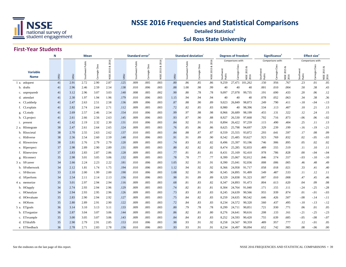

#### **Sul Ross State University Detailed Statistics**<sup>g</sup>

#### **First-Year Students**

|                                | N    | <b>Mean</b>    |           |                   |                   |      | Standard error   |                |                   |      | <b>Standard deviation</b> |                |                   |                     | Degrees of freedom |                                  |                     | Significance <sup>'</sup> |                           |                   | Effect size <sup>6</sup> |                          |
|--------------------------------|------|----------------|-----------|-------------------|-------------------|------|------------------|----------------|-------------------|------|---------------------------|----------------|-------------------|---------------------|--------------------|----------------------------------|---------------------|---------------------------|---------------------------|-------------------|--------------------------|--------------------------|
|                                |      | 2016<br>Public |           |                   |                   |      |                  | 2016           |                   |      |                           | 2016           |                   | Comparisons with:   |                    |                                  | Comparisons with:   |                           |                           | Comparisons with: |                          |                          |
| <b>Variable</b><br><b>Name</b> | SRSU | SRSU           | Southwest | negie Class<br>වි | œ<br>2015<br>NSSE | SRSU | Southwest Public | Carnegie Class | ∞<br>2015<br>NSSE | SRSU | Public<br>Southwest       | Carnegie Class | ∞<br>2015<br>NSSE | Southwest<br>Public | Class<br>Carnegie  | ಹ<br>2015<br><b>NSSE</b><br>2016 | Southwest<br>Public | Class<br>Carnegie         | ಹ<br>2015<br>NSSE<br>2016 | Southwe<br>Public | Carnegie Class           | ಹ<br>NSSE 2015 &<br>2016 |
| 1 a. askquest                  | 41   | 2.91           | 2.72      | 2.90              | 2.87              | .125 | .009             | .005           | .003              | .80  | .86                       | .85            | .86               | 9,259               | 27,471             | 101,262                          | .150                | .956                      | .767                      | .23               | .01                      | .05                      |
| b. drafts                      | 41   | 2.96           | 2.46      | 2.59              | 2.54              | .138 | .010             | .006           | .003              | .88  | 1.00                      | .98            | .99               | 40                  | 40                 | 40                               | .001                | .010                      | .004                      | .50               | .38                      | .43                      |
| c. unpreparedr                 | 41   | 3.12           | 2.96      | 3.07              | 3.03              | .140 | .008             | .005           | .002              | .90  | .80                       | .78            | .78               | 9,097               | 27,078             | 99,735                           | .191                | .690                      | .433                      | .20               | .06                      | .12                      |
| d. attendart                   | 41   | 2.30           | 1.97      | 1.94              | 1.96              | .179 | .010             | .006           | .003              | 1.15 | .94                       | .94            | .94               | 40                  | 40                 | 40                               | .078                | .052                      | .063                      | .34               | .38                      | .36                      |
| e. CLaskhelp                   | 41   | 2.47           | 2.63      | 2.51              | 2.58              | .136 | .009             | .006           | .003              | .87  | .88                       | .90            | .89               | 9.023               | 26,849             | 98,873                           | .249                | .790                      | .411                      | $-.18$            | $-.04$                   | $-13$                    |
| f. CLexplain                   | 41   | 2.82           | 2.74      | 2.64              | 2.71              | .112 | .009             | .005           | .003              | .72  | .82                       | .85            | .83               | 8,980               | 40                 | 98,396                           | .534                | .113                      | .407                      | .10               | .21                      | .13                      |
| g. CLstudy                     | 41   | 2.69           | 2.57      | 2.46              | 2.54              | .154 | .010             | .006           | .003              | .99  | .97                       | .98            | .98               | 8,966               | 26,689             | 98,199                           | .455                | .131                      | .322                      | .12               | .24                      | .15                      |
| h. CLproject                   | 41   | 2.61           | 2.66      | 2.56              | 2.63              | .145 | .009             | .006           | .003              | .93  | .87                       | .90            | .88               | 8,927               | 26,530             | 97,668                           | .702                | .716                      | .873                      | $-.06$            | .06                      | $-.02$                   |
| <i>i</i> . present             | 41   | 2.42           | 2.19      | 2.32              | 2.30              | .131 | .010             | .006           | .003              | .84  | .92                       | .91            | .91               | 8,894               | 26,422             | 97,259                           | .115                | .490                      | .404                      | .25               | .11                      | .13                      |
| 2 a. RIintegrate               | 38   | 2.47           | 2.61      | 2.64              | 2.65              | .124 | .009             | .005           | .003              | .76  | .85                       | .86            | .86               | 8,625               | 25,798             | 94,697                           | .329                | .239                      | .199                      | $-.16$            | $-19$                    | $-.21$                   |
| b. RIsocietal                  | 38   | 2.70           | 2.55      | 2.63              | 2.62              | .137 | .010             | .005           | .003              | .84  | .88                       | .87            | .87               | 8,559               | 25,555             | 93,872                           | .293                | .641                      | .597                      | .17               | .08                      | .09                      |
| c. RIdiverse                   | 38   | 2.56           | 2.54      | 2.60              | 2.59              | .148 | .010             | .006           | .003              | .91  | .91                       | .89            | .90               | 8,542               | 25,485             | 93,627                           | .923                | .769                      | .832                      | .02               | $-0.05$                  | $-.03$                   |
| d. RIownview                   | 38   | 2.81           | 2.76      | 2.79              | 2.79              | .120 | .009             | .005           | .003              | .74  | .83                       | .82            | .82               | 8,496               | 25,397             | 93,196                           | .746                | .906                      | .895                      | .05               | .02                      | .02                      |
| e. RIperspect                  | 37   | 2.98           | 2.89      | 2.90              | 2.89              | .131 | .009             | .005           | .003              | .80  | .82                       | .82            | .82               | 8,474               | 25,285             | 92,833                           | .489                | .555                      | .519                      | .11               | .10                      | .11                      |
| f. RInewview                   | 37   | 2.83           | 2.83      | 2.87              | 2.86              | .128 | .009             | .005           | .003              | .77  | .81                       | .81            | .81               | 8,431               | 25,169             | 92,410                           | .978                | .786                      | .828                      | .00.              | $-.04$                   | $-.04$                   |
| g. RIconnect                   | 35   | 2.98           | 3.01      | 3.05              | 3.06              | .132 | .009             | .005           | .003              | .78  | .78                       | .77            | .77               | 8,399               | 25,067             | 92,012                           | .846                | .574                      | .557                      | $-.03$            | $-.10$                   | $-.10$                   |
| 3 a. SFcareer                  | 34   | 2.66           | 2.24      | 2.23              | 2.22              | .181 | .010             | .006           | .003              | 1.05 | .92                       | .91            | .91               | 8,390               | 25,041             | 92,036                           | .008                | .006                      | .005                      | .46               | .48                      | .49                      |
| b. SFotherwork                 | 34   | 2.12           | 1.81      | 1.74              | 1.75              | .194 | .010             | .006           | .003              | 1.12 | .94                       | .92            | .92               | 8,366               | 24,958             | 91,717                           | .058                | .018                      | .021                      | .33               | .41                      | .40                      |
| c. SFdiscuss                   | 33   | 2.10           | 2.00      | 1.99              | 2.00              | .190 | .010             | .006           | .003              | 1.08 | .92                       | .91            | .90               | 8,345               | 24,895             | 91,499                           | .549                | .487                      | .533                      | .11               | .12                      | .11                      |
| d. SFperform                   | 34   | 2.54           | 2.11      | 2.14              | 2.13              | .156 | .010             | .006           | .003              | .90  | .91                       | .89            | .89               | 8,329               | 24,838             | 91,323                           | .007                | .010                      | .008                      | .47               | .45                      | .46                      |
| 4 a. memorize                  | 35   | 3.01           | 2.97      | 2.94              | 2.94              | .116 | .009             | .005           | .003              | .68  | .81                       | .83            | .82               | 8,347               | 24,893             | 91,473                           | .804                | .613                      | .620                      | .04               | .09                      | .08                      |
| b. HOapply                     | 34   | 2.74           | 2.93      | 2.94              | 2.96              | .129 | .009             | .005           | .003              | .74  | .82                       | .81            | .81               | 8,304               | 24,764             | 91,040                           | .171                | .155                      | .111                      | -.24              | $-.25$                   | $-.28$                   |
| c. HOanalyze                   | 34   | 2.94           | 2.93      | 2.95              | 2.96              | .126 | .009             | .005           | .003              | .73  | .83                       | .83            | .83               | 8,245               | 24,639             | 90,566                           | .955                | .939                      | .874                      | .01               | $-.01$                   | $-.03$                   |
| d. HOevaluate                  | 35   | 2.83           | 2.90      | 2.94              | 2.92              | .127 | .009             | .005           | .003              | .75  | .84                       | .82            | .83               | 8,259               | 24,635             | 90,542                           | .646                | .426                      | .507                      | $-0.08$           | $-.14$                   | $-.11$                   |
| e. HOform                      | 35   | 2.80           | 2.89      | 2.91              | 2.90              | .122 | .009             | .005           | .003              | .72  | .84                       | .83            | .83               | 8,234               | 24,572             | 90,320                           | .560                | .437                      | .495                      | $-.10$            | $-.13$                   | $-12$                    |
| 5 a. ETgoals                   | 36   | 3.14           | 3.10      | 3.13              | 3.11              | .133 | .009             | .005           | .003              | .80  | .79                       | .78            | .78               | 8,299               | 24,711             | 90,851                           | .721                | .930                      | .771                      | .06               | .01                      | .05                      |
| b. ETorganize                  | 36   | 2.87           | 3.04      | 3.07              | 3.06              | .144 | .009             | .005           | .003              | .86  | .82                       | .81            | .80               | 8,276               | 24,641             | 90,616                           | .208                | .133                      | .161                      | $-.21$            | $-.25$                   | $-.23$                   |
| c. ETexample                   | 35   | 3.00           | 3.05      | 3.07              | 3.06              | .143 | .009             | .005           | .003              | .84  | .84                       | .83            | .83               | 8,252               | 24,593             | 90,420                           | .755                | .639                      | .685                      | $-.05$            | $-.08$                   | $-.07$                   |
| d. ETdraftfb                   | 35   | 2.90           | 2.79      | 2.91              | 2.85              | .153 | .010             | .006           | .003              | .90  | .93                       | .91            | .92               | 8,258               | 24,567             | 90,359                           | .489                | .957                      | .777                      | .12               | $-.01$                   | .05                      |
| e. ETfeedback                  | 36   | 2.78           | 2.71      | 2.83              | 2.78              | .156 | .010             | .006           | .003              | .93  | .93                       | .91            | .91               | 8,234               | 24,497             | 90,094                           | .652                | .742                      | .985                      | .08               | $-.06$                   | .00                      |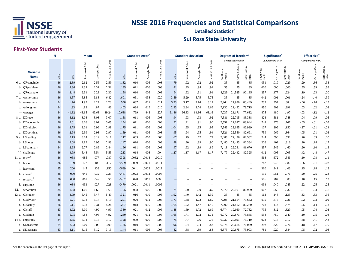

#### **Sul Ross State University Detailed Statistics**<sup>g</sup>

#### **First-Year Students**

|                         | Ν    | <b>Mean</b> |                  |                   |                   |        | Standard error   |                     |                       |                   | <b>Standard deviation</b> |                          |                   |                   | Degrees of freedom |                                |                     | Significance <sup>'</sup> |                           |                   | <b>Effect size</b> <sup>e</sup> |                          |
|-------------------------|------|-------------|------------------|-------------------|-------------------|--------|------------------|---------------------|-----------------------|-------------------|---------------------------|--------------------------|-------------------|-------------------|--------------------|--------------------------------|---------------------|---------------------------|---------------------------|-------------------|---------------------------------|--------------------------|
|                         |      | 2016        |                  |                   |                   |        |                  | 2016                |                       |                   |                           | 2016                     |                   | Comparisons with: |                    |                                | Comparisons with:   |                           |                           | Comparisons with: |                                 |                          |
| Variable<br><b>Name</b> | SRSU | SRSU        | Southwest Public | Class<br>Carnegie | ಡ<br>2015<br>NSSE | SRSU   | Southwest Public | Class<br>Carnegie ( | ಹ<br>S<br>201<br>NSSE | SRSU              | Public<br>est<br>Southw   | Carnegie Class           | ळ<br>2015<br>NSSE | Southwe<br>Public | Class<br>Carnegie  | <b>NSSE 2015 &amp;</b><br>2016 | Southwest<br>Public | Class<br>Carnegie         | య<br>2015<br>NSSE<br>2016 | Southwe<br>Public | Carnegie Class                  | ∝<br>NSSE 2015 {<br>2016 |
| 6 a. QRconclude         | 36   | 2.89        | 2.62             | 2.56              | 2.59              | .132   | .010             | .006                | .003                  | .79               | .92                       | .92                      | .92               | 35                | 35                 | 35                             | .051                | .019                      | .029                      | .29               | .36                             | .33                      |
| b. QRproblem            | 36   | 2.86        | 2.34             | 2.31              | 2.31              | .135   | .011             | .006                | .003                  | .81               | .95                       | .94                      | .94               | 35                | 35                 | 35                             | .000                | .000                      | .000                      | .55               | .59                             | .58                      |
| c. ORevaluate           | 36   | 2.48        | 2.31             | 2.28              | 2.30              | .158   | .010             | .006                | .003                  | .94               | .92                       | .91                      | .91               | 8,229             | 24,525             | 90,185                         | .257                | .177                      | .224                      | .19               | .23                             | .20                      |
| 7 a. wrshortnum         | 36   | 4.57        | 5.85             | 6.88              | 6.82              | .601   | .061             | .038                | .020                  | 3.59              | 5.29                      | 5.75                     | 5.75              | 35                | 35                 | 35                             | .042                | .001                      | .001                      | $-.24$            | $-.40$                          | $-.39$                   |
| b. wrmednum             | 34   | 1.76        | 1.95             | 2.27              | 2.23              | .558   | .037             | .021                | .011                  | 3.23              | 3.17                      | 3.16                     | 3.14              | 7,264             | 21,930             | 80,449                         | .737                | .357                      | .384                      | $-.06$            | $-.16$                          | $-.15$                   |
| c. wrlongnum            | 34   | .93         | .83              | .87               | .86               | .403   | .034             | .019                | .010                  | 2.33              | 2.84                      | 2.74                     | 2.69              | 7,130             | 21,482             | 78,715                         | .850                | .903                      | .891                      | .03               | .02                             | .02                      |
| - wrpages               | 34   | 41.82       | 43.65            | 49.68             | 49.24             | 10.688 | .799             | .443                | .227                  | 61.86             | 66.83                     | 64.36                    | 63.16             | 7,037             | 21,171             | 77,632                         | .875                | .480                      | .497                      | $-.03$            | $-12$                           | $-12$                    |
| 8 a. DDrace             | 36   | 3.12        | 3.08             | 3.03              | 3.07              | .158   | .011             | .006                | .003                  | .94               | .93                       | .93                      | .92               | 7,581             | 22,715             | 83,338                         | .823                | .581                      | .748                      | .04               | .09                             | .05                      |
| b. DDeconomic           | 36   | 3.01        | 3.06             | 3.01              | 3.05              | .154   | .011             | .006                | .003                  | .92               | .91                       | .91                      | .90               | 7,551             | 22,627             | 83,044                         | .748                | .976                      | .767                      | $-.05$            | $-.01$                          | $-.05$                   |
| c. DDreligion           | 36   | 2.75        | 3.01             | 2.96              | 2.98              | .175   | .011             | .006                | .003                  | 1.04              | .95                       | .95                      | .95               | 7,549             | 22,635             | 82,989                         | .107                | .209                      | .150                      | $-.27$            | -.21                            | $-.24$                   |
| d. DDpolitical          | 36   | 2.94        | 2.99             | 2.93              | 2.97              | .159   | .011             | .006                | .003                  | .95               | .94                       | .95                      | .94               | 7,521             | 22,550             | 82,691                         | .759                | .969                      | .864                      | $-0.05$           | .01                             | $-.03$                   |
| 9 a. LSreading          | 36   | 3.19        | 3.04             | 3.12              | 3.11              | .112   | .009             | .005                | .003                  | .67               | .79                       | .77                      | .77               | 7,488             | 22,496             | 82,562                         | .244                | .590                      | .532                      | .20               | .09                             | .10                      |
| b. LSnotes              | 36   | 3.08        | 2.89             | 2.95              | 2.93              | .147   | .010             | .006                | .003                  | .88               | .90                       | .89                      | .90               | 7,480             | 22,443             | 82,364                         | .226                | .402                      | .316                      | .20               | .14                             | .17                      |
| c. LSsummary            | 34   | 2.95        | 2.77             | 2.86              | 2.84              | .166   | .011             | .006                | .003                  | .97               | .92                       | .89                      | .89               | 7,418             | 22,281             | 81,670                         | .257                | .546                      | .460                      | .20               | .10                             | .13                      |
| 10. challenge           | 36   | 4.99        | 5.48             | 5.54              | 5.53              | .213   | .014             | .008                | .004                  | 1.27              | 1.17                      | 1.17                     | 1.17              | 7,479             | 22,442             | 82,325                         | .012                | .005                      | .005                      | $-.42$            | $-.48$                          | $-.47$                   |
| 11 a. intern            | 36   | .058        | .085             | .077              | .087              | .0398  | .0032            | .0018               | .0010                 | $\overline{a}$    | $\sim$ $\sim$             | $\overline{a}$           |                   |                   |                    | $\sim$                         | .568                | .672                      | .546                      | $-.10$            | $-.08$                          | $-.11$                   |
| b. leader               | 36   | .109        | .127             | .105              | .117              | .0529  | .0039            | .0021               | .0011                 |                   |                           |                          |                   |                   |                    | $\overline{a}$                 | .742                | .946                      | .882                      | $-06$             | .01                             | $-.03$                   |
| c. learncom             | 35   | .200        | .145             | .133              | .150              | .0689  | .0041            | .0023               | .0012                 |                   |                           | $-$                      |                   |                   | $- -$              | $\sim$                         | .360                | .241                      | .406                      | .15               | .18                             | .13                      |
| d. abroad               | 36   | .090        | .041             | .032              | .035              | .0487  | .0023            | .0012               | .0006                 |                   |                           |                          |                   |                   |                    | $\sim$                         | .135                | .051                      | .076                      | .20               | .25                             | .23                      |
| e. research             | 36   | .088        | .061             | .049              | .055              | .0482  | .0028            | .0015               | .0008                 | $\qquad \qquad -$ | $-$                       | --                       |                   |                   |                    | $\sim$                         | .506                | .287                      | .380                      | .10               | .15                             | .13                      |
| f. capstone             | 36   | .084        | .033             | .027              | .028              | .0470  | .0021            | .0011               | .0006                 | $\qquad \qquad -$ | $\sim$                    | $\overline{\phantom{a}}$ | $-$               |                   |                    | $\sim$                         | .094                | .040                      | .045                      | .22               | .25                             | .25                      |
| 12.<br>servcourse       | 35   | 1.88        | 1.66             | 1.65              | 1.63              | .125   | .008             | .005                | .002                  | .74               | .70                       | .69                      | .69               | 7,370             | 22,101             | 80,989                         | .067                | .053                      | .032                      | .31               | .33                             | .36                      |
| 13 a. QIstudent         | 36   | 4.99        | 5.45             | 5.47              | 5.49              | .321   | .016             | .010                | .005                  | 1.92              | 1.40                      | 1.42                     | 1.39              | 35                | 35                 | 35                             | .163                | .148                      | .133                      | $-.33$            | $-.33$                          | $-.36$                   |
| b. QIadvisor            | 35   | 5.21        | 5.18             | 5.17              | 5.19              | .291   | .020             | .012                | .006                  | 1.71              | 1.68                      | 1.72                     | 1.69              | 7,298             | 21,654             | 79,652                         | .915                | .873                      | .926                      | .02               | .03                             | .02                      |
| c. QIfaculty            | 36   | 5.11        | 5.18             | 5.31              | 5.28              | .277   | .018             | .010                | .005                  | 1.65              | 1.52                      | 1.47                     | 1.45              | 7,300             | 21,862             | 80,270                         | .768                | .414                      | .474                      | $-.05$            | $-.14$                          | $-.12$                   |
| d. QIstaff              | 33   | 4.92        | 5.00             | 4.99              | 4.99              | .330   | .021             | .012                | .006                  | 1.88              | 1.69                      | 1.72                     | 1.69              | 6,774             | 19,660             | 72,732                         | .795                | .812                      | .829                      | $-.05$            | $-.04$                          | $-.04$                   |
| e. OIadmin              | 35   | 5.05        | 4.88             | 4.96              | 4.92              | .280   | .021             | .012                | .006                  | 1.65              | 1.71                      | 1.72                     | 1.71              | 6,972             | 20,873             | 75,865                         | .558                | .750                      | .640                      | .10               | .05                             | .08                      |
| 14 a. empstudy          | 34   | 2.85        | 3.14             | 3.16              | 3.17              | .128   | .009             | .005                | .003                  | .75               | .77                       | .76                      | .76               | 6,937             | 20,891             | 76,710                         | .028                | .016                      | .012                      | $-.38$            | $-.41$                          | $-.43$                   |
| b. SEacademic           | 34   | 2.93        | 3.09             | 3.08              | 3.09              | .165   | .010             | .006                | .003                  | .96               | .84                       | .84                      | .83               | 6,878             | 20,685             | 76,069                         | .292                | .322                      | .276                      | $-.18$            | $-.17$                          | $-.19$                   |
| c. SElearnsup           | 33   | 3.11        | 3.15             | 3.12              | 3.13              | .144   | .011             | .006                | .003                  | .82               | .88                       | .89                      | .88               | 6,873             | 20,675             | 75,993                         | .781                | .920                      | .884                      | $-.05$            | $-.02$                          | $-.03$                   |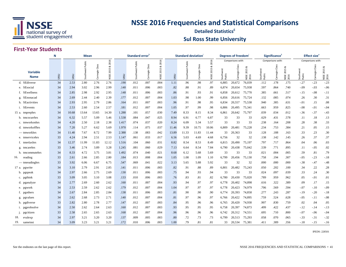

#### **Sul Ross State University Detailed Statistics**<sup>g</sup>

#### **First-Year Students**

|                                | N    | <b>Mean</b>    |           |                   |                   | Standard error |                     |                      |                         | <b>Standard deviation</b> |                         |                |                    | Degrees of freedom |                        |                           | Significance <sup>'</sup> |               |                            | Effect size <sup>6</sup> |                     |                          |
|--------------------------------|------|----------------|-----------|-------------------|-------------------|----------------|---------------------|----------------------|-------------------------|---------------------------|-------------------------|----------------|--------------------|--------------------|------------------------|---------------------------|---------------------------|---------------|----------------------------|--------------------------|---------------------|--------------------------|
|                                |      | 2016<br>Public |           |                   |                   |                |                     | 2016                 |                         |                           |                         | 2016           |                    | Comparisons with:  |                        |                           | Comparisons with:         |               |                            | Comparisons with:        |                     |                          |
| <b>Variable</b><br><b>Name</b> | SRSU | SRSU           | Southwest | negie Class<br>වි | ಹ<br>2015<br>NSSE | SRSU           | Public<br>Southwest | Class<br>megie<br>වි | οð<br>ī.<br>201<br>NSSE | SRSU                      | Public<br>ëst<br>Southw | Carnegie Class | ಂಶ<br>2015<br>NSSE | Southw<br>Public   | Class<br>imegie (<br>ී | ಹ<br>2015<br>NSSE<br>2016 | Southw<br>Public          | ë<br>Carnegie | οð<br>2015<br>NSSE<br>2016 | Southwe<br>Public        | Class<br>Carnegie ( | ಹ<br>NSSE 2015 &<br>2016 |
| d. SEdiverse                   | 34   | 2.53           | 2.80      | 2.76              | 2.76              | .190           | .012                | .007                 | .004                    | 1.11                      | .96                     | .98            | .97                | 6,885              | 20,672                 | 76,039                    | .112                      | .178          | .175                       | $-.27$                   | $-.23$              | $-.23$                   |
| e. SEsocial                    | 34   | 2.94           | 3.02      | 2.96              | 2.99              | .140           | .011                | .006                 | .003                    | .82                       | .88                     | .91            | .89                | 6,874              | 20,654                 | 75,938                    | .597                      | .864          | .740                       | $-.09$                   | $-.03$              | $-.06$                   |
| f. SEwellness                  | 34   | 2.85           | 2.98      | 2.92              | 2.95              | .148           | .011                | .006                 | .003                    | .86                       | .91                     | .93            | .91                | 6,858              | 20,612                 | 75,770                    | .385                      | .661          | .517                       | $-.15$                   | $-.08$              | $-.11$                   |
| g. SEnonacad                   | 34   | 2.69           | 2.44      | 2.40              | 2.39              | .177           | .012                | .007                 | .004                    | 1.03                      | .98                     | 1.00           | .99                | 6,856              | 20,616                 | 75,724                    | .132                      | .085          | .074                       | .26                      | .30                 | .31                      |
| h. SEactivities                | 34   | 2.93           | 2.95      | 2.79              | 2.86              | .164           | .011                | .007                 | .003                    | .96                       | .91                     | .98            | .95                | 6,834              | 20,557                 | 75,538                    | .940                      | .385          | .631                       | $-.01$                   | .15                 | .08                      |
| i. SEevents                    | 34   | 2.53           | 2.60      | 2.54              | 2.57              | .181           | .012                | .007                 | .004                    | 1.05                      | .97                     | .99            | .98                | 6,806              | 20,495                 | 75,341                    | .663                      | .959          | .825                       | $-.08$                   | $-.01$              | $-.04$                   |
| 15 a. tmprephrs                | 34   | 10.68          | 13.64     | 13.65             | 14.30             | 1.288          | .101                | .057                 | .030                    | 7.49                      | 8.33                    | 8.15           | 8.34               | 6,861              | 20,642                 | 75,797                    | .039                      | .034          | .012                       | $-.36$                   | $-.37$              | $-.43$                   |
| b. tmcocurrhrs                 | 34   | 6.32           | 5.57      | 5.09              | 5.46              | 1.538          | .084                | .047                 | .025                    | 8.94                      | 6.91                    | 6.77           | 6.87               | 33                 | 33                     | 33                        | .629                      | .431          | .578                       | .11                      | .18                 | .13                      |
| c. tmworkonhrs                 | 34   | 4.20           | 2.50      | 2.18              | 2.38              | 1.417          | .074                | .037                 | .020                    | 8.24                      | 6.09                    | 5.34           | 5.57               | 33                 | 33                     | 33                        | .238                      | .164          | .208                       | .28                      | .38                 | .33                      |
| d. tmworkoffhrs                | 34   | 7.20           | 5.27      | 6.62              | 5.69              | 1.970          | .114                | .075                 | .037                    | 11.46                     | 9.39                    | 10.75          | 10.06              | 6,809              | 20,481                 | 75,228                    | .234                      | .753          | .384                       | .21                      | .05                 | .15                      |
| - tmworkhrs                    | 34   | 11.40          | 7.67      | 8.72              | 7.99              | 2.388          | .138                | .083                 | .042                    | 13.89                     | 11.33                   | 11.83          | 11.44              | 33                 | 20,363                 | 33                        | .128                      | .188          | .163                       | .33                      | .23                 | .30                      |
| e. tmservicehrs                | 33   | 4.24           | 2.94      | 2.51              | 2.53              | 1.147          | .061                | .033                 | .017                    | 6.56                      | 5.03                    | 4.69           | 4.68               | 6,756              | 32                     | 32                        | .138                      | .142          | .145                       | .26                      | .37                 | .37                      |
| f. tmrelaxhrs                  | 34   | 12.37          | 11.99     | 11.83             | 12.12             | 1.516          | .104                | .060                 | .031                    | 8.82                      | 8.54                    | 8.53           | 8.49               | 6,815              | 20,490                 | 75,197                    | .797                      | .717          | .864                       | .04                      | .06                 | .03                      |
| g. tmcarehrs                   | 33   | 3.46           | 2.74      | 3.89              | 3.28              | 1.245          | .081                | .060                 | .029                    | 7.13                      | 6.64                    | 8.54           | 7.84               | 6,790              | 20,438                 | 75,042                    | .539                      | .771          | .895                       | .11                      | $-.05$              | .02                      |
| h. tmcommutehrs                | 34   | 8.33           | 4.72      | 3.75              | 3.81              | 1.492          | .074                | .040                 | .021                    | 8.68                      | 6.12                    | 5.68           | 5.69               | 33                 | 33                     | 33                        | .021                      | .004          | .005                       | .59                      | .81                 | .79                      |
| 16.<br>reading                 | 33   | 2.61           | 2.66      | 2.85              | 2.80              | .184           | .013                | .008                 | .004                    | 1.05                      | 1.08                    | 1.09           | 1.10               | 6,799              | 20,456                 | 75,130                    | .758                      | .194          | .307                       | $-.05$                   | $-.23$              | $-.18$                   |
| — tmreadinghrs                 | 33   | 3.92           | 6.06      | 6.67              | 6.75              | .547           | .069                | .041                 | .022                    | 3.13                      | 5.65                    | 5.88           | 5.92               | 33                 | 32                     | 32                        | .000                      | .000          | .000                       | $-.38$                   | -.47                | $-.48$                   |
| 17 a. pgwrite                  | 34   | 3.10           | 2.79      | 2.91              | 2.85              | .141           | .011                | .006                 | .003                    | .82                       | .91                     | .88            | .89                | 6,801              | 20,482                 | 75,243                    | .050                      | .202          | .100                       | .34                      | .22                 | .28                      |
| b. pgspeak                     | 34   | 2.97           | 2.66      | 2.75              | 2.69              | .130           | .011                | .006                 | .003                    | .75                       | .94                     | .93            | .94                | 33                 | 33                     | 33                        | .024                      | .097          | .039                       | .33                      | .24                 | .30                      |
| c. pgthink                     | 33   | 3.09           | 3.05      | 3.10              | 3.08              | .133           | .010                | .006                 | .003                    | .76                       | .83                     | .81            | .82                | 6,780              | 20,430                 | 75,020                    | .789                      | .959          | .962                       | .05                      | $-.01$              | .01                      |
| d. pganalyze                   | 34   | 2.77           | 2.69      | 2.60              | 2.62              | .160           | .011                | .007                 | .004                    | .93                       | .94                     | .97            | .97                | 6,778              | 20,402                 | 74,898                    | .616                      | .322          | .389                       | .09                      | .17                 | .15                      |
| e. pgwork                      | 34   | 2.53           | 2.59      | 2.62              | 2.62              | .179           | .012                | .007                 | .004                    | 1.04                      | .97                     | .97            | .97                | 6,778              | 20,423                 | 74,979                    | .706                      | .569          | .594                       | $-.07$                   | $-.10$              | $-.09$                   |
| f. pgothers                    | 34   | 2.67           | 2.84      | 2.85              | 2.84              | .138           | .011                | .006                 | .003                    | .81                       | .90                     | .90            | .90                | 6,774              | 20,393                 | 74,858                    | .277                      | .243          | .287                       | $-.19$                   | $-.20$              | $-.18$                   |
| g. pgvalues                    | 34   | 2.62           | 2.68      | 2.73              | 2.71              | .140           | .012                | .007                 | .004                    | .81                       | .97                     | .96            | .97                | 6,766              | 20,422                 | 74,895                    | .759                      | .524          | .628                       | $-.05$                   | $-.11$              | $-.08$                   |
| h. pgdiverse                   | 33   | 2.82           | 2.80      | 2.78              | 2.77              | .147           | .012                | .007                 | .003                    | .84                       | .95                     | .96            | .96                | 6,765              | 20,420                 | 74,930                    | .907                      | .830          | .759                       | .02                      | .04                 | .05                      |
| i. pgprobsolve                 | 34   | 2.50           | 2.62      | 2.64              | 2.63              | .160           | .012                | .007                 | .003                    | .93                       | .95                     | .95            | .95                | 6,758              | 20,397                 | 74,873                    | .499                      | .422          | .437                       | $-.12$                   | $-14$               | $-.13$                   |
| pgcitizen<br>$\mathbf{1}$      | 33   | 2.58           | 2.65      | 2.65              | 2.63              | .168           | .012                | .007                 | .004                    | .96                       | .96                     | .96            | .96                | 6,742              | 20,312                 | 74,551                    | .695                      | .710          | .800                       | $-.07$                   | $-.06$              | $-.04$                   |
| 18.<br>evalexp                 | 34   | 2.97           | 3.21      | 3.20              | 3.20              | .137           | .009                | .005                 | .003                    | .80                       | .72                     | .73            | .73                | 6,799              | 20,513                 | 75,293                    | .058                      | .070          | .065                       | $-.33$                   | $-.31$              | $-.32$                   |
| 19.<br>sameinst                | 34   | 3.09           | 3.23      | 3.21              | 3.21              | .172           | .010                | .006                 | .003                    | 1.00                      | .79                     | .81            | .81                | 33                 | 20,534                 | 75,381                    | .411                      | .389          | .356                       | $-.18$                   | $-15$               | $-.16$                   |

IPEDS: 228501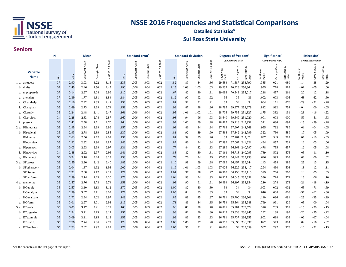

#### **Sul Ross State University Detailed Statistics**<sup>g</sup>

#### **Seniors**

|                                | N    | Mean           |           |                |                   | Standard error |                     |                      |                   | <b>Standard deviation</b> |                  |                |                   | Degrees of freedom |                   |                           | Significance        |                   |                           | Effect size <sup>6</sup> |                   |                           |
|--------------------------------|------|----------------|-----------|----------------|-------------------|----------------|---------------------|----------------------|-------------------|---------------------------|------------------|----------------|-------------------|--------------------|-------------------|---------------------------|---------------------|-------------------|---------------------------|--------------------------|-------------------|---------------------------|
|                                |      | 2016<br>Public |           |                |                   |                |                     |                      | 2016              |                           |                  |                | 2016              |                    | Comparisons with: |                           |                     | Comparisons with: |                           |                          | Comparisons with: |                           |
| <b>Variable</b><br><b>Name</b> | SRSU | SRSU           | Southwest | Carnegie Class | ಷ<br>2015<br>NSSE | SRSU           | Public<br>Southwest | Class<br>negie<br>වි | చ<br>2015<br>NSSE | SRSU                      | Southwest Public | Carnegie Class | ∝<br>2015<br>NSSE | Southw<br>Public   | Class<br>Carnegie | œ<br>2015<br>NSSE<br>2016 | Southwest<br>Public | Carnegie Class    | ø<br>2015<br>NSSE<br>2016 | Southwest<br>Public      | Class<br>Carnegie | ಹ<br>2015<br>NSSE<br>2016 |
| 1 a. askquest                  | 37   | 2.90           | 3.03      | 3.22           | 3.15              | .135           | .005                | .003                 | .002              | .82                       | .89              | .84            | .86               | 29,584             | 71,587            | 258,790                   | .385                | .021              | .080                      | $-.14$                   | $-.38$            | $-.29$                    |
| b. drafts                      | 37   | 2.45           | 2.46      | 2.50           | 2.45              | .190           | .006                | .004                 | .002              | 1.15                      | 1.03             | 1.03           | 1.03              | 29,237             | 70,928 256,364    |                           | .955                | .778              | .988                      | $-.01$                   | $-.05$            | .00                       |
| c. unpreparedr                 | 37   | 3.14           | 2.97      | 3.04           | 2.99              | .110           | .005                | .003                 | .002              | .67                       | .82              | .80            | .81               | 29,093             | 70,548 255,017    |                           | .218                | .457              | .261                      | .20                      | .12               | .18                       |
| d. attendart                   | 37   | 2.39           | 1.77      | 1.81           | 1.84              | .184           | .005                | .003                 | .002              | 1.12                      | .90              | .92            | .92               | 36                 | 36                | 36                        | .002                | .003              | .005                      | .68                      | .62               | .60                       |
| e. CLaskhelp                   | 35   | 2.16           | 2.42      | 2.35           | 2.41              | .138           | .005                | .003                 | .002              | .81                       | .92              | .91            | .91               | 34                 | 34                | 34                        | .064                | .171              | .076                      | $-.29$                   | $-.21$            | $-.28$                    |
| f. CLexplain                   | 35   | 2.69           | 2.73      | 2.69           | 2.74              | .158           | .005                | .003                 | .002              | .93                       | .87              | .88            | .86               | 28,795             | 69,877 252,279    |                           | .812                | .992              | .754                      | $-.04$                   | .00               | $-.05$                    |
| g. CLstudy                     | 35   | 2.24           | 2.48      | 2.41           | 2.47              | .161           | .006                | .004                 | .002              | .95                       | 1.01             | 1.02           | 1.01              | 28,706             | 69.755 251.827    |                           | .175                | .332              | .191                      | $-.23$                   | $-.16$            | $-.22$                    |
| h. CLproject                   | 34   | 2.28           | 2.83      | 2.78           | 2.87              | .160           | .006                | .004                 | .002              | .93                       | .94              | .96            | .93               | 28,640             | 69,549 251,020    |                           | .001                | .003              | .000                      | $-.59$                   | $-.51$            | $-.63$                    |
| present<br>i.                  | 35   | 2.42           | 2.58      | 2.71           | 2.70              | .164           | .006                | .004                 | .002              | .97                       | 1.00             | .99            | .98               | 28,485             | 69,218 249,931    |                           | .371                | .086              | .092                      | $-.15$                   | $-.29$            | $-.28$                    |
| 2 a. RIintegrate               | 35   | 2.95           | 2.94      | 2.99           | 2.99              | .157           | .005                | .003                 | .002              | .93                       | .86              | .84            | .84               | 27,763             | 67,907 244,768    |                           | .955                | .792              | .789                      | .01                      | $-.04$            | $-.05$                    |
| b. RIsocietal                  | 35   | 2.93           | 2.78      | 2.89           | 2.85              | .137           | .006                | .003                 | .002              | .81                       | .92              | .89            | .90               | 27,568             | 67,342 242,799    |                           | .322                | .760              | .589                      | .17                      | .05               | .09                       |
| c. RIdiverse                   | 35   | 2.63           | 2.56      | 2.72           | 2.67              | .137           | .006                | .004                 | .002              | .81                       | .99              | .95            | .96               | 34                 | 67,261 242,424    |                           | .637                | .549              | .789                      | .07                      | $-.10$            | $-.05$                    |
| d. RIownview                   | 35   | 2.92           | 2.82      | 2.90           | 2.87              | .146           | .005                | .003                 | .002              | .87                       | .86              | .84            | .84               | 27,399             | 67,067 241,621    |                           | .494                | .857              | .734                      | .12                      | .03               | .06                       |
| e. RIperspect                  | 35   | 3.03           | 2.93      | 2.99           | 2.97              | .131           | .005                | .003                 | .002              | .77                       | .84              | .82            | .83               | 27,289             | 66,868 240,797    |                           | .478                | .755              | .657                      | .12                      | .05               | .08                       |
| f. RInewview                   | 34   | 2.88           | 2.92      | 2.97           | 2.96              | .141           | .005                | .003                 | .002              | .83                       | .82              | .80            | .81               | 27,161             | 66,718 240,095    |                           | .789                | .502              | .576                      | $-.05$                   | $-.11$            | $-10$                     |
| g. RIconnect                   | 35   | 3.24           | 3.18      | 3.24           | 3.23              | .133           | .005                | .003                 | .002              | .79                       | .76              | .74            | .75               | 27,058             | 66,447 239,133    |                           | .646                | .995              | .903                      | .08                      | .00               | .02                       |
| 3 a. SFcareer                  | 35   | 2.55           | 2.30      | 2.42           | 2.40              | .185           | .006                | .004                 | .002              | 1.10                      | .98              | .99            | .98               | 27,089             | 66,457 239,244    |                           | .143                | .454              | .386                      | .25                      | .13               | .15                       |
| b. SFotherwork                 | 35   | 2.04           | 1.87      | 1.92           | 1.93              | .202           | .006                | .004                 | .002              | 1.19                      | 1.01             | 1.03           | 1.03              | 27,026             | 66,229 238,417    |                           | .294                | .460              | .508                      | .18                      | .12               | .11                       |
| c. SFdiscuss                   | 35   | 2.22           | 2.08      | 2.17           | 2.17              | .171           | .006                | .004                 | .002              | 1.01                      | .97              | .98            | .97               | 26,965             | 66,150 238,110    |                           | .399                | .766              | .765                      | .14                      | .05               | .05                       |
| d. SFperform                   | 35   | 2.29           | 2.14      | 2.23           | 2.20              | .176           | .006                | .004                 | .002              | 1.04                      | .93              | .94            | .93               | 26,927             | 66,045 237,651    |                           | .330                | .714              | .574                      | .16                      | .06               | .10                       |
| 4 a. memorize                  | 35   | 2.57           | 2.76      | 2.73           | 2.74              | .158           | .006                | .004                 | .002              | .93                       | .90              | .91            | .91               | 26,994             | 66,197 238,354    |                           | .210                | .278              | .273                      | $-.21$                   | $-.18$            | $-.19$                    |
| b. HOapply                     | 35   | 2.57           | 3.10      | 3.13           | 3.12              | .170           | .005                | .003                 | .002              | 1.00                      | .82              | .80            | .80               | 34                 | 34                | 34                        | .003                | .002              | .002                      | $-.65$                   | $-.71$            | $-.69$                    |
| c. HOanalyze                   | 35   | 2.59           | 3.07      | 3.11           | 3.09              | .177           | .005                | .003                 | .002              | 1.05                      | .84              | .83            | .83               | 34                 | 34                | 34                        | .010                | .006              | .008                      | $-.57$                   | $-.62$            | $-.60$                    |
| d. HOevaluate                  | 35   | 2.72           | 2.94      | 3.02           | 2.97              | .143           | .005                | .003                 | .002              | .85                       | .88              | .85            | .87               | 26,781             | 65,700 236,501    |                           | .140                | .036              | .091                      | $-.25$                   | $-.35$            | $-.29$                    |
| e. HOform                      | 35   | 3.01           | 2.97      | 3.01           | 2.98              | .119           | .005                | .003                 | .002              | .71                       | .86              | .84            | .85               | 26,754             | 65,564 235,988    |                           | .769                | .991              | .829                      | .05                      | .00               | .04                       |
| 5 a. ETgoals                   | 35   | 3.05           | 3.17      | 3.21           | 3.17              | .163           | .005                | .003                 | .002              | .96                       | .80              | .78            | .78               | 26,881             | 65,981 237,522    |                           | .376                | .239              | .367                      | $-.15$                   | $-.20$            | $-.15$                    |
| b. ETorganize                  | 35   | 2.94           | 3.11      | 3.15           | 3.12              | .157           | .005                | .003                 | .002              | .93                       | .82              | .80            | .80               | 26,813             | 65,838 236,945    |                           | .232                | .138              | .199                      | $-.20$                   | $-.25$            | $-.22$                    |
| c. ETexample                   | 35   | 3.09           | 3.11      | 3.15           | 3.13              | .155           | .005                | .003                 | .002              | .92                       | .86              | .83            | .83               | 26,781             | 65,737 236,555    |                           | .902                | .688              | .806                      | $-.02$                   | $-.07$            | $-.04$                    |
| d. ETdraftfb                   | 35   | 2.76           | 2.74      | 2.86           | 2.79              | .174           | .006                | .004                 | .002              | 1.03                      | 1.00             | .97            | .98               | 26,755             | 65,693 236,437    |                           | .892                | .573              | .884                      | .02                      | $-.10$            | $-.02$                    |
| e. ETfeedback                  | 35   | 2.73           | 2.82      | 2.92           | 2.87              | .177           | .006                | .004                 | .002              | 1.05                      | .95              | .91            | .91               | 26,666             | 34 235,659        |                           | .567                | .297              | .378                      | $-.10$                   | $-.21$            | $-.15$                    |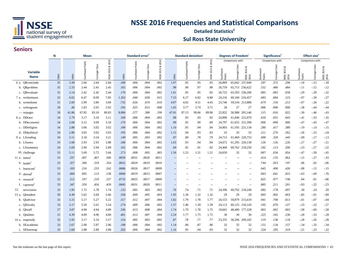

#### **Sul Ross State University Detailed Statistics**<sup>g</sup>

#### **Seniors**

|                                | N    | Mean  |                     |                   |                   | Standard error |                  |                     |                   | <b>Standard deviation</b> |                  |                     |                    | Degrees of freedom |                                            | Significance <sup>k</sup> |                   |                        | Effect size <sup>6</sup> |                   |                           |
|--------------------------------|------|-------|---------------------|-------------------|-------------------|----------------|------------------|---------------------|-------------------|---------------------------|------------------|---------------------|--------------------|--------------------|--------------------------------------------|---------------------------|-------------------|------------------------|--------------------------|-------------------|---------------------------|
|                                |      |       |                     |                   | 2016              |                |                  |                     | 2016              |                           |                  |                     | 2016               |                    | Comparisons with:                          |                           | Comparisons with: |                        |                          | Comparisons with: |                           |
| <b>Variable</b><br><b>Name</b> | SRSU | SRSU  | Public<br>Southwest | Class<br>Carnegie | ø<br>2015<br>NSSE | SRSU           | Southwest Public | Class<br>Carnegie ( | ø<br>2015<br>NSSE | SRSU                      | Southwest Public | Class<br>Carnegie ( | ಂಶ<br>2015<br>NSSE | Southw<br>Public   | Class<br>య<br>NSSE 2015 8<br>2016<br>megie | Southwest<br>Public       | Carnegie Class    | 2015 &<br>NSSE<br>2016 | Southwe<br>Public        | Class<br>Carnegie | ಂಶ<br>NSSE 2015 8<br>2016 |
| 6 a. ORconclude                | 35   | 2.49  | 2.66                | 2.64              | 2.66              | .180           | .006             | .004                | .002              | 1.07                      | .95              | .95                 | .95                | 26,809             | 65,842 237,040                             | .297                      | .372              | .296                   | $-.18$                   | $-.15$            | $-.18$                    |
| b. QRproblem                   | 35   | 2.33  | 2.44                | 2.45              | 2.45              | .165           | .006             | .004                | .002              | .98                       | .98              | .97                 | .98                | 26,759             | 65,713 236,622                             | .532                      | .480              | .484                   | $-.11$                   | $-.12$            | $-.12$                    |
| c. ORevaluate                  | 35   | 2.14  | 2.42                | 2.42              | 2.44              | .170           | .006             | .004                | .002              | 1.01                      | .95              | .95                 | .95                | 26,723             | 65,593 236,200                             | .083                      | .083              | .058                   | $-.29$                   | $-.29$            | $-.32$                    |
| 7 a. wrshortnum                | 33   | 6.02  | 6.47                | 8.09              | 7.85              | 1.263          | .040             | .028                | .015              | 7.23                      | 6.17             | 6.82                | 6.80               | 24,216             | 60,160 216,457                             | .683                      | .084              | .123                   | $-.07$                   | $-.30$            | $-.27$                    |
| b. wrmednum                    | 31   | 2.69  | 2.99                | 3.86              | 3.69              | .732           | .026             | .019                | .010              | 4.07                      | 4.02             | 4.51                | 4.45               | 23,746             | 59,534 213,888                             | .679                      | .150              | .213                   | $-.07$                   | $-.26$            | $-.22$                    |
| c. wrlongnum                   | 28   | .40   | 1.83                | 2.05              | 2.02              | .195           | .025             | .015                | .008              | 1.03                      | 3.77             | 3.74                | 3.71               | 28                 | 27<br>27                                   | .000                      | .000              | .000                   | $-.38$                   | $-.44$            | $-.44$                    |
| - wrpages                      | 28   | 41.86 | 67.85               | 83.10             | 80.83             | 8.896          | .577             | .380                | .199              | 47.01                     | 87.13            | 90.66               | 89.96              | 22,822             | 56,988 205,146                             | .115                      | .016              | .022                   | $-.30$                   | $-.46$            | $-.43$                    |
| 8 a. DDrace                    | 34   | 2.79  | 3.17                | 3.10              | 3.11              | .169           | .006             | .004                | .002              | .98                       | .93              | .93                 | .92                | 24,896             | 61,840 222,079                             | .018                      | .055              | .043                   | $-.41$                   | $-.33$            | $-.35$                    |
| b. DDeconomic                  | 34   | 2.68  | 3.12                | 3.09              | 3.10              | .170           | .006             | .004                | .002              | .99                       | .92              | .90                 | .89                | 24,797             | 61,655 221,398                             | .006                      | .009              | .006                   | $-.47$                   | $-.45$            | $-.47$                    |
| c. DDreligion                  | 34   | 2.88  | 3.06                | 3.02              | 3.02              | .189           | .006             | .004                | .002              | 1.10                      | .95              | .94                 | .94                | 24,803             | 61,595 221,134                             | .280                      | .417              | .389                   | $-.19$                   | $-.14$            | $-.15$                    |
| d. DDpolitical                 | 34   | 2.80  | 3.05                | 3.02              | 3.03              | .195           | .006             | .004                | .002              | 1.13                      | .94              | .93                 | .93                | 33                 | 33                                         | 33<br>.211                | .276              | .262                   | $-0.26$                  | $-.23$            | $-.24$                    |
| 9 a. LSreading                 | 34   | 3.11  | 3.18                | 3.24              | 3.21              | .149           | .005             | .003                | .002              | .87                       | .80              | .78                 | .79                | 24,715             | 61,469<br>220,753                          | .600                      | .320              | .445                   | $-.09$                   | $-.17$            | $-.13$                    |
| b. LSnotes                     | 33   | 2.68  | 2.93                | 2.93              | 2.88              | .180           | .006             | .004                | .002              | 1.03                      | .93              | .94                 | .94                | 24,672             | 61,295 220,138                             | .126                      | .126              | .226                   | $-.27$                   | $-.27$            | $-.21$                    |
| c. LSsummary                   | 34   | 2.69  | 2.90                | 2.94              | 2.89              | .162           | .006             | .004                | .002              | .94                       | .92              | .91                 | .92                | 24,468             | 60,762 218,250                             | .182                      | .113              | .206                   | $-.23$                   | $-.27$            | $-.22$                    |
| 10. challenge                  | 33   | 5.11  | 5.69                | 5.72              | 5.66              | .273           | .008             | .005                | .003              | 1.56                      | 1.23             | 1.21                | 1.21               | 24,659             | 32                                         | 32<br>.007                | .034              | .054                   | $-.47$                   | $-.50$            | $-.45$                    |
| 11 a. intern                   | 33   | .337  | .407                | .467              | .500              | .0839          | .0031            | .0020               | .0011             | $\overline{a}$            | $\sim$           | $\overline{a}$      |                    | $-$                | $\overline{\phantom{a}}$                   | .414<br>$\sim$            | .135              | .062                   | $-.15$                   | $-.27$            | $-.33$                    |
| b. leader                      | 33   | .327  | .300                | .319              | .354              | .0832          | .0029            | .0019               | .0010             |                           |                  |                     |                    |                    |                                            | .744<br>$\sim$            | .923              | .747                   | .06                      | .02               | $-.06$                    |
| c. learncom                    | 33   | .183  | .216                | .233              | .242              | .0686          | .0026            | .0017               | .0009             | --                        |                  | $-$                 |                    |                    | $\sim$                                     | .645<br>$\sim$            | .498              | .426                   | $-.08$                   | $-.12$            | $-.15$                    |
| d. abroad                      | 33   | .000  | .095                | .113              | .138              | .0000          | .0019            | .0013               | .0007             |                           |                  |                     |                    |                    |                                            | .063<br>$\sim$            | .041              | .022                   | $-.63$                   | $-.69$            | $-.76$                    |
| e. research                    | 32   | .212  | .197                | .210              | .237              | .0735          | .0025            | .0017               | .0009             | --                        | $\sim$           | --                  |                    |                    |                                            | .825<br>$\sim$            | .977              | .746                   | .04                      | .01               | $-.06$                    |
| f. capstone                    | 33   | .347  | .359                | .456              | .459              | .0845          | .0031            | .0020               | .0011             | $\qquad \qquad -$         | $\overline{a}$   | --                  |                    |                    |                                            | .885                      | .211              | .201                   | $-.03$                   | $-.22$            | $-.23$                    |
| 12.<br>servcourse              | 33   | 1.95  | 1.72                | 1.78              | 1.74              | .133           | .005             | .003                | .002              | .76                       | .74              | .71                 | .71                | 24,396             | 60,792 218,240                             | .082                      | .178              | .097                   | .30                      | .24               | .29                       |
| 13 a. OIstudent                | 30   | 4.49  | 5.65                | 5.69              | 5.66              | .358           | .009             | .005                | .003              | 1.95                      | 1.36             | 1.32                | 1.32               | 29                 | 29                                         | 29<br>.003                | .002              | .003                   | $-.85$                   | $-.91$            | $-.89$                    |
| b. QIadvisor                   | 33   | 5.15  | 5.17                | 5.27              | 5.22              | .317           | .012             | .007                | .004              | 1.82                      | 1.79             | 1.78                | 1.77               | 24,153             | 59,879 215,619                             | .941                      | .708              | .813                   | $-.01$                   | $-.07$            | $-.04$                    |
| c. QIfaculty                   | 33   | 5.17  | 5.50                | 5.61              | 5.54              | .274           | .009             | .006                | .003              | 1.57                      | 1.46             | 1.39                | 1.39               | 24,113             | 60,125 216,143                             | .195                      | .070              | .127                   | $-.23$                   | $-.32$            | $-.27$                    |
| d. QIstaff                     | 27   | 3.87  | 4.90                | 4.94              | 4.89              | .336           | .013             | .008                | .004              | 1.74                      | 1.79             | 1.78                | 1.75               | 19,601             | 48,490 177,228                             | .003                      | .002              | .003                   | $-.58$                   | $-.60$            | $-.58$                    |
| e. OIadmin                     | 31   | 4.39  | 4.89                | 4.96              | 4.88              | .401           | .012             | .007                | .004              | 2.24                      | 1.77             | 1.75                | 1.75               | 30                 | 30                                         | 30<br>.225                | .165              | .236                   | $-.28$                   | $-.33$            | $-.28$                    |
| 14 a. empstudy                 | 32   | 2.95  | 3.17                | 3.16              | 3.17              | .154           | .005             | .003                | .002              | .87                       | .78              | .77                 | .77                | 23,255             | 58,206 209,102                             | .119                      | .138              | .118                   | $-.28$                   | $-26$             | $-.28$                    |
| b. SEacademic                  | 33   | 2.67  | 2.96                | 2.97              | 2.96              | .199           | .006             | .004                | .002              | 1.14                      | .86              | .87                 | .86                | 32                 | 32                                         | 32<br>.151                | .134              | .157                   | -.34                     | $-.35$            | $-.34$                    |
| c. SElearnsup                  | 33   | 2.68  | 2.88                | 2.89              | 2.88              | .202           | .006             | .004                | .002              | 1.16                      | .95              | .94                 | .93                | 32                 | 32                                         | 32<br>.324                | .295              | .319                   | $-.21$                   | $-.23$            | $-.22$                    |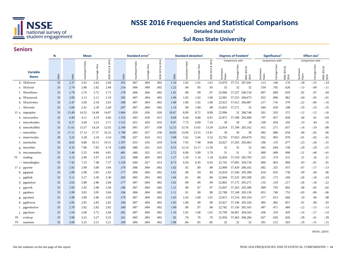

#### **Sul Ross State University Detailed Statistics**<sup>g</sup>

#### **Seniors**

|                                | N    | <b>Mean</b> |                     |                     |                    | Standard error |                     |                      |                   | <b>Standard deviation</b> |                  |                  |                   | Degrees of freedom |                   |                           | Significance <sup>'</sup> |                     |                                  | <b>Effect size</b> <sup>e</sup> |                   |                            |
|--------------------------------|------|-------------|---------------------|---------------------|--------------------|----------------|---------------------|----------------------|-------------------|---------------------------|------------------|------------------|-------------------|--------------------|-------------------|---------------------------|---------------------------|---------------------|----------------------------------|---------------------------------|-------------------|----------------------------|
|                                |      |             |                     |                     | 2016               |                |                     |                      | 2016              |                           |                  |                  | 2016              |                    | Comparisons with: |                           |                           | Comparisons with:   |                                  |                                 | Comparisons with: |                            |
| <b>Variable</b><br><b>Name</b> | SRSU | SRSU        | Public<br>Southwest | Class<br>negie<br>ð | ಂಶ<br>2015<br>NSSE | SRSU           | Public<br>Southwest | Class<br>negie<br>වි | ∝<br>2015<br>NSSE | SRSU                      | Southwest Public | Class<br>negie ( | ಹ<br>2015<br>NSSE | South<br>Public    | Class<br>Carnegie | ಹ<br>2015<br>NSSE<br>2016 | Southwest<br>Public       | Class<br>Carnegie ( | ಹ<br>2015<br><b>NSSE</b><br>2016 | Southwest<br>Public             | Class<br>Carnegie | ø<br>2015<br>NSSE:<br>2016 |
| d. SEdiverse                   | 33   | 2.37        | 2.65                | 2.62                | 2.60               | .191           | .007                | .004                 | .002              | 1.10                      | 1.02             | 1.01             | 1.01              | 23,079             |                   | 57,751 207,441            | .113                      | .146                | .176                             | $-.28$                          | $-.25$            | $-.24$                     |
| e. SEsocial                    | 33   | 2.74        | 2.86                | 2.82                | 2.84               | .214           | .006                | .004                 | .002              | 1.22                      | .94              | .95              | .93               | 32                 | 32                | 32                        | .559                      | .702                | .626                             | $-.13$                          | -.09              | $-.11$                     |
| f. SEwellness                  | 33   | 2.79        | 2.76                | 2.72                | 2.75               | .178           | .006                | .004                 | .002              | 1.02                      | .98              | .99              | .97               | 22,966             |                   | 57,527 206,734            | .897                      | .689                | .819                             | .02                             | .07               | .04                        |
| g. SEnonacad                   | 33   | 2.09        | 2.13                | 2.11                | 2.10               | .185           | .007                | .004                 | .002              | 1.06                      | 1.02             | 1.02             | 1.00              | 22,981             |                   | 57,553 206,673            | .822                      | .896                | .962                             | $-.04$                          | $-.02$            | $-.01$                     |
| h. SEactivities                | 33   | 2.47        | 2.69                | 2.54                | 2.63               | .188           | .007                | .004                 | .002              | 1.08                      | 1.00             | 1.02             | 1.00              | 22,923             |                   | 57,412 206,087            | .217                      | .716                | .370                             | $-.22$                          | -.06              | $-.16$                     |
| i. SEevents                    | 33   | 2.06        | 2.41                | 2.39                | 2.40               | .207           | .007                | .004                 | .002              | 1.19                      | .99              | 1.00             | .98               | 22,855             | 57,271            | 32                        | .044                      | .059                | .108                             | $-.35$                          | -.33              | $-.35$                     |
| 15 a. tmprephrs                | 33   | 13.49       | 14.55               | 14.49               | 14.87              | 1.864          | .059                | .036                 | .020              | 10.67                     | 8.99             | 8.72             | 8.89              | 22,996             |                   | 32 206,748                | .501                      | .593                | .372                             | $-.12$                          | $-.12$            | $-.16$                     |
| b. tmcocurrhrs                 | 33   | 4.40        | 4.11                | 4.33                | 4.66               | 1.153          | .043                | .029                 | .015              | 6.60                      | 6.44             | 6.88             | 6.91              | 22,872             |                   | 57,298 205,669            | .797                      | .957                | .828                             | .04                             | .01               | $-.04$                     |
| c. tmworkonhrs                 | 31   | 6.27        | 3.69                | 3.23                | 3.71               | 1.515          | .051                | .029                 | .016              | 8.47                      | 7.73             | 6.89             | 7.24              | 30                 | 30                | 30                        | .100                      | .054                | .102                             | .33                             | .44               | .35                        |
| d. tmworkoffhrs                | 33   | 11.61       | 13.57               | 14.24               | 12.65              | 2.194          | .091                | .057                 | .030              | 12.55                     | 13.76            | 13.65            | 13.39             | 22,814             |                   | 57,199 205,162            | .415                      | .271                | .657                             | $-.14$                          | $-19$             | $-.08$                     |
| — tmworkhrs                    | 31   | 17.11       | 17.13               | 17.37               | 16.25              | 1.798          | .093                | .057                 | .030              | 10.05                     | 13.94            | 13.55            | 13.41             | 30                 | 30                | 30                        | .992                      | .890                | .634                             | .00                             | $-.02$            | .06                        |
| e. tmservicehrs                | 30   | 3.22        | 3.28                | 3.34                | 3.24               | .708           | .037                | .024                 | .012              | 3.88                      | 5.62             | 5.66             | 5.52              | 22,762             |                   | 57,023 204,670            | .952                      | .903                | .978                             | $-.01$                          | $-.02$            | $-.01$                     |
| f. tmrelaxhrs                  | 33   | 8.02        | 9.86                | 10.11               | 10.51              | 1.597          | .053                | .033                 | .018              | 9.14                      | 7.95             | 7.98             | 8.06              | 22,827             | 57,263            | 205,463                   | .186                      | .135                | .077                             | $-.23$                          | $-.26$            | $-.31$                     |
| g. tmcarehrs                   | 33   | 4.32        | 7.86                | 7.82                | 6.74               | 1.669          | .080                | .051                 | .025              | 9.55                      | 12.14            | 12.17            | 11.50             | 32                 | 32                | 32                        | .042                      | .044                | .158                             | $-.29$                          | $-.29$            | $-.21$                     |
| h. tmcommutehrs                | 32   | 2.46        | 5.55                | 4.84                | 4.81               | .481           | .040                | .025                 | .013              | 2.72                      | 6.00             | 5.89             | 5.70              | 31                 | 31                | 31                        | .000                      | .000                | .000                             | $-.51$                          | -.40              | $-.41$                     |
| 16.<br>reading                 | 33   | 3.15        | 2.90                | 2.97                | 2.91               | .221           | .008                | .005                 | .003              | 1.27                      | 1.20             | 1.16             | 1.18              | 22,856             |                   | 57,310 205,783            | .225                      | .374                | .231                             | .21                             | .16               | .21                        |
| — tmreadinghrs                 | 33   | 7.42        | 7.23                | 7.48                | 7.37               | 1.529          | .044                | .027                 | .014              | 8.75                      | 6.56             | 6.45             | 6.45              | 22,742             |                   | 57,005 204,734            | .866                      | .963                | .960                             | .03                             | $-.01$            | .01                        |
| 17 a. pgwrite                  | 33   | 2.92        | 2.99                | 3.08                | 3.04               | .178           | .006                | .004                 | .002              | 1.02                      | .92              | .89              | .90               | 22,900             |                   | 57,429 206,102            | .692                      | .325                | .473                             | $-.07$                          | $-.17$            | $-.13$                     |
| b. pgspeak                     | 33   | 2.99        | 2.90                | 2.95                | 2.93               | .177           | .006                | .004                 | .002              | 1.01                      | .96              | .94              | .94               | 22,818             |                   | 57,240 205,396            | .610                      | .835                | .730                             | .09                             | .04               | .06                        |
| c. pgthink                     | 32   | 3.11        | 3.27                | 3.30                | 3.30               | .183           | .005                | .003                 | .002              | 1.04                      | .81              | .80              | .80               | 22,844             |                   | 57,235 205,398            | .261                      | .172                | .169                             | $-.20$                          | $-.24$            | $-.24$                     |
| d. pganalyze                   | 33   | 2.63        | 2.88                | 2.80                | 2.84               | .177           | .007                | .004                 | .002              | 1.02                      | .98              | .99              | .99               | 22,802             |                   | 57,172 205,271            | .135                      | .310                | .217                             | $-.26$                          | $-.18$            | $-.22$                     |
| e. pgwork                      | 33   | 2.92        | 2.92                | 2.96                | 2.94               | .196           | .007                | .004                 | .002              | 1.12                      | .99              | .97              | .97               | 22,847             |                   | 57,263 205,580            | .999                      | .793                | .892                             | .00                             | $-.05$            | $-.02$                     |
| f. pgothers                    | 33   | 2.99        | 3.02                | 3.05                | 3.04               | .194           | .006                | .004                 | .002              | 1.11                      | .91              | .90              | .90               | 22,788             |                   | 57,148 205,130            | .852                      | .740                | .753                             | $-.03$                          | $-.06$            | $-.06$                     |
| g. pgvalues                    | 33   | 2.90        | 2.80                | 2.86                | 2.83               | .179           | .007                | .004                 | .002              | 1.03                      | 1.03             | 1.00             | 1.01              | 22,815             |                   | 57,216 205,354            | .577                      | .813                | .666                             | .10                             | .04               | .08                        |
| h. pgdiverse                   | 33   | 2.85        | 2.85                | 2.85                | 2.82               | .184           | .007                | .004                 | .002              | 1.05                      | 1.00             | .99              | .99               | 22,827             |                   | 57,196 205,326            | .965                      | .982                | .857                             | .01                             | .00               | .03                        |
| i. pgprobsolve                 | 33   | 2.70        | 2.82                | 2.82                | 2.82               | .190           | .007                | .004                 | .002              | 1.09                      | .99              | .97              | .96               | 22,782             |                   | 57,156 205,165            | .497                      | .471                | .469                             | $-.12$                          | $-13$             | $-.13$                     |
| pgcitizen<br>$\mathbf{1}$      | 33   | 2.54        | 2.68                | 2.72                | 2.68               | .202           | .007                | .004                 | .002              | 1.16                      | 1.02             | 1.00             | 1.01              | 22,709             |                   | 56,901 204,343            | .436                      | .319                | .429                             | $-.14$                          | $-.17$            | $-.14$                     |
| 18.<br>evalexp                 | 33   | 2.96        | 3.25                | 3.27                | 3.25               | .161           | .005                | .003                 | .002              | .92                       | .76              | .76              | .76               | 22,936             | 57,463            | 206,284                   | .027                      | .020                | .026                             | $-.39$                          | $-.41$            | $-.39$                     |
| 19.<br>sameinst                | 33   | 3.09        | 3.25                | 3.21                | 3.21               | .189           | .006                | .004                 | .002              | 1.08                      | .84              | .85              | .85               | 32                 | 32                | 32                        | .391                      | .512                | .503                             | $-.19$                          | $-.15$            | $-.15$                     |

IPEDS: 228501